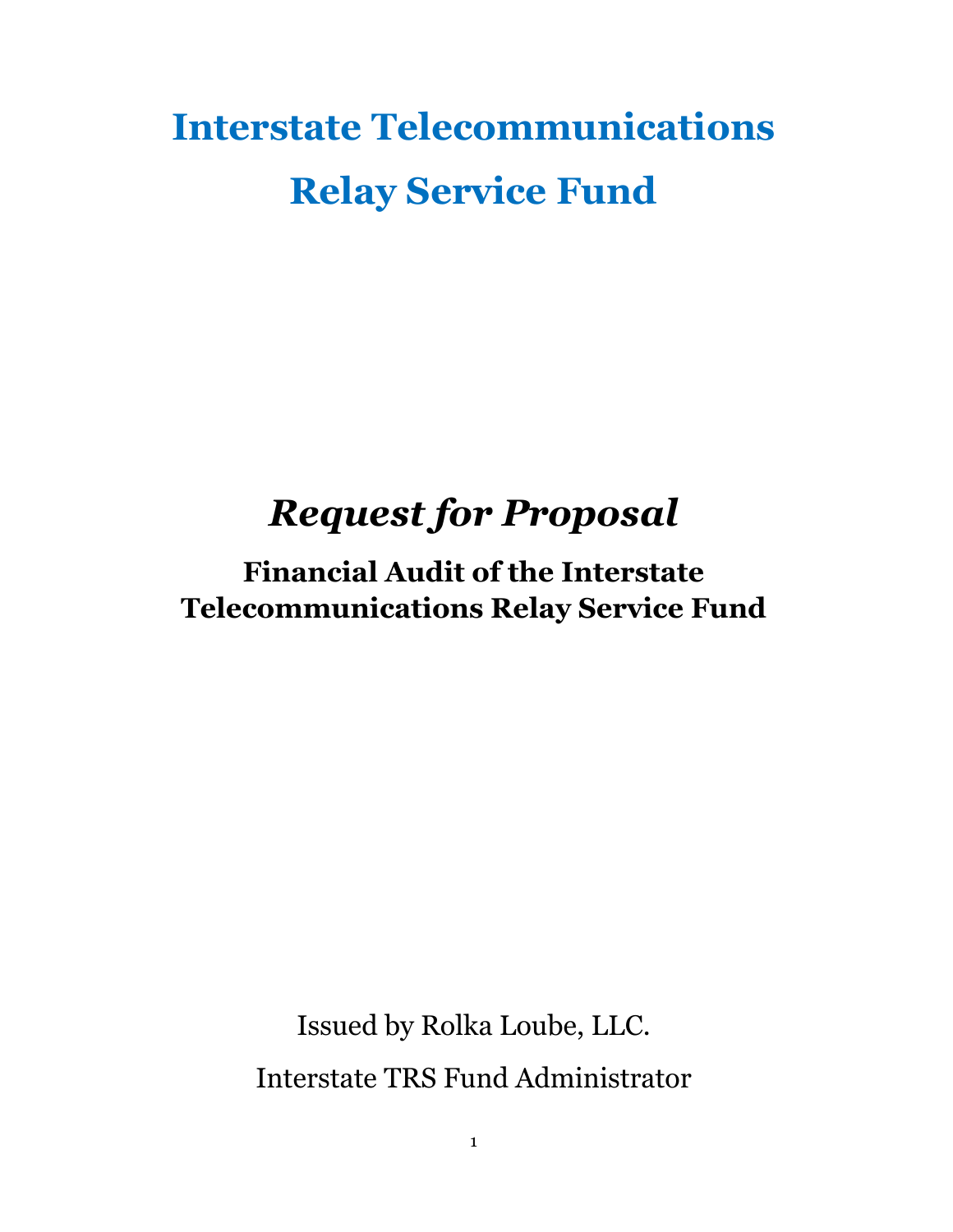# **Interstate Telecommunications Relay Service Fund**

## *Request for Proposal*

## **Financial Audit of the Interstate Telecommunications Relay Service Fund**

Issued by Rolka Loube, LLC. Interstate TRS Fund Administrator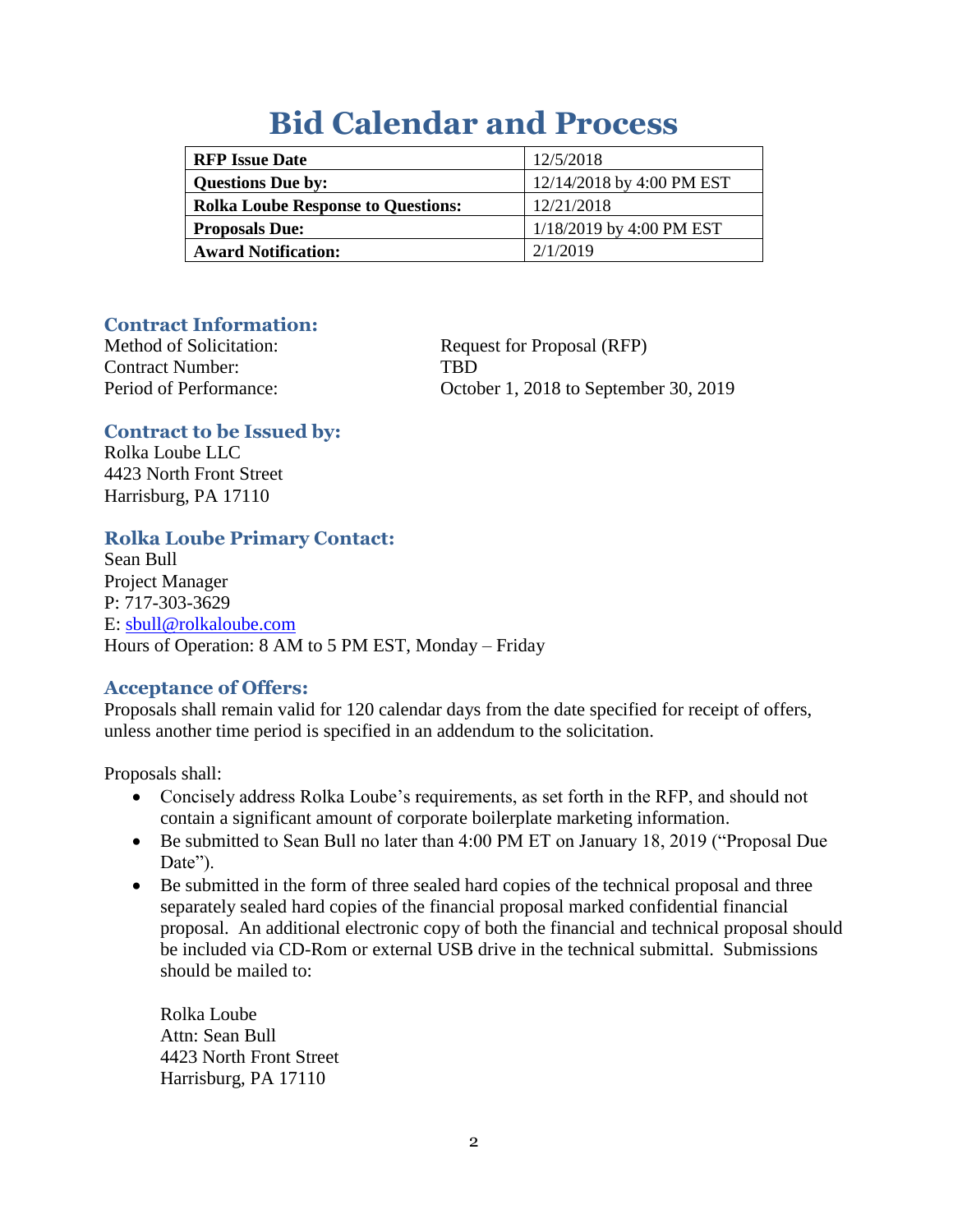## **Bid Calendar and Process**

| <b>RFP</b> Issue Date                     | 12/5/2018                  |
|-------------------------------------------|----------------------------|
| <b>Questions Due by:</b>                  | 12/14/2018 by 4:00 PM EST  |
| <b>Rolka Loube Response to Questions:</b> | 12/21/2018                 |
| <b>Proposals Due:</b>                     | $1/18/2019$ by 4:00 PM EST |
| <b>Award Notification:</b>                | 2/1/2019                   |

#### **Contract Information:**

Contract Number: TBD

Method of Solicitation: Request for Proposal (RFP) Period of Performance: October 1, 2018 to September 30, 2019

## **Contract to be Issued by:**

Rolka Loube LLC 4423 North Front Street Harrisburg, PA 17110

## **Rolka Loube Primary Contact:**

Sean Bull Project Manager P: 717-303-3629 E: [sbull@rolkaloube.com](mailto:sbull@rolkaloube.com) Hours of Operation: 8 AM to 5 PM EST, Monday – Friday

## **Acceptance of Offers:**

Proposals shall remain valid for 120 calendar days from the date specified for receipt of offers, unless another time period is specified in an addendum to the solicitation.

Proposals shall:

- Concisely address Rolka Loube's requirements, as set forth in the RFP, and should not contain a significant amount of corporate boilerplate marketing information.
- Be submitted to Sean Bull no later than 4:00 PM ET on January 18, 2019 ("Proposal Due Date").
- Be submitted in the form of three sealed hard copies of the technical proposal and three separately sealed hard copies of the financial proposal marked confidential financial proposal. An additional electronic copy of both the financial and technical proposal should be included via CD-Rom or external USB drive in the technical submittal. Submissions should be mailed to:

Rolka Loube Attn: Sean Bull 4423 North Front Street Harrisburg, PA 17110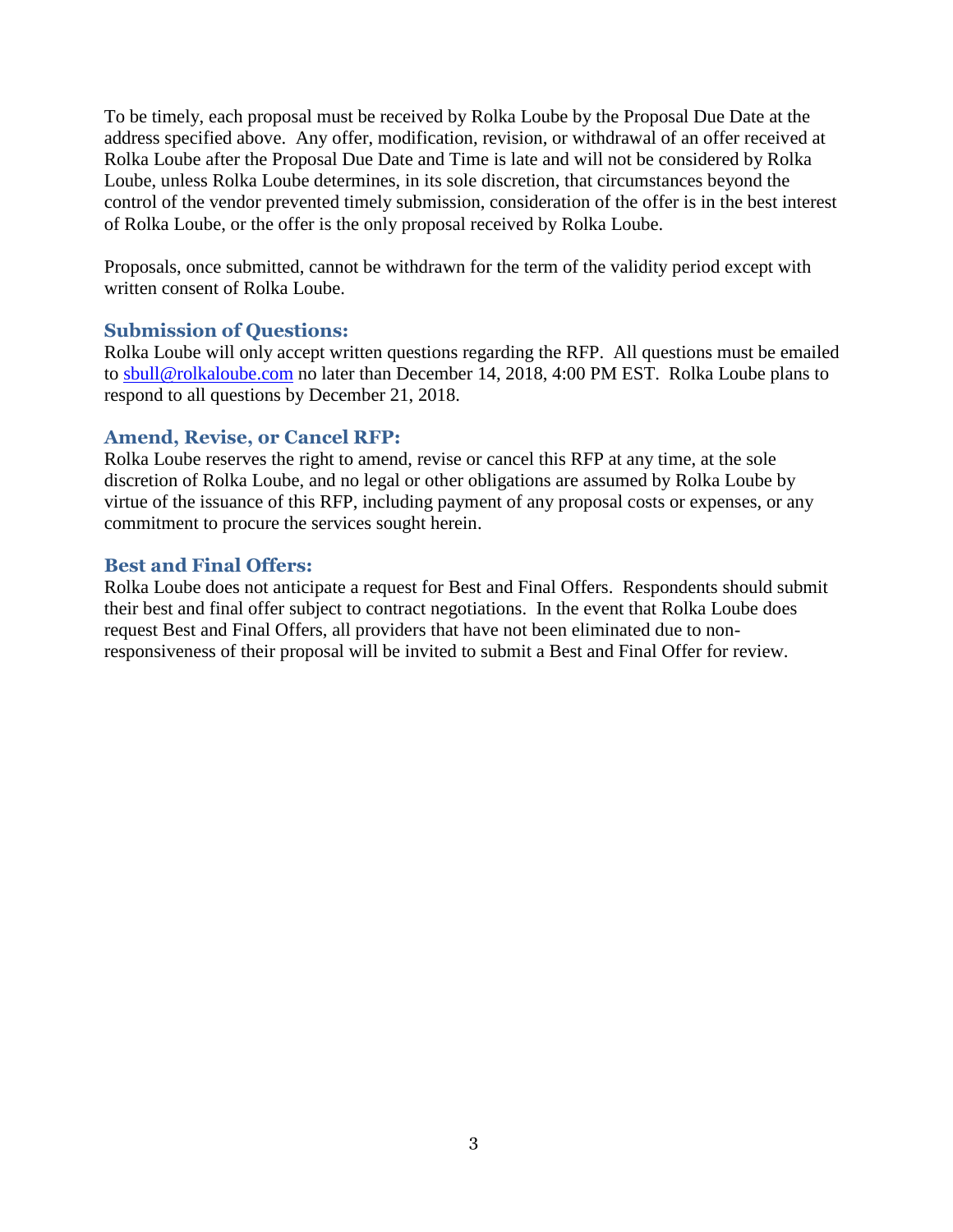To be timely, each proposal must be received by Rolka Loube by the Proposal Due Date at the address specified above. Any offer, modification, revision, or withdrawal of an offer received at Rolka Loube after the Proposal Due Date and Time is late and will not be considered by Rolka Loube, unless Rolka Loube determines, in its sole discretion, that circumstances beyond the control of the vendor prevented timely submission, consideration of the offer is in the best interest of Rolka Loube, or the offer is the only proposal received by Rolka Loube.

Proposals, once submitted, cannot be withdrawn for the term of the validity period except with written consent of Rolka Loube.

#### **Submission of Questions:**

Rolka Loube will only accept written questions regarding the RFP. All questions must be emailed to [sbull@rolkaloube.com](mailto:sbull@rolkaloube.com) no later than December 14, 2018, 4:00 PM EST. Rolka Loube plans to respond to all questions by December 21, 2018.

#### **Amend, Revise, or Cancel RFP:**

Rolka Loube reserves the right to amend, revise or cancel this RFP at any time, at the sole discretion of Rolka Loube, and no legal or other obligations are assumed by Rolka Loube by virtue of the issuance of this RFP, including payment of any proposal costs or expenses, or any commitment to procure the services sought herein.

#### **Best and Final Offers:**

Rolka Loube does not anticipate a request for Best and Final Offers. Respondents should submit their best and final offer subject to contract negotiations. In the event that Rolka Loube does request Best and Final Offers, all providers that have not been eliminated due to nonresponsiveness of their proposal will be invited to submit a Best and Final Offer for review.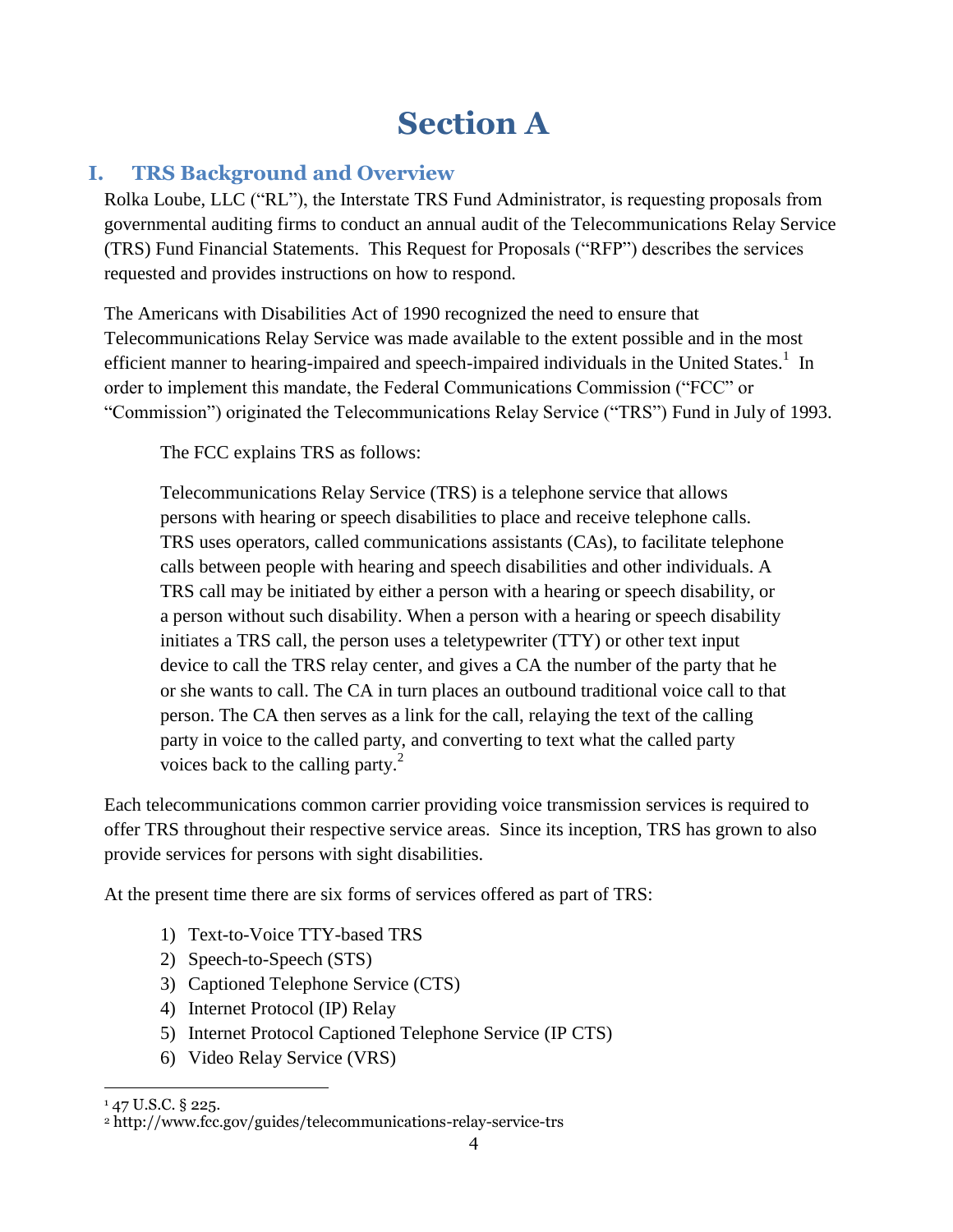## **Section A**

## **I. TRS Background and Overview**

Rolka Loube, LLC ("RL"), the Interstate TRS Fund Administrator, is requesting proposals from governmental auditing firms to conduct an annual audit of the Telecommunications Relay Service (TRS) Fund Financial Statements. This Request for Proposals ("RFP") describes the services requested and provides instructions on how to respond.

The Americans with Disabilities Act of 1990 recognized the need to ensure that Telecommunications Relay Service was made available to the extent possible and in the most efficient manner to hearing-impaired and speech-impaired individuals in the United States.<sup>1</sup> In order to implement this mandate, the Federal Communications Commission ("FCC" or "Commission") originated the Telecommunications Relay Service ("TRS") Fund in July of 1993.

The FCC explains TRS as follows:

Telecommunications Relay Service (TRS) is a telephone service that allows persons with hearing or speech disabilities to place and receive telephone calls. TRS uses operators, called communications assistants (CAs), to facilitate telephone calls between people with hearing and speech disabilities and other individuals. A TRS call may be initiated by either a person with a hearing or speech disability, or a person without such disability. When a person with a hearing or speech disability initiates a TRS call, the person uses a teletypewriter (TTY) or other text input device to call the TRS relay center, and gives a CA the number of the party that he or she wants to call. The CA in turn places an outbound traditional voice call to that person. The CA then serves as a link for the call, relaying the text of the calling party in voice to the called party, and converting to text what the called party voices back to the calling party.<sup>2</sup>

Each telecommunications common carrier providing voice transmission services is required to offer TRS throughout their respective service areas. Since its inception, TRS has grown to also provide services for persons with sight disabilities.

At the present time there are six forms of services offered as part of TRS:

- 1) Text-to-Voice TTY-based TRS
- 2) Speech-to-Speech (STS)
- 3) Captioned Telephone Service (CTS)
- 4) Internet Protocol (IP) Relay
- 5) Internet Protocol Captioned Telephone Service (IP CTS)
- 6) Video Relay Service (VRS)

 $\overline{a}$ 

<sup>&</sup>lt;sup>1</sup> 47 U.S.C. § 225.

<sup>2</sup> http://www.fcc.gov/guides/telecommunications-relay-service-trs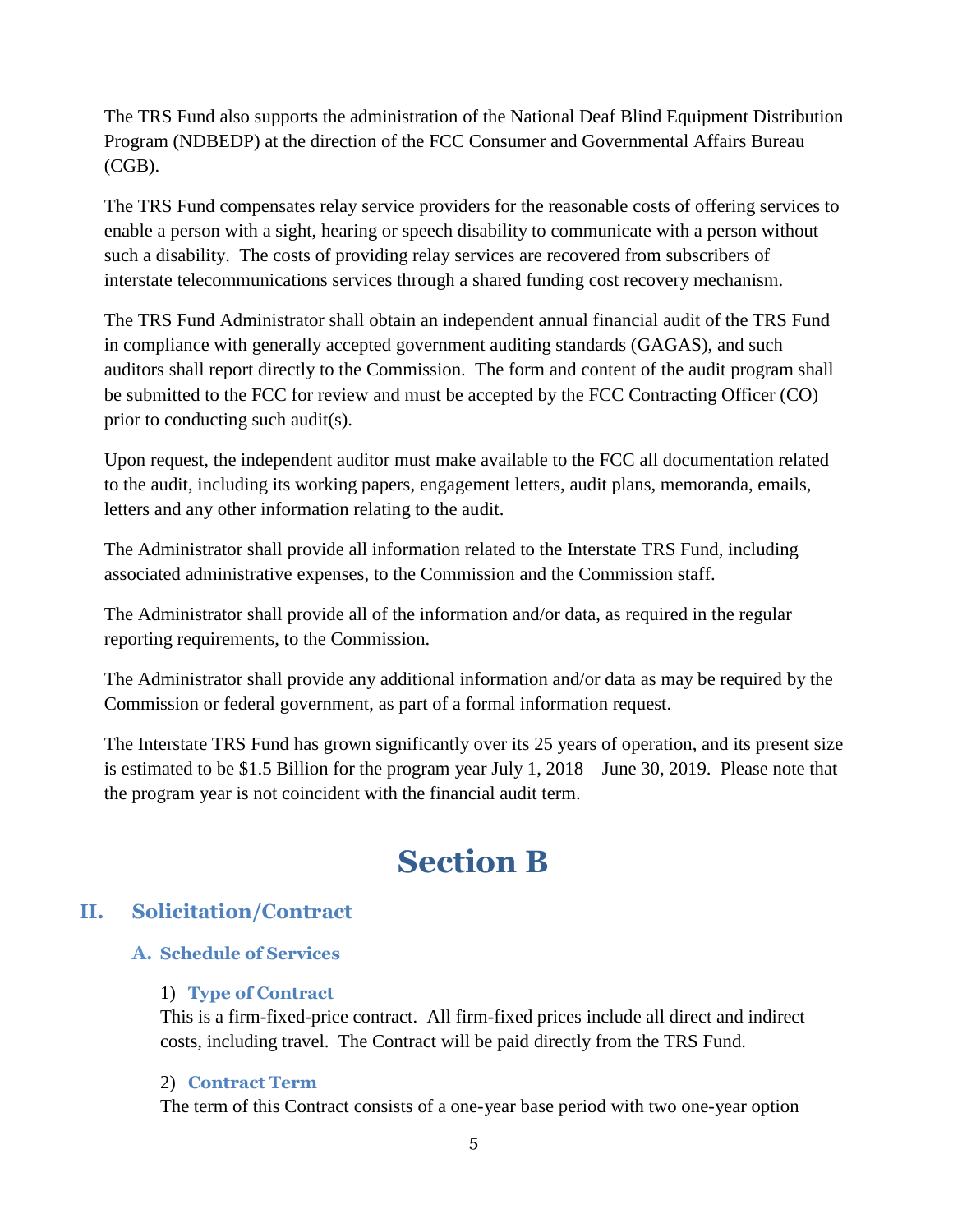The TRS Fund also supports the administration of the National Deaf Blind Equipment Distribution Program (NDBEDP) at the direction of the FCC Consumer and Governmental Affairs Bureau (CGB).

The TRS Fund compensates relay service providers for the reasonable costs of offering services to enable a person with a sight, hearing or speech disability to communicate with a person without such a disability. The costs of providing relay services are recovered from subscribers of interstate telecommunications services through a shared funding cost recovery mechanism.

The TRS Fund Administrator shall obtain an independent annual financial audit of the TRS Fund in compliance with generally accepted government auditing standards (GAGAS), and such auditors shall report directly to the Commission. The form and content of the audit program shall be submitted to the FCC for review and must be accepted by the FCC Contracting Officer (CO) prior to conducting such audit(s).

Upon request, the independent auditor must make available to the FCC all documentation related to the audit, including its working papers, engagement letters, audit plans, memoranda, emails, letters and any other information relating to the audit.

The Administrator shall provide all information related to the Interstate TRS Fund, including associated administrative expenses, to the Commission and the Commission staff.

The Administrator shall provide all of the information and/or data, as required in the regular reporting requirements, to the Commission.

The Administrator shall provide any additional information and/or data as may be required by the Commission or federal government, as part of a formal information request.

The Interstate TRS Fund has grown significantly over its 25 years of operation, and its present size is estimated to be \$1.5 Billion for the program year July 1, 2018 – June 30, 2019. Please note that the program year is not coincident with the financial audit term.

## **Section B**

## **II. Solicitation/Contract**

#### **A. Schedule of Services**

#### 1) **Type of Contract**

This is a firm-fixed-price contract. All firm-fixed prices include all direct and indirect costs, including travel. The Contract will be paid directly from the TRS Fund.

#### 2) **Contract Term**

The term of this Contract consists of a one-year base period with two one-year option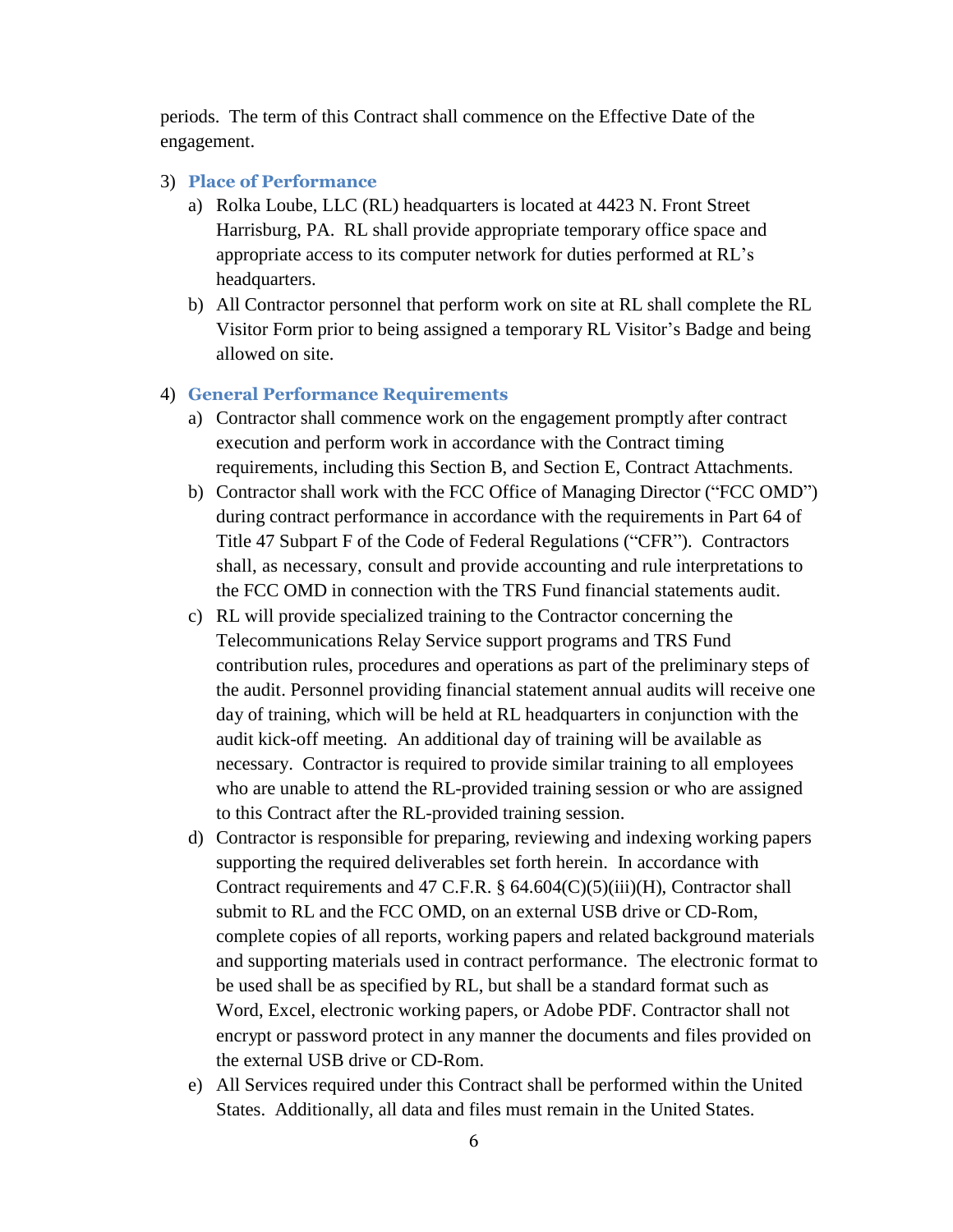periods. The term of this Contract shall commence on the Effective Date of the engagement.

#### 3) **Place of Performance**

- a) Rolka Loube, LLC (RL) headquarters is located at 4423 N. Front Street Harrisburg, PA. RL shall provide appropriate temporary office space and appropriate access to its computer network for duties performed at RL's headquarters.
- b) All Contractor personnel that perform work on site at RL shall complete the RL Visitor Form prior to being assigned a temporary RL Visitor's Badge and being allowed on site.

#### 4) **General Performance Requirements**

- a) Contractor shall commence work on the engagement promptly after contract execution and perform work in accordance with the Contract timing requirements, including this Section B, and Section E, Contract Attachments.
- b) Contractor shall work with the FCC Office of Managing Director ("FCC OMD") during contract performance in accordance with the requirements in Part 64 of Title 47 Subpart F of the Code of Federal Regulations ("CFR"). Contractors shall, as necessary, consult and provide accounting and rule interpretations to the FCC OMD in connection with the TRS Fund financial statements audit.
- c) RL will provide specialized training to the Contractor concerning the Telecommunications Relay Service support programs and TRS Fund contribution rules, procedures and operations as part of the preliminary steps of the audit. Personnel providing financial statement annual audits will receive one day of training, which will be held at RL headquarters in conjunction with the audit kick-off meeting. An additional day of training will be available as necessary. Contractor is required to provide similar training to all employees who are unable to attend the RL-provided training session or who are assigned to this Contract after the RL-provided training session.
- d) Contractor is responsible for preparing, reviewing and indexing working papers supporting the required deliverables set forth herein. In accordance with Contract requirements and 47 C.F.R. § 64.604(C)(5)(iii)(H), Contractor shall submit to RL and the FCC OMD, on an external USB drive or CD-Rom, complete copies of all reports, working papers and related background materials and supporting materials used in contract performance. The electronic format to be used shall be as specified by RL, but shall be a standard format such as Word, Excel, electronic working papers, or Adobe PDF. Contractor shall not encrypt or password protect in any manner the documents and files provided on the external USB drive or CD-Rom.
- e) All Services required under this Contract shall be performed within the United States. Additionally, all data and files must remain in the United States.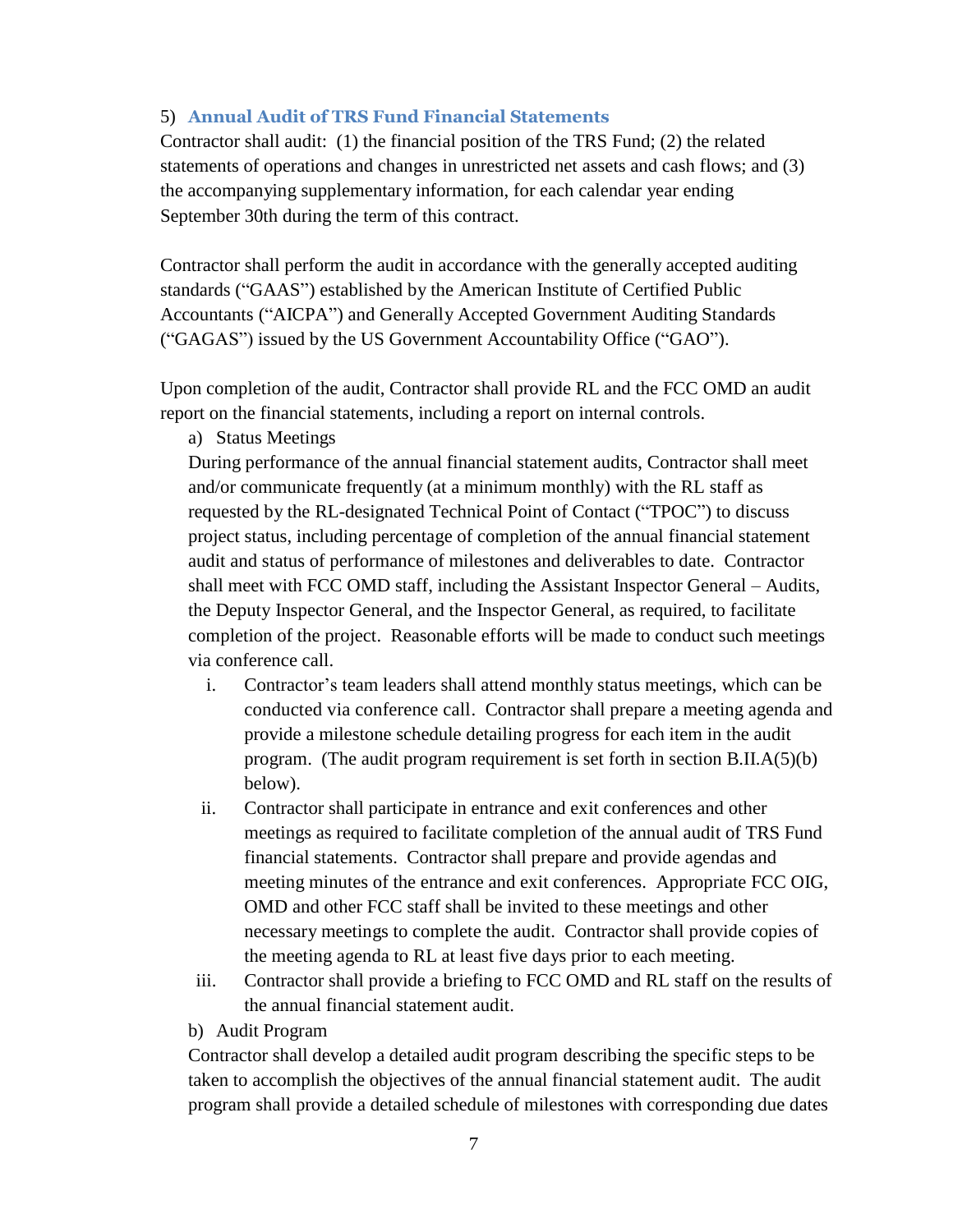#### 5) **Annual Audit of TRS Fund Financial Statements**

Contractor shall audit: (1) the financial position of the TRS Fund; (2) the related statements of operations and changes in unrestricted net assets and cash flows; and (3) the accompanying supplementary information, for each calendar year ending September 30th during the term of this contract.

Contractor shall perform the audit in accordance with the generally accepted auditing standards ("GAAS") established by the American Institute of Certified Public Accountants ("AICPA") and Generally Accepted Government Auditing Standards ("GAGAS") issued by the US Government Accountability Office ("GAO").

Upon completion of the audit, Contractor shall provide RL and the FCC OMD an audit report on the financial statements, including a report on internal controls.

a) Status Meetings

During performance of the annual financial statement audits, Contractor shall meet and/or communicate frequently (at a minimum monthly) with the RL staff as requested by the RL-designated Technical Point of Contact ("TPOC") to discuss project status, including percentage of completion of the annual financial statement audit and status of performance of milestones and deliverables to date. Contractor shall meet with FCC OMD staff, including the Assistant Inspector General – Audits, the Deputy Inspector General, and the Inspector General, as required, to facilitate completion of the project. Reasonable efforts will be made to conduct such meetings via conference call.

- i. Contractor's team leaders shall attend monthly status meetings, which can be conducted via conference call. Contractor shall prepare a meeting agenda and provide a milestone schedule detailing progress for each item in the audit program. (The audit program requirement is set forth in section B.II.A(5)(b) below).
- ii. Contractor shall participate in entrance and exit conferences and other meetings as required to facilitate completion of the annual audit of TRS Fund financial statements. Contractor shall prepare and provide agendas and meeting minutes of the entrance and exit conferences. Appropriate FCC OIG, OMD and other FCC staff shall be invited to these meetings and other necessary meetings to complete the audit. Contractor shall provide copies of the meeting agenda to RL at least five days prior to each meeting.
- iii. Contractor shall provide a briefing to FCC OMD and RL staff on the results of the annual financial statement audit.
- b) Audit Program

Contractor shall develop a detailed audit program describing the specific steps to be taken to accomplish the objectives of the annual financial statement audit. The audit program shall provide a detailed schedule of milestones with corresponding due dates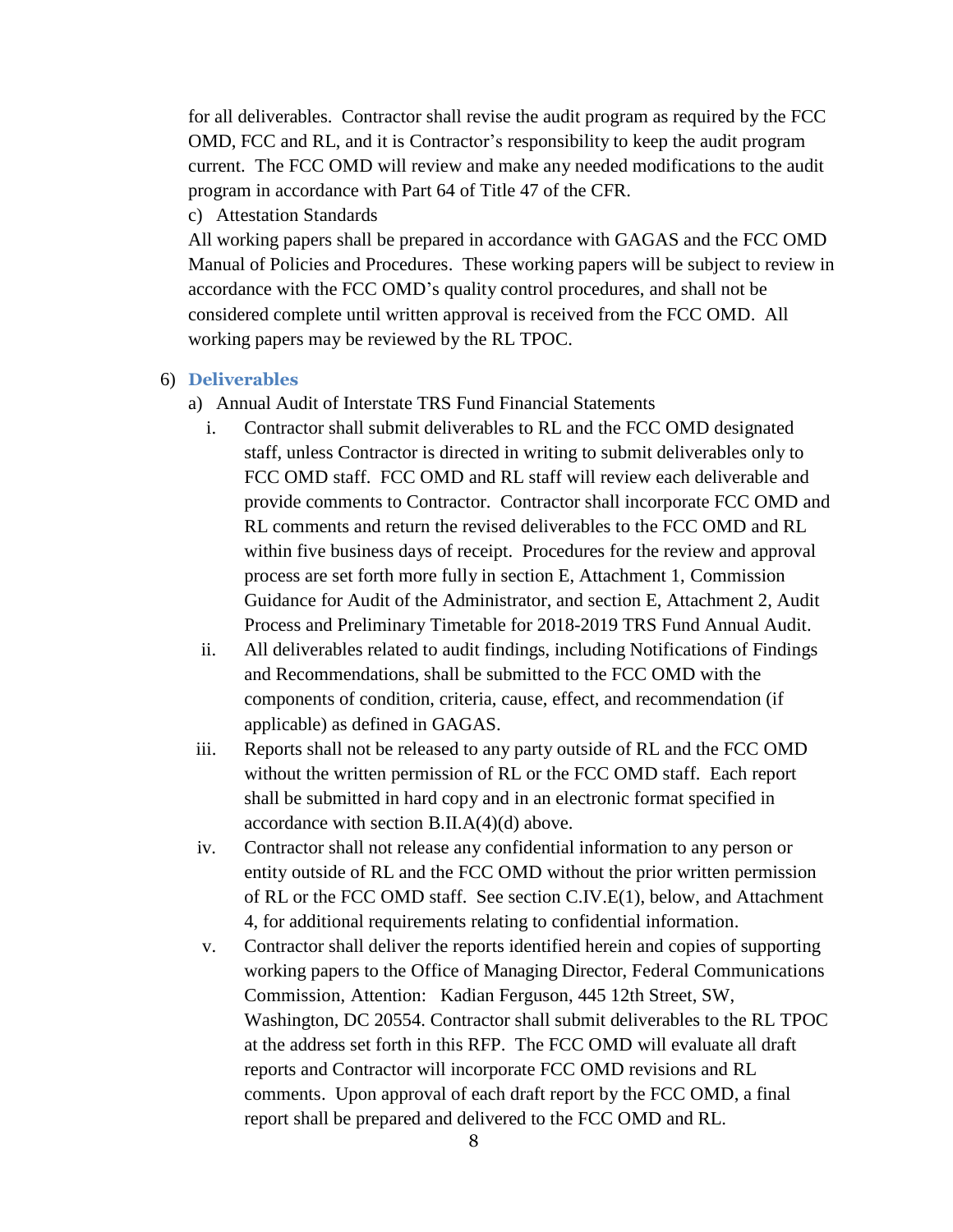for all deliverables. Contractor shall revise the audit program as required by the FCC OMD, FCC and RL, and it is Contractor's responsibility to keep the audit program current. The FCC OMD will review and make any needed modifications to the audit program in accordance with Part 64 of Title 47 of the CFR.

c) Attestation Standards

All working papers shall be prepared in accordance with GAGAS and the FCC OMD Manual of Policies and Procedures. These working papers will be subject to review in accordance with the FCC OMD's quality control procedures, and shall not be considered complete until written approval is received from the FCC OMD. All working papers may be reviewed by the RL TPOC.

- 6) **Deliverables**
	- a) Annual Audit of Interstate TRS Fund Financial Statements
		- i. Contractor shall submit deliverables to RL and the FCC OMD designated staff, unless Contractor is directed in writing to submit deliverables only to FCC OMD staff. FCC OMD and RL staff will review each deliverable and provide comments to Contractor. Contractor shall incorporate FCC OMD and RL comments and return the revised deliverables to the FCC OMD and RL within five business days of receipt. Procedures for the review and approval process are set forth more fully in section E, Attachment 1, Commission Guidance for Audit of the Administrator, and section E, Attachment 2, Audit Process and Preliminary Timetable for 2018-2019 TRS Fund Annual Audit.
		- ii. All deliverables related to audit findings, including Notifications of Findings and Recommendations, shall be submitted to the FCC OMD with the components of condition, criteria, cause, effect, and recommendation (if applicable) as defined in GAGAS.
	- iii. Reports shall not be released to any party outside of RL and the FCC OMD without the written permission of RL or the FCC OMD staff. Each report shall be submitted in hard copy and in an electronic format specified in accordance with section B.II.A(4)(d) above.
	- iv. Contractor shall not release any confidential information to any person or entity outside of RL and the FCC OMD without the prior written permission of RL or the FCC OMD staff. See section C.IV.E(1), below, and Attachment 4, for additional requirements relating to confidential information.
	- v. Contractor shall deliver the reports identified herein and copies of supporting working papers to the Office of Managing Director, Federal Communications Commission, Attention: Kadian Ferguson, 445 12th Street, SW, Washington, DC 20554. Contractor shall submit deliverables to the RL TPOC at the address set forth in this RFP. The FCC OMD will evaluate all draft reports and Contractor will incorporate FCC OMD revisions and RL comments. Upon approval of each draft report by the FCC OMD, a final report shall be prepared and delivered to the FCC OMD and RL.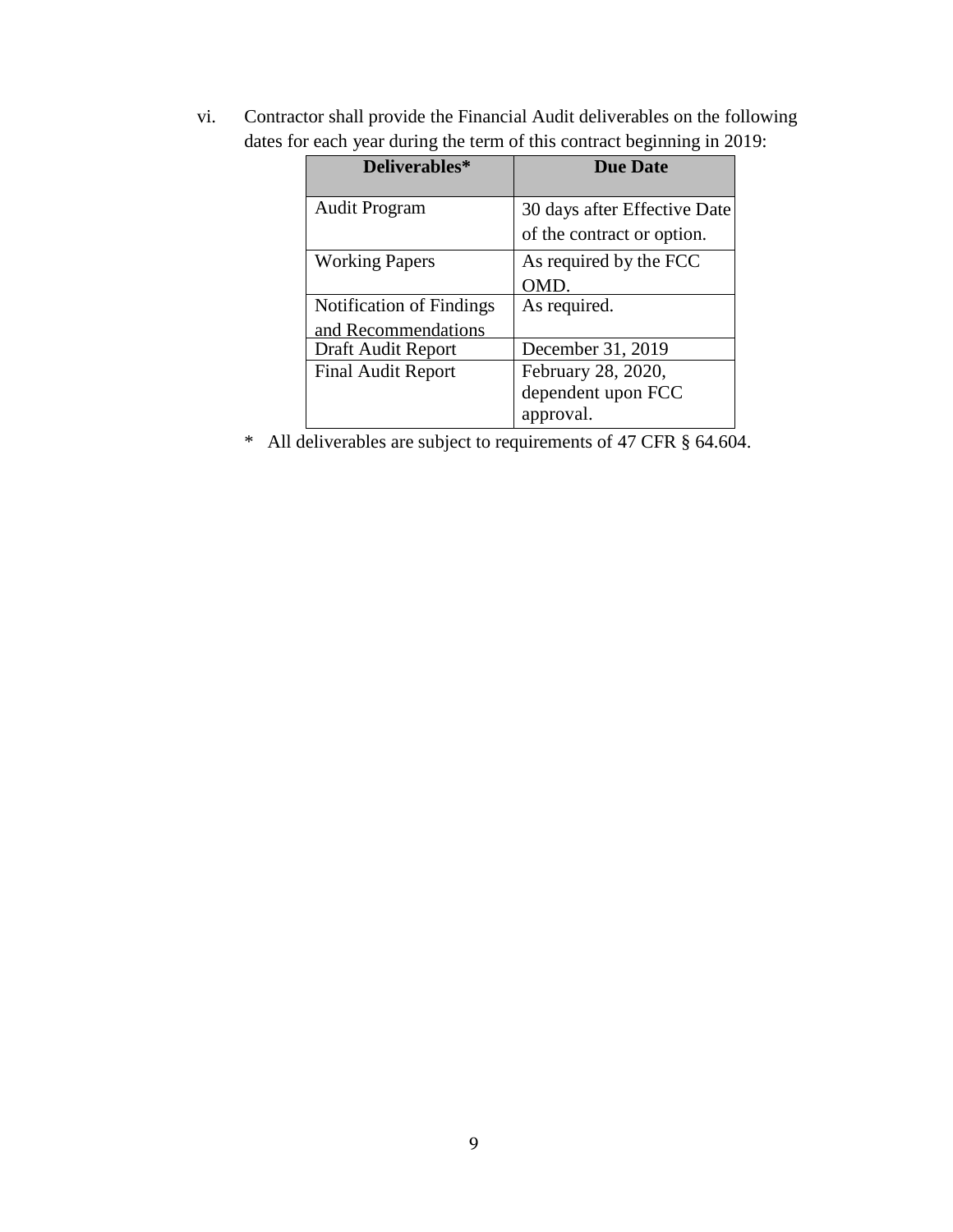vi. Contractor shall provide the Financial Audit deliverables on the following dates for each year during the term of this contract beginning in 2019:

| Deliverables*                                          | <b>Due Date</b>                                            |
|--------------------------------------------------------|------------------------------------------------------------|
| <b>Audit Program</b>                                   | 30 days after Effective Date<br>of the contract or option. |
| <b>Working Papers</b>                                  | As required by the FCC<br>OMD.                             |
| <b>Notification of Findings</b><br>and Recommendations | As required.                                               |
| Draft Audit Report                                     | December 31, 2019                                          |
| <b>Final Audit Report</b>                              | February 28, 2020,<br>dependent upon FCC<br>approval.      |

\* All deliverables are subject to requirements of 47 CFR § 64.604.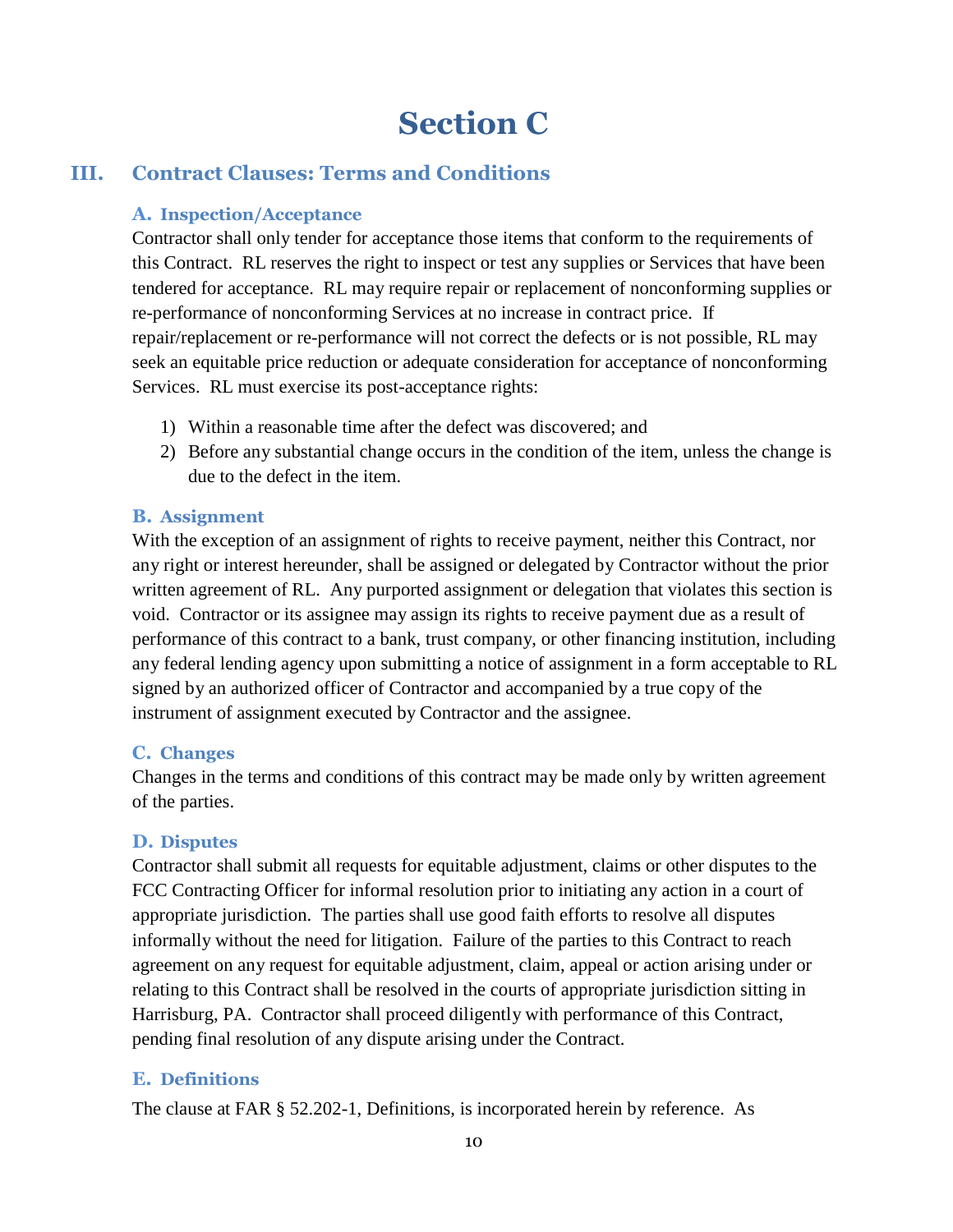## **Section C**

## **III. Contract Clauses: Terms and Conditions**

## **A. Inspection/Acceptance**

Contractor shall only tender for acceptance those items that conform to the requirements of this Contract. RL reserves the right to inspect or test any supplies or Services that have been tendered for acceptance. RL may require repair or replacement of nonconforming supplies or re-performance of nonconforming Services at no increase in contract price. If repair/replacement or re-performance will not correct the defects or is not possible, RL may seek an equitable price reduction or adequate consideration for acceptance of nonconforming Services. RL must exercise its post-acceptance rights:

- 1) Within a reasonable time after the defect was discovered; and
- 2) Before any substantial change occurs in the condition of the item, unless the change is due to the defect in the item.

### **B. Assignment**

With the exception of an assignment of rights to receive payment, neither this Contract, nor any right or interest hereunder, shall be assigned or delegated by Contractor without the prior written agreement of RL. Any purported assignment or delegation that violates this section is void. Contractor or its assignee may assign its rights to receive payment due as a result of performance of this contract to a bank, trust company, or other financing institution, including any federal lending agency upon submitting a notice of assignment in a form acceptable to RL signed by an authorized officer of Contractor and accompanied by a true copy of the instrument of assignment executed by Contractor and the assignee.

#### **C. Changes**

Changes in the terms and conditions of this contract may be made only by written agreement of the parties.

## **D. Disputes**

Contractor shall submit all requests for equitable adjustment, claims or other disputes to the FCC Contracting Officer for informal resolution prior to initiating any action in a court of appropriate jurisdiction. The parties shall use good faith efforts to resolve all disputes informally without the need for litigation. Failure of the parties to this Contract to reach agreement on any request for equitable adjustment, claim, appeal or action arising under or relating to this Contract shall be resolved in the courts of appropriate jurisdiction sitting in Harrisburg, PA. Contractor shall proceed diligently with performance of this Contract, pending final resolution of any dispute arising under the Contract.

## **E. Definitions**

The clause at FAR [§ 52.202-1,](https://www.acquisition.gov/far/current/html/52_200_206.html#wp1137572) Definitions, is incorporated herein by reference. As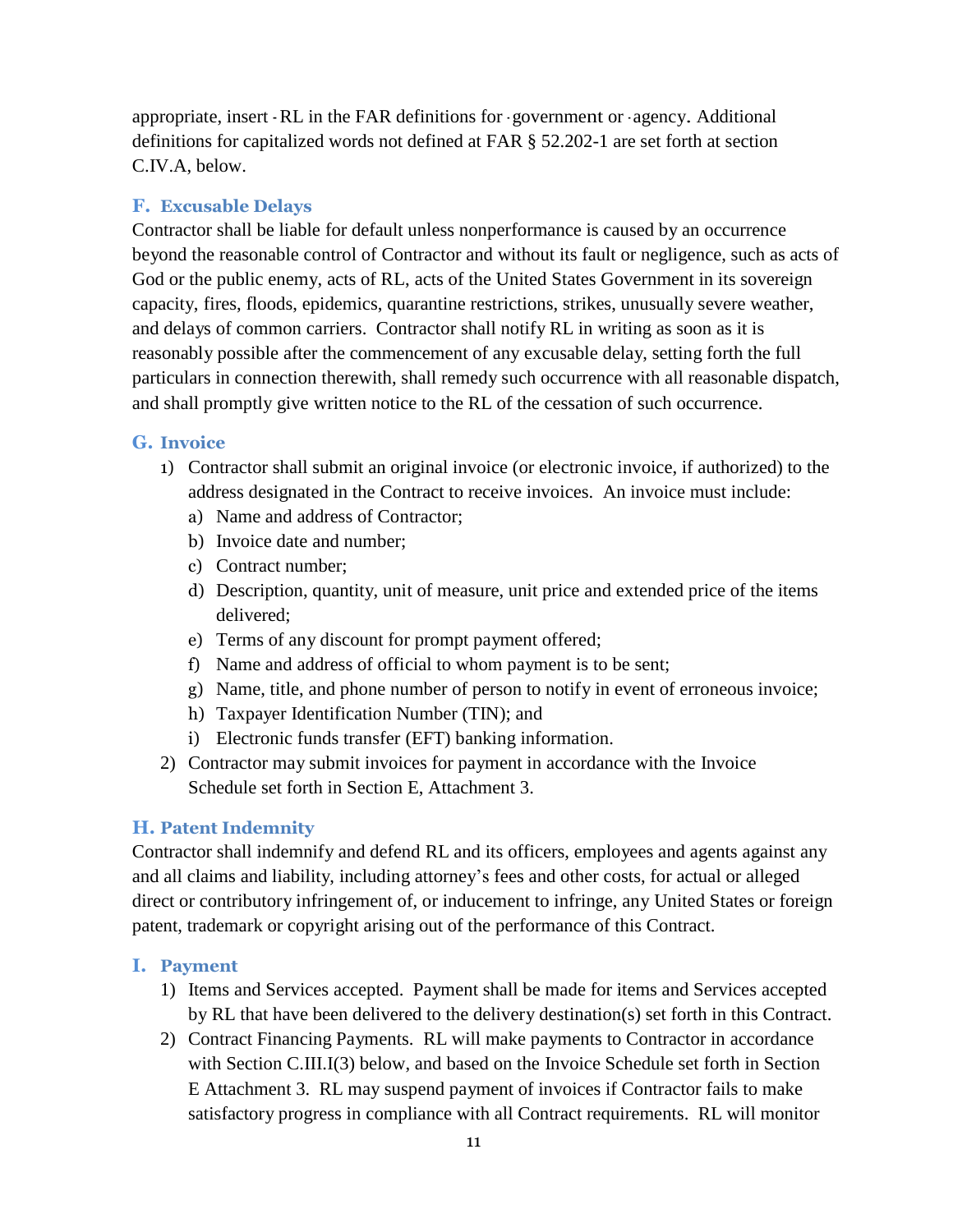appropriate, insert - RL in the FAR definitions for - government or - agency. Additional definitions for capitalized words not defined at FAR § 52.202-1 are set forth at section C.IV.A, below.

#### **F. Excusable Delays**

Contractor shall be liable for default unless nonperformance is caused by an occurrence beyond the reasonable control of Contractor and without its fault or negligence, such as acts of God or the public enemy, acts of RL, acts of the United States Government in its sovereign capacity, fires, floods, epidemics, quarantine restrictions, strikes, unusually severe weather, and delays of common carriers. Contractor shall notify RL in writing as soon as it is reasonably possible after the commencement of any excusable delay, setting forth the full particulars in connection therewith, shall remedy such occurrence with all reasonable dispatch, and shall promptly give written notice to the RL of the cessation of such occurrence.

#### **G. Invoice**

- 1) Contractor shall submit an original invoice (or electronic invoice, if authorized) to the address designated in the Contract to receive invoices. An invoice must include:
	- a) Name and address of Contractor;
	- b) Invoice date and number;
	- c) Contract number;
	- d) Description, quantity, unit of measure, unit price and extended price of the items delivered;
	- e) Terms of any discount for prompt payment offered;
	- f) Name and address of official to whom payment is to be sent;
	- g) Name, title, and phone number of person to notify in event of erroneous invoice;
	- h) Taxpayer Identification Number (TIN); and
	- i) Electronic funds transfer (EFT) banking information.
- 2) Contractor may submit invoices for payment in accordance with the Invoice Schedule set forth in Section E, Attachment 3.

#### **H. Patent Indemnity**

Contractor shall indemnify and defend RL and its officers, employees and agents against any and all claims and liability, including attorney's fees and other costs, for actual or alleged direct or contributory infringement of, or inducement to infringe, any United States or foreign patent, trademark or copyright arising out of the performance of this Contract.

#### **I. Payment**

- 1) Items and Services accepted. Payment shall be made for items and Services accepted by RL that have been delivered to the delivery destination(s) set forth in this Contract.
- 2) Contract Financing Payments. RL will make payments to Contractor in accordance with Section C.III.I(3) below, and based on the Invoice Schedule set forth in Section E Attachment 3. RL may suspend payment of invoices if Contractor fails to make satisfactory progress in compliance with all Contract requirements. RL will monitor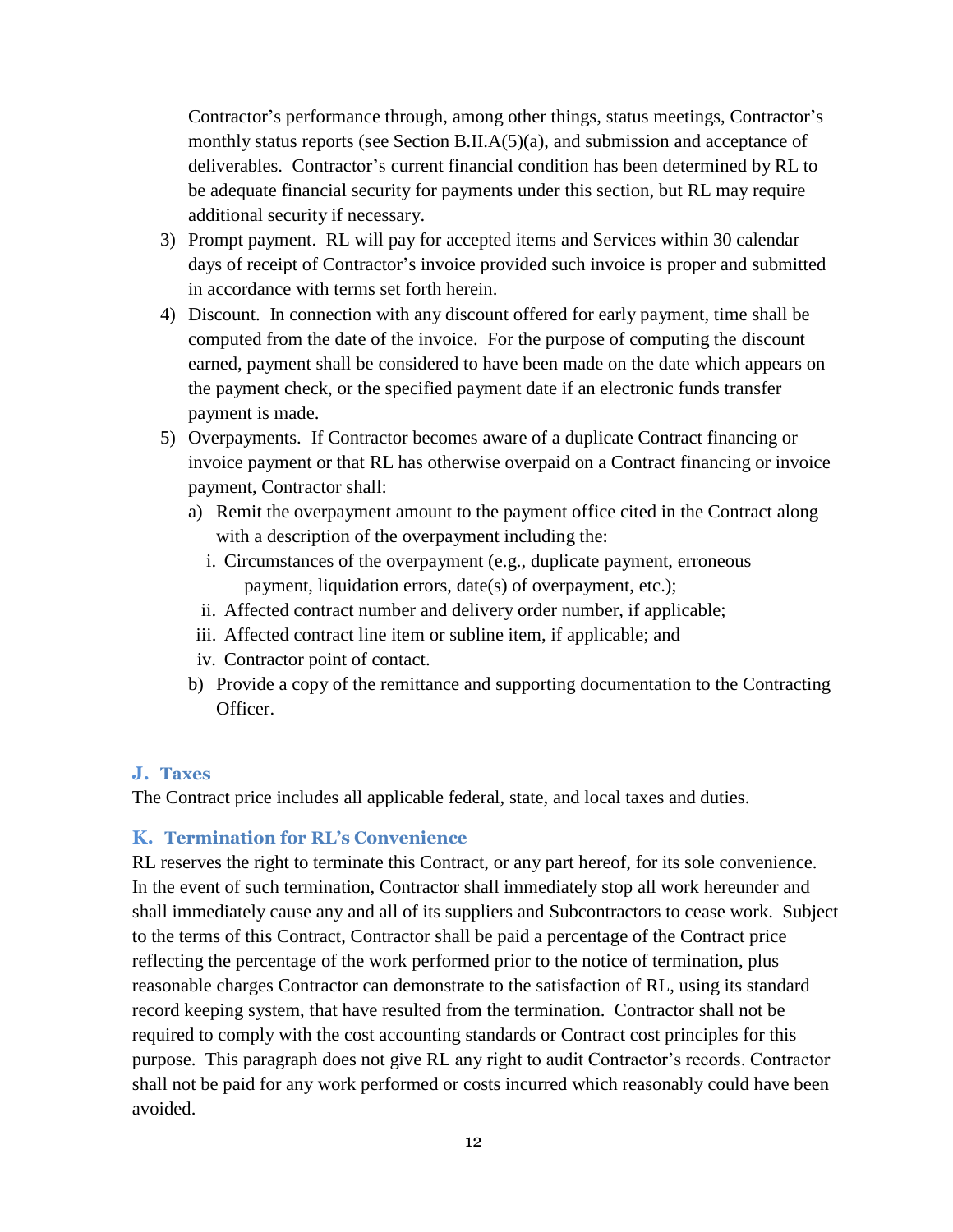Contractor's performance through, among other things, status meetings, Contractor's monthly status reports (see Section B.II.A(5)(a), and submission and acceptance of deliverables. Contractor's current financial condition has been determined by RL to be adequate financial security for payments under this section, but RL may require additional security if necessary.

- 3) Prompt payment. RL will pay for accepted items and Services within 30 calendar days of receipt of Contractor's invoice provided such invoice is proper and submitted in accordance with terms set forth herein.
- 4) Discount. In connection with any discount offered for early payment, time shall be computed from the date of the invoice. For the purpose of computing the discount earned, payment shall be considered to have been made on the date which appears on the payment check, or the specified payment date if an electronic funds transfer payment is made.
- 5) Overpayments. If Contractor becomes aware of a duplicate Contract financing or invoice payment or that RL has otherwise overpaid on a Contract financing or invoice payment, Contractor shall:
	- a) Remit the overpayment amount to the payment office cited in the Contract along with a description of the overpayment including the:
		- i. Circumstances of the overpayment (e.g., duplicate payment, erroneous payment, liquidation errors, date(s) of overpayment, etc.);
		- ii. Affected contract number and delivery order number, if applicable;
	- iii. Affected contract line item or subline item, if applicable; and
	- iv. Contractor point of contact.
	- b) Provide a copy of the remittance and supporting documentation to the Contracting Officer.

#### **J. Taxes**

The Contract price includes all applicable federal, state, and local taxes and duties.

#### **K. Termination for RL's Convenience**

RL reserves the right to terminate this Contract, or any part hereof, for its sole convenience. In the event of such termination, Contractor shall immediately stop all work hereunder and shall immediately cause any and all of its suppliers and Subcontractors to cease work. Subject to the terms of this Contract, Contractor shall be paid a percentage of the Contract price reflecting the percentage of the work performed prior to the notice of termination, plus reasonable charges Contractor can demonstrate to the satisfaction of RL, using its standard record keeping system, that have resulted from the termination. Contractor shall not be required to comply with the cost accounting standards or Contract cost principles for this purpose. This paragraph does not give RL any right to audit Contractor's records. Contractor shall not be paid for any work performed or costs incurred which reasonably could have been avoided.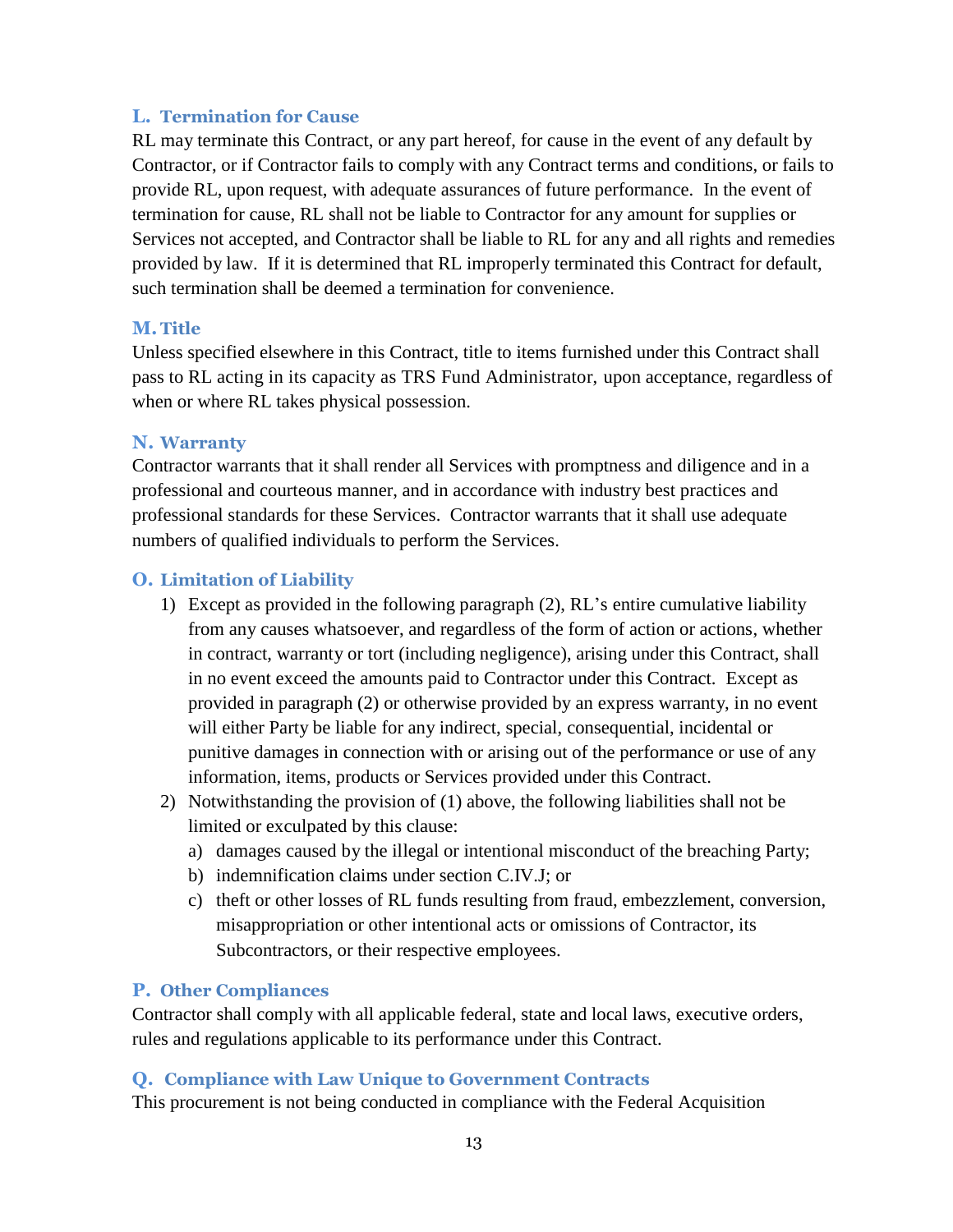#### **L. Termination for Cause**

RL may terminate this Contract, or any part hereof, for cause in the event of any default by Contractor, or if Contractor fails to comply with any Contract terms and conditions, or fails to provide RL, upon request, with adequate assurances of future performance. In the event of termination for cause, RL shall not be liable to Contractor for any amount for supplies or Services not accepted, and Contractor shall be liable to RL for any and all rights and remedies provided by law. If it is determined that RL improperly terminated this Contract for default, such termination shall be deemed a termination for convenience.

#### **M.Title**

Unless specified elsewhere in this Contract, title to items furnished under this Contract shall pass to RL acting in its capacity as TRS Fund Administrator, upon acceptance, regardless of when or where RL takes physical possession.

#### **N. Warranty**

Contractor warrants that it shall render all Services with promptness and diligence and in a professional and courteous manner, and in accordance with industry best practices and professional standards for these Services. Contractor warrants that it shall use adequate numbers of qualified individuals to perform the Services.

#### **O. Limitation of Liability**

- 1) Except as provided in the following paragraph (2), RL's entire cumulative liability from any causes whatsoever, and regardless of the form of action or actions, whether in contract, warranty or tort (including negligence), arising under this Contract, shall in no event exceed the amounts paid to Contractor under this Contract. Except as provided in paragraph (2) or otherwise provided by an express warranty, in no event will either Party be liable for any indirect, special, consequential, incidental or punitive damages in connection with or arising out of the performance or use of any information, items, products or Services provided under this Contract.
- 2) Notwithstanding the provision of (1) above, the following liabilities shall not be limited or exculpated by this clause:
	- a) damages caused by the illegal or intentional misconduct of the breaching Party;
	- b) indemnification claims under section C.IV.J; or
	- c) theft or other losses of RL funds resulting from fraud, embezzlement, conversion, misappropriation or other intentional acts or omissions of Contractor, its Subcontractors, or their respective employees.

#### **P. Other Compliances**

Contractor shall comply with all applicable federal, state and local laws, executive orders, rules and regulations applicable to its performance under this Contract.

#### **Q. Compliance with Law Unique to Government Contracts**

This procurement is not being conducted in compliance with the Federal Acquisition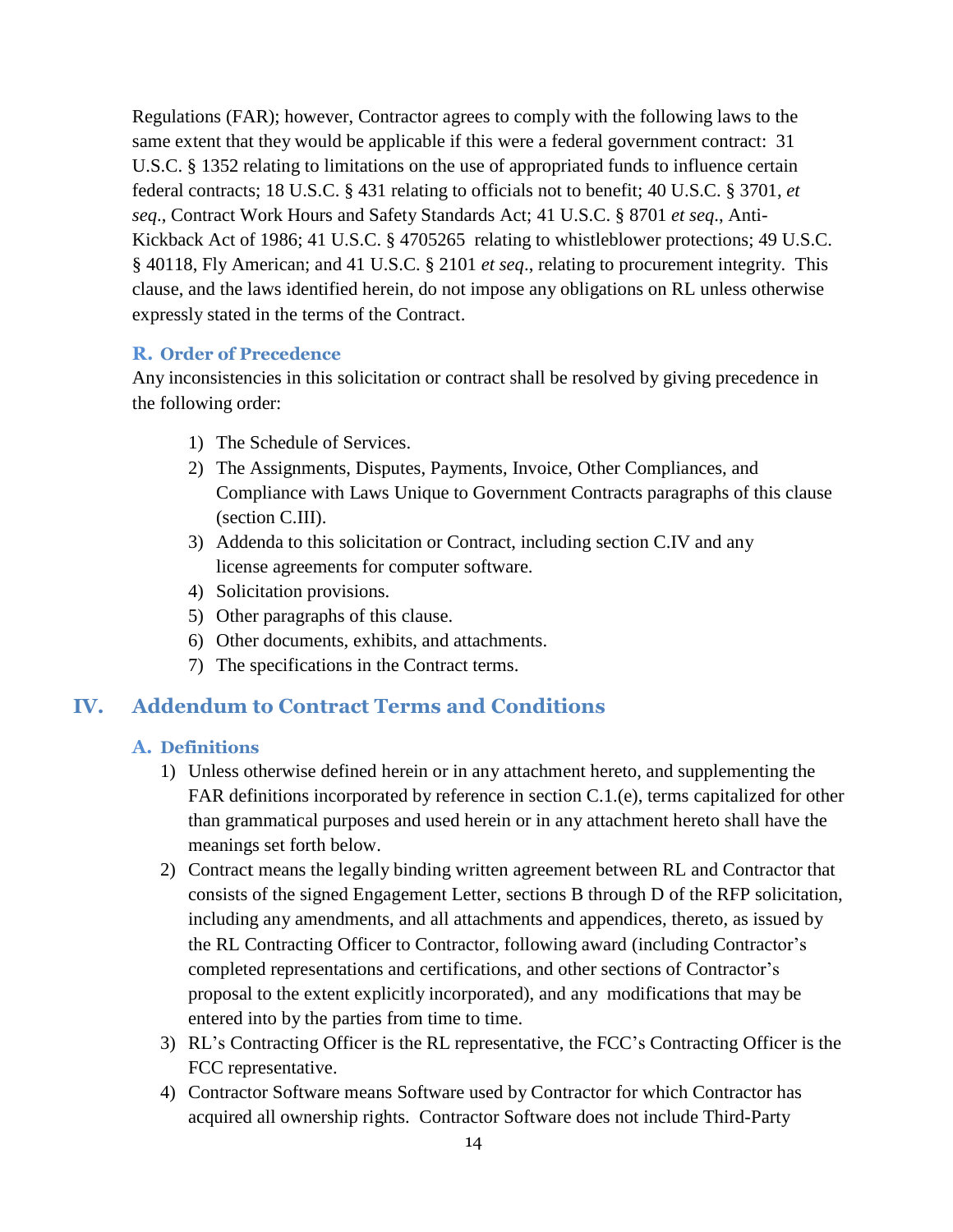Regulations (FAR); however, Contractor agrees to comply with the following laws to the same extent that they would be applicable if this were a federal government contract: [31](http://uscode.house.gov/uscode-cgi/fastweb.exe?getdoc%2Buscview%2Bt29t32%2B1665%2B30%2B%2B%2831%29%20%20AND%20%28%2831%29%20ADJ%20USC%29%3ACITE%20%20%20%20%20%20%20%20%20) [U.S.C. § 1352](http://uscode.house.gov/uscode-cgi/fastweb.exe?getdoc%2Buscview%2Bt29t32%2B1665%2B30%2B%2B%2831%29%20%20AND%20%28%2831%29%20ADJ%20USC%29%3ACITE%20%20%20%20%20%20%20%20%20) relating to limitations on the use of appropriated funds to influence certain federal contracts; [18 U.S.C. § 431](http://uscode.house.gov/uscode-cgi/fastweb.exe?getdoc%2Buscview%2Bt17t20%2B160%2B141%2B%2B%2818%29%20%25) relating to officials not to benefit; [40](http://uscode.house.gov/uscode-cgi/fastweb.exe?getdoc%2Buscview%2Bt37t40%2B1574%2B51%2B%2B%2840%29%20%20AND%20%28%2840%29%20ADJ%20USC%29%3ACITE%20%20%20%20%20%20%20%20%20) [U.S.C.](http://uscode.house.gov/uscode-cgi/fastweb.exe?getdoc%2Buscview%2Bt37t40%2B1574%2B51%2B%2B%2840%29%20%20AND%20%28%2840%29%20ADJ%20USC%29%3ACITE%20%20%20%20%20%20%20%20%20) § 3701, *et seq*., Contract Work Hours and Safety Standards Act; [41 U.S.C.](http://uscode.house.gov/uscode-cgi/fastweb.exe?getdoc%2Buscview%2Bt41t42%2B2%2B13%2B%2B%2841%29%20%20AND%20%28%2841%29%20ADJ%20USC%29%3ACITE%20%20%20%20%20%20%20%20%20) § 8701 *et seq*., Anti-Kickback Act of 1986; [41 U.S.C. § 4705265](http://uscode.house.gov/uscode-cgi/fastweb.exe?getdoc%2Buscview%2Bt41t42%2B2%2B13%2B%2B%2841%29%20%20AND%20%28%2841%29%20ADJ%20USC%29%3ACITE%20%20%20%20%20%20%20%20%20) relating to whistleblower protections; [49 U.S.C.](http://uscode.house.gov/uscode-cgi/fastweb.exe?getdoc%2Buscview%2Bt49t50%2B2%2B224%2B%2B%2849%29%20%20AND%20%28%2849%29%20ADJ%20USC%29%3ACITE%20%20%20%20%20%20%20%20%20) § 40118, Fly American; and 41 [U.S.C. § 2101](http://uscode.house.gov/uscode-cgi/fastweb.exe?getdoc%2Buscview%2Bt41t42%2B2%2B13%2B%2B%2841%29%20%20AND%20%28%2841%29%20ADJ%20USC%29%3ACITE%20%20%20%20%20%20%20%20%20) *et seq*., relating to procurement integrity. This clause, and the laws identified herein, do not impose any obligations on RL unless otherwise expressly stated in the terms of the Contract.

#### **R. Order of Precedence**

Any inconsistencies in this solicitation or contract shall be resolved by giving precedence in the following order:

- 1) The Schedule of Services.
- 2) The Assignments, Disputes, Payments, Invoice, Other Compliances, and Compliance with Laws Unique to Government Contracts paragraphs of this clause (section C.III).
- 3) Addenda to this solicitation or Contract, including section C.IV and any license agreements for computer software.
- 4) Solicitation provisions.
- 5) Other paragraphs of this clause.
- 6) Other documents, exhibits, and attachments.
- 7) The specifications in the Contract terms.

## **IV. Addendum to Contract Terms and Conditions**

#### **A. Definitions**

- 1) Unless otherwise defined herein or in any attachment hereto, and supplementing the FAR definitions incorporated by reference in section C.1.(e), terms capitalized for other than grammatical purposes and used herein or in any attachment hereto shall have the meanings set forth below.
- 2) Contract means the legally binding written agreement between RL and Contractor that consists of the signed Engagement Letter, sections B through D of the RFP solicitation, including any amendments, and all attachments and appendices, thereto, as issued by the RL Contracting Officer to Contractor, following award (including Contractor's completed representations and certifications, and other sections of Contractor's proposal to the extent explicitly incorporated), and any modifications that may be entered into by the parties from time to time.
- 3) RL's Contracting Officer is the RL representative, the FCC's Contracting Officer is the FCC representative.
- 4) Contractor Software means Software used by Contractor for which Contractor has acquired all ownership rights. Contractor Software does not include Third-Party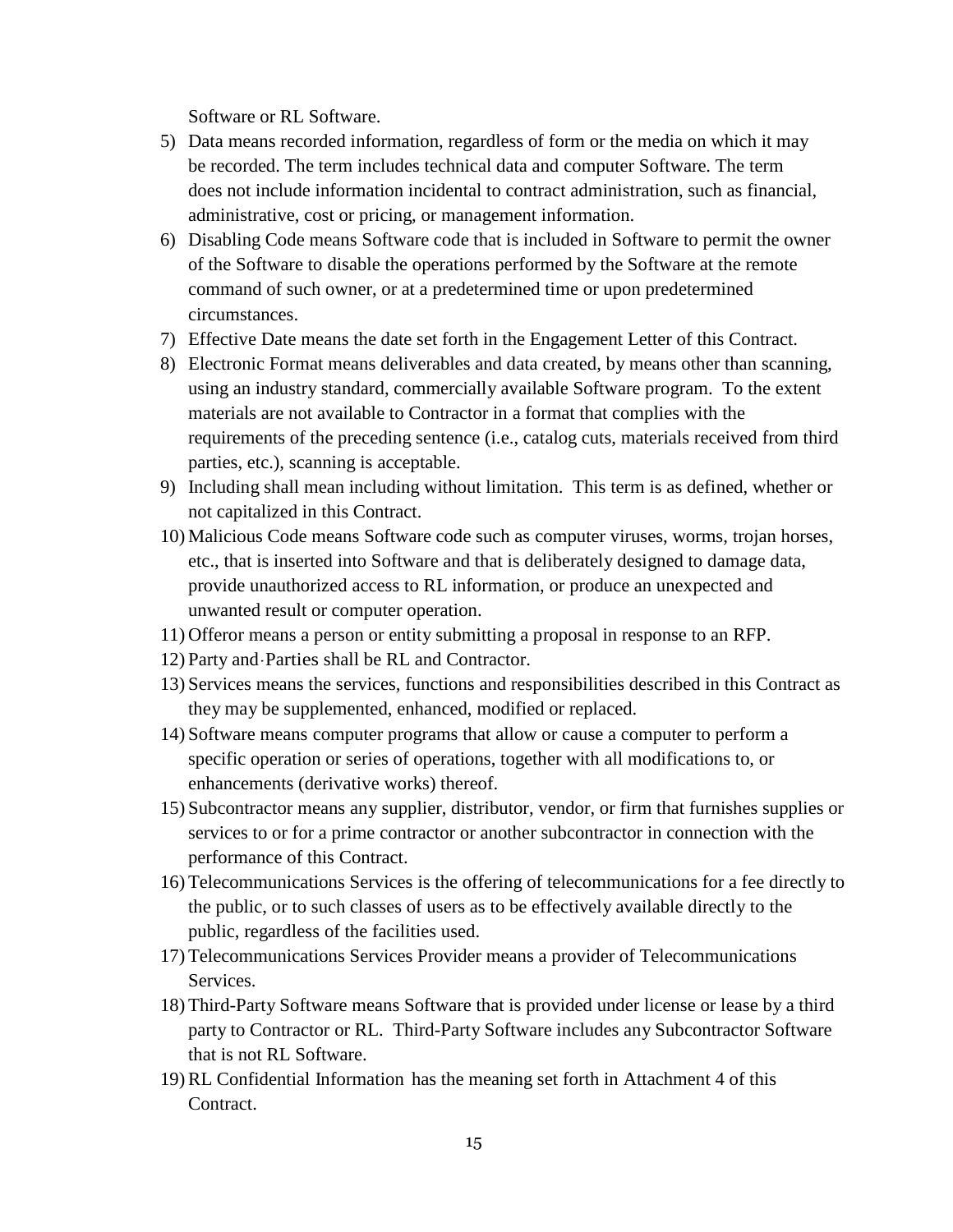Software or RL Software.

- 5) Data means recorded information, regardless of form or the media on which it may be recorded. The term includes technical data and computer Software. The term does not include information incidental to contract administration, such as financial, administrative, cost or pricing, or management information.
- 6) Disabling Code means Software code that is included in Software to permit the owner of the Software to disable the operations performed by the Software at the remote command of such owner, or at a predetermined time or upon predetermined circumstances.
- 7) Effective Date means the date set forth in the Engagement Letter of this Contract.
- 8) Electronic Format means deliverables and data created, by means other than scanning, using an industry standard, commercially available Software program. To the extent materials are not available to Contractor in a format that complies with the requirements of the preceding sentence (i.e., catalog cuts, materials received from third parties, etc.), scanning is acceptable.
- 9) Including shall mean including without limitation. This term is as defined, whether or not capitalized in this Contract.
- 10) Malicious Code means Software code such as computer viruses, worms, trojan horses, etc., that is inserted into Software and that is deliberately designed to damage data, provide unauthorized access to RL information, or produce an unexpected and unwanted result or computer operation.
- 11) Offeror means a person or entity submitting a proposal in response to an RFP.
- 12) Party and- Parties shall be RL and Contractor.
- 13) Services means the services, functions and responsibilities described in this Contract as they may be supplemented, enhanced, modified or replaced.
- 14) Software means computer programs that allow or cause a computer to perform a specific operation or series of operations, together with all modifications to, or enhancements (derivative works) thereof.
- 15) Subcontractor means any supplier, distributor, vendor, or firm that furnishes supplies or services to or for a prime contractor or another subcontractor in connection with the performance of this Contract.
- 16) Telecommunications Services is the offering of telecommunications for a fee directly to the public, or to such classes of users as to be effectively available directly to the public, regardless of the facilities used.
- 17) Telecommunications Services Provider means a provider of Telecommunications Services.
- 18) Third-Party Software means Software that is provided under license or lease by a third party to Contractor or RL. Third-Party Software includes any Subcontractor Software that is not RL Software.
- 19) RL Confidential Information has the meaning set forth in Attachment 4 of this Contract.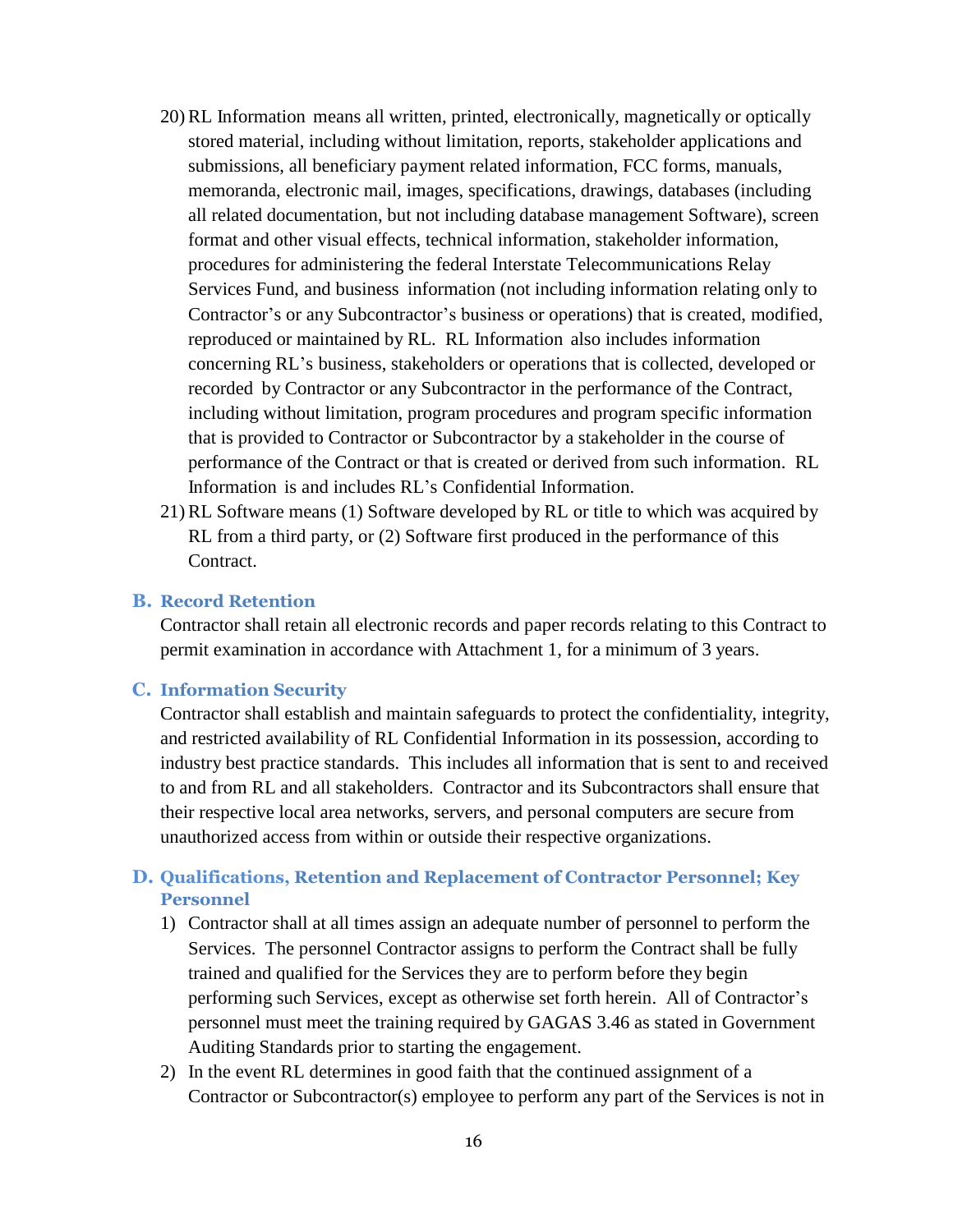- 20) RL Information means all written, printed, electronically, magnetically or optically stored material, including without limitation, reports, stakeholder applications and submissions, all beneficiary payment related information, FCC forms, manuals, memoranda, electronic mail, images, specifications, drawings, databases (including all related documentation, but not including database management Software), screen format and other visual effects, technical information, stakeholder information, procedures for administering the federal Interstate Telecommunications Relay Services Fund, and business information (not including information relating only to Contractor's or any Subcontractor's business or operations) that is created, modified, reproduced or maintained by RL. RL Information also includes information concerning RL's business, stakeholders or operations that is collected, developed or recorded by Contractor or any Subcontractor in the performance of the Contract, including without limitation, program procedures and program specific information that is provided to Contractor or Subcontractor by a stakeholder in the course of performance of the Contract or that is created or derived from such information. RL Information is and includes RL's Confidential Information.
- 21) RL Software means (1) Software developed by RL or title to which was acquired by RL from a third party, or (2) Software first produced in the performance of this Contract.

#### **B. Record Retention**

Contractor shall retain all electronic records and paper records relating to this Contract to permit examination in accordance with Attachment 1, for a minimum of 3 years.

#### **C. Information Security**

Contractor shall establish and maintain safeguards to protect the confidentiality, integrity, and restricted availability of RL Confidential Information in its possession, according to industry best practice standards. This includes all information that is sent to and received to and from RL and all stakeholders. Contractor and its Subcontractors shall ensure that their respective local area networks, servers, and personal computers are secure from unauthorized access from within or outside their respective organizations.

#### **D. Qualifications, Retention and Replacement of Contractor Personnel; Key Personnel**

- 1) Contractor shall at all times assign an adequate number of personnel to perform the Services. The personnel Contractor assigns to perform the Contract shall be fully trained and qualified for the Services they are to perform before they begin performing such Services, except as otherwise set forth herein. All of Contractor's personnel must meet the training required by GAGAS 3.46 as stated in Government Auditing Standards prior to starting the engagement.
- 2) In the event RL determines in good faith that the continued assignment of a Contractor or Subcontractor(s) employee to perform any part of the Services is not in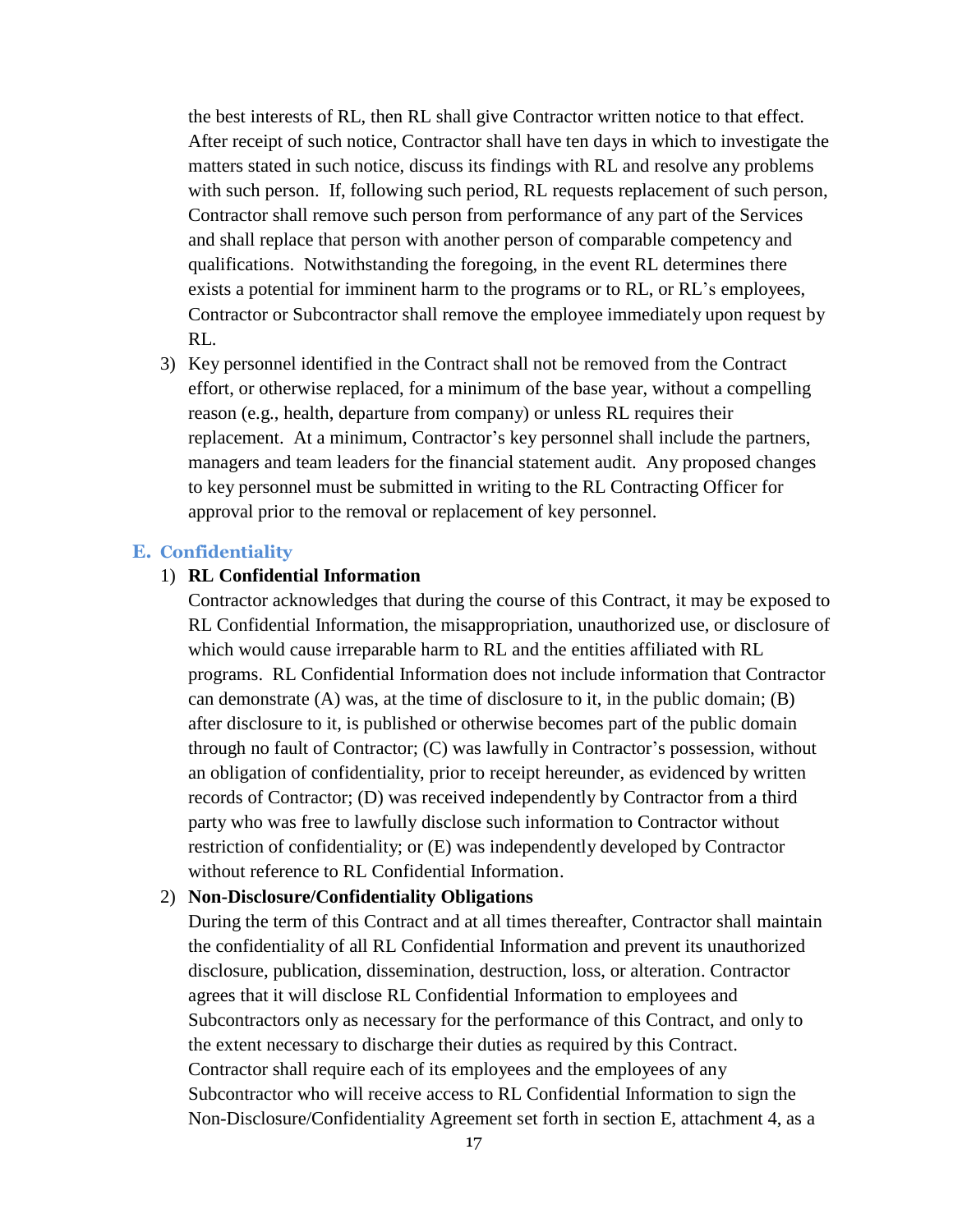the best interests of RL, then RL shall give Contractor written notice to that effect. After receipt of such notice, Contractor shall have ten days in which to investigate the matters stated in such notice, discuss its findings with RL and resolve any problems with such person. If, following such period, RL requests replacement of such person, Contractor shall remove such person from performance of any part of the Services and shall replace that person with another person of comparable competency and qualifications. Notwithstanding the foregoing, in the event RL determines there exists a potential for imminent harm to the programs or to RL, or RL's employees, Contractor or Subcontractor shall remove the employee immediately upon request by RL.

3) Key personnel identified in the Contract shall not be removed from the Contract effort, or otherwise replaced, for a minimum of the base year, without a compelling reason (e.g., health, departure from company) or unless RL requires their replacement. At a minimum, Contractor's key personnel shall include the partners, managers and team leaders for the financial statement audit. Any proposed changes to key personnel must be submitted in writing to the RL Contracting Officer for approval prior to the removal or replacement of key personnel.

#### **E. Confidentiality**

#### 1) **RL Confidential Information**

Contractor acknowledges that during the course of this Contract, it may be exposed to RL Confidential Information, the misappropriation, unauthorized use, or disclosure of which would cause irreparable harm to RL and the entities affiliated with RL programs. RL Confidential Information does not include information that Contractor can demonstrate  $(A)$  was, at the time of disclosure to it, in the public domain;  $(B)$ after disclosure to it, is published or otherwise becomes part of the public domain through no fault of Contractor; (C) was lawfully in Contractor's possession, without an obligation of confidentiality, prior to receipt hereunder, as evidenced by written records of Contractor; (D) was received independently by Contractor from a third party who was free to lawfully disclose such information to Contractor without restriction of confidentiality; or (E) was independently developed by Contractor without reference to RL Confidential Information.

#### 2) **Non-Disclosure/Confidentiality Obligations**

During the term of this Contract and at all times thereafter, Contractor shall maintain the confidentiality of all RL Confidential Information and prevent its unauthorized disclosure, publication, dissemination, destruction, loss, or alteration. Contractor agrees that it will disclose RL Confidential Information to employees and Subcontractors only as necessary for the performance of this Contract, and only to the extent necessary to discharge their duties as required by this Contract. Contractor shall require each of its employees and the employees of any Subcontractor who will receive access to RL Confidential Information to sign the Non-Disclosure/Confidentiality Agreement set forth in section E, attachment 4, as a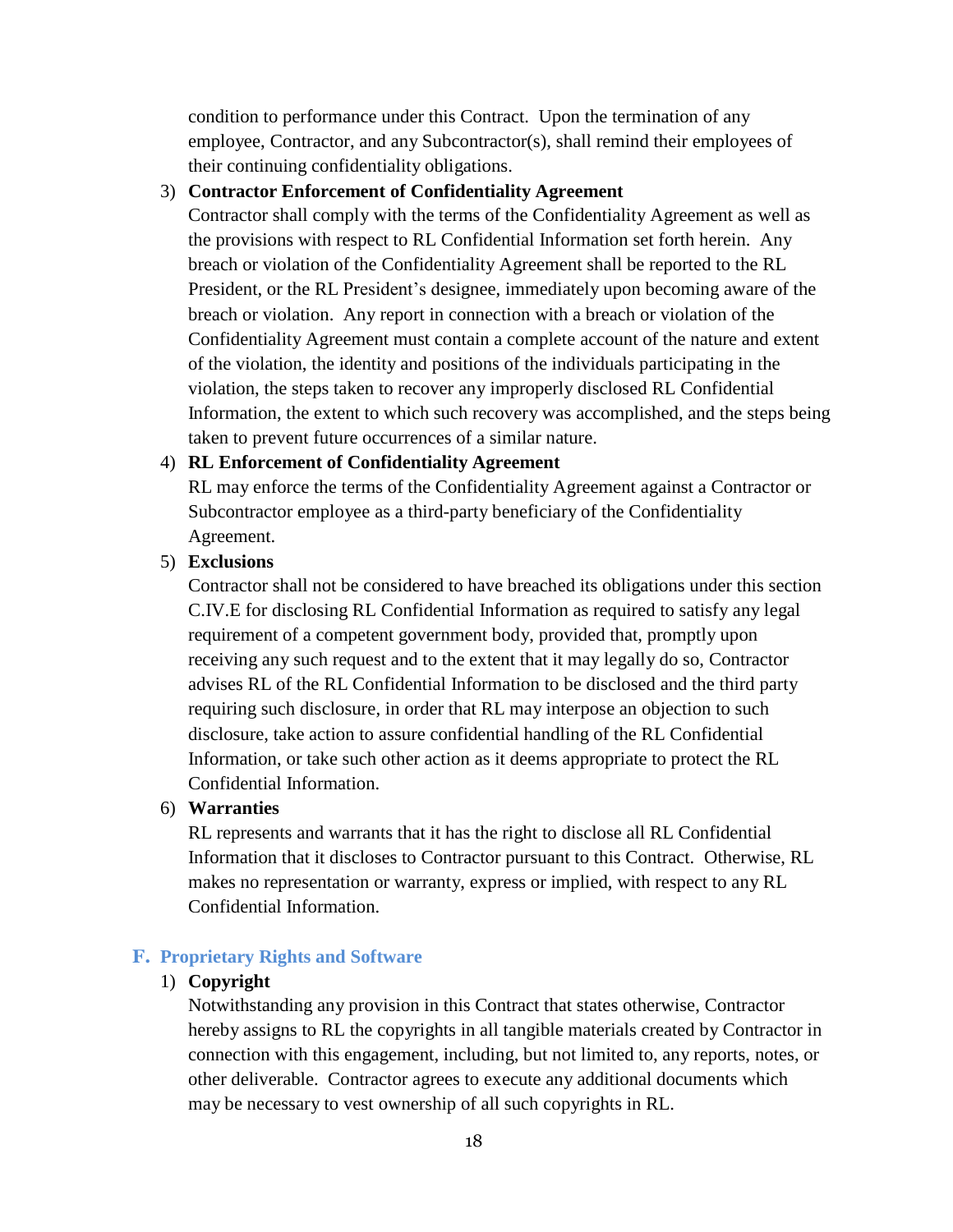condition to performance under this Contract. Upon the termination of any employee, Contractor, and any Subcontractor(s), shall remind their employees of their continuing confidentiality obligations.

#### 3) **Contractor Enforcement of Confidentiality Agreement**

Contractor shall comply with the terms of the Confidentiality Agreement as well as the provisions with respect to RL Confidential Information set forth herein. Any breach or violation of the Confidentiality Agreement shall be reported to the RL President, or the RL President's designee, immediately upon becoming aware of the breach or violation. Any report in connection with a breach or violation of the Confidentiality Agreement must contain a complete account of the nature and extent of the violation, the identity and positions of the individuals participating in the violation, the steps taken to recover any improperly disclosed RL Confidential Information, the extent to which such recovery was accomplished, and the steps being taken to prevent future occurrences of a similar nature.

#### 4) **RL Enforcement of Confidentiality Agreement**

RL may enforce the terms of the Confidentiality Agreement against a Contractor or Subcontractor employee as a third-party beneficiary of the Confidentiality Agreement.

5) **Exclusions** 

Contractor shall not be considered to have breached its obligations under this section C.IV.E for disclosing RL Confidential Information as required to satisfy any legal requirement of a competent government body, provided that, promptly upon receiving any such request and to the extent that it may legally do so, Contractor advises RL of the RL Confidential Information to be disclosed and the third party requiring such disclosure, in order that RL may interpose an objection to such disclosure, take action to assure confidential handling of the RL Confidential Information, or take such other action as it deems appropriate to protect the RL Confidential Information.

#### 6) **Warranties**

RL represents and warrants that it has the right to disclose all RL Confidential Information that it discloses to Contractor pursuant to this Contract. Otherwise, RL makes no representation or warranty, express or implied, with respect to any RL Confidential Information.

#### **F. Proprietary Rights and Software**

#### 1) **Copyright**

Notwithstanding any provision in this Contract that states otherwise, Contractor hereby assigns to RL the copyrights in all tangible materials created by Contractor in connection with this engagement, including, but not limited to, any reports, notes, or other deliverable. Contractor agrees to execute any additional documents which may be necessary to vest ownership of all such copyrights in RL.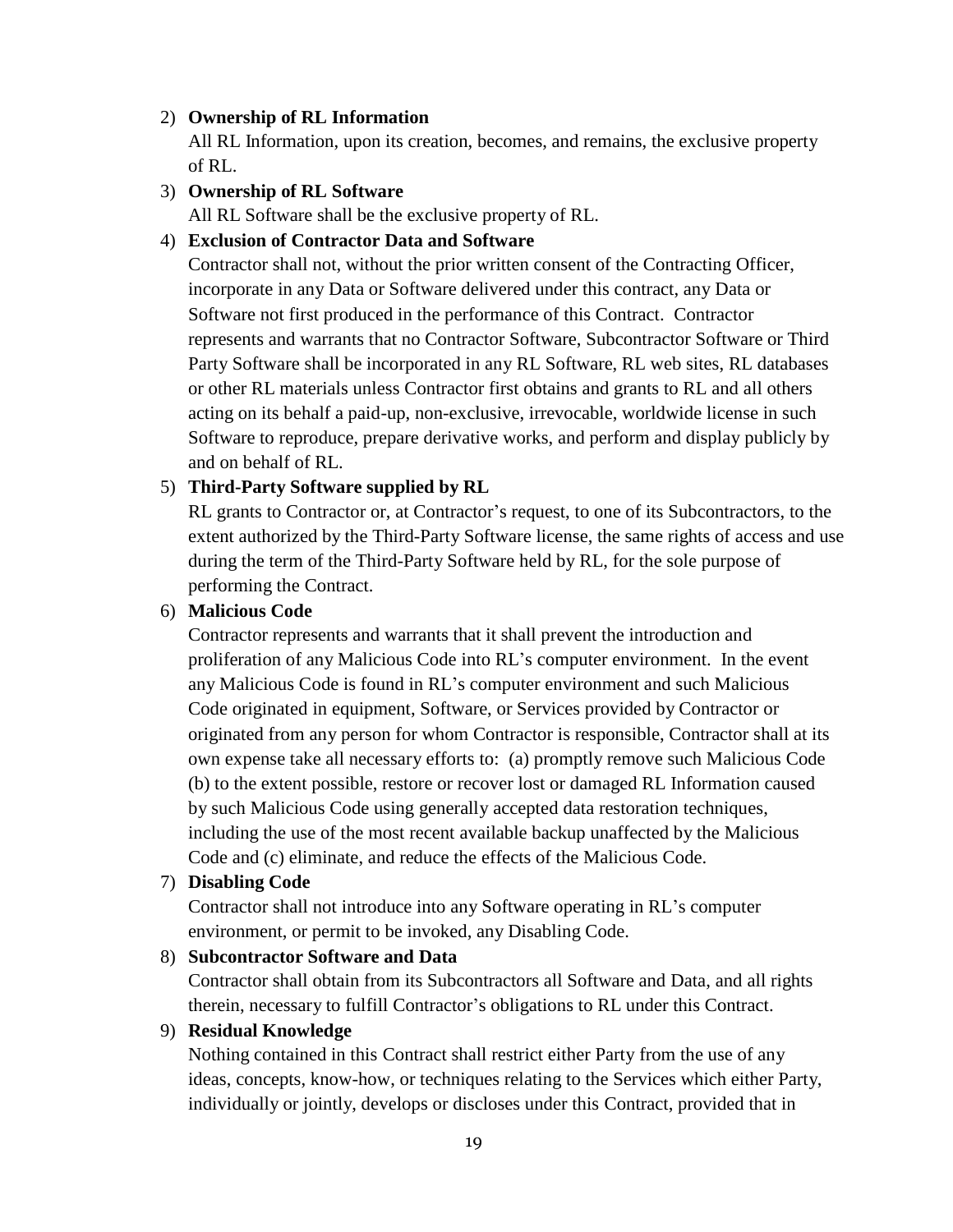#### 2) **Ownership of RL Information**

All RL Information, upon its creation, becomes, and remains, the exclusive property of RL.

#### 3) **Ownership of RL Software**

All RL Software shall be the exclusive property of RL.

#### 4) **Exclusion of Contractor Data and Software**

Contractor shall not, without the prior written consent of the Contracting Officer, incorporate in any Data or Software delivered under this contract, any Data or Software not first produced in the performance of this Contract. Contractor represents and warrants that no Contractor Software, Subcontractor Software or Third Party Software shall be incorporated in any RL Software, RL web sites, RL databases or other RL materials unless Contractor first obtains and grants to RL and all others acting on its behalf a paid-up, non-exclusive, irrevocable, worldwide license in such Software to reproduce, prepare derivative works, and perform and display publicly by and on behalf of RL.

#### 5) **Third-Party Software supplied by RL**

RL grants to Contractor or, at Contractor's request, to one of its Subcontractors, to the extent authorized by the Third-Party Software license, the same rights of access and use during the term of the Third-Party Software held by RL, for the sole purpose of performing the Contract.

#### 6) **Malicious Code**

Contractor represents and warrants that it shall prevent the introduction and proliferation of any Malicious Code into RL's computer environment. In the event any Malicious Code is found in RL's computer environment and such Malicious Code originated in equipment, Software, or Services provided by Contractor or originated from any person for whom Contractor is responsible, Contractor shall at its own expense take all necessary efforts to: (a) promptly remove such Malicious Code (b) to the extent possible, restore or recover lost or damaged RL Information caused by such Malicious Code using generally accepted data restoration techniques, including the use of the most recent available backup unaffected by the Malicious Code and (c) eliminate, and reduce the effects of the Malicious Code.

#### 7) **Disabling Code**

Contractor shall not introduce into any Software operating in RL's computer environment, or permit to be invoked, any Disabling Code.

#### 8) **Subcontractor Software and Data**

Contractor shall obtain from its Subcontractors all Software and Data, and all rights therein, necessary to fulfill Contractor's obligations to RL under this Contract.

#### 9) **Residual Knowledge**

Nothing contained in this Contract shall restrict either Party from the use of any ideas, concepts, know-how, or techniques relating to the Services which either Party, individually or jointly, develops or discloses under this Contract, provided that in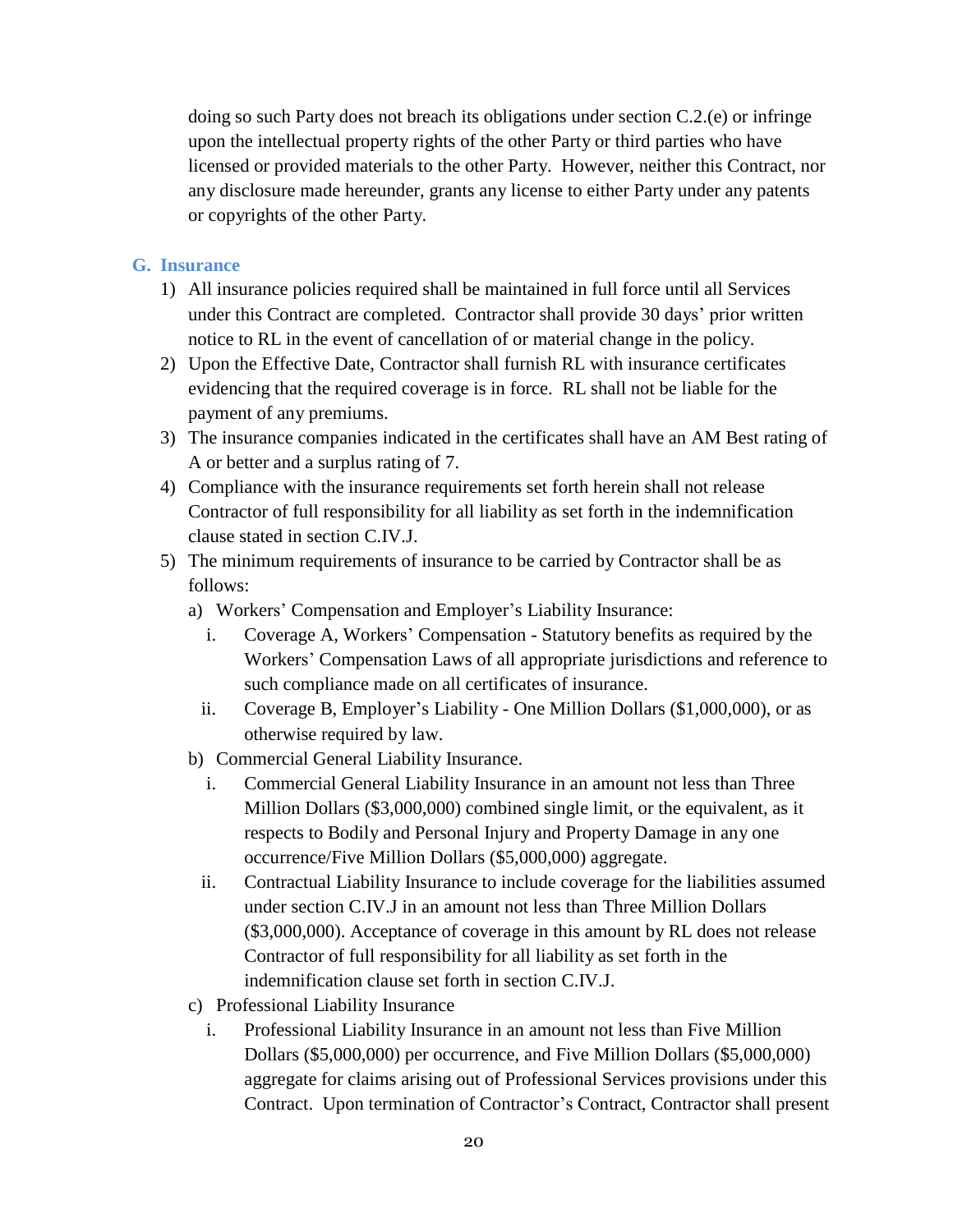doing so such Party does not breach its obligations under section C.2.(e) or infringe upon the intellectual property rights of the other Party or third parties who have licensed or provided materials to the other Party. However, neither this Contract, nor any disclosure made hereunder, grants any license to either Party under any patents or copyrights of the other Party.

#### **G. Insurance**

- 1) All insurance policies required shall be maintained in full force until all Services under this Contract are completed. Contractor shall provide 30 days' prior written notice to RL in the event of cancellation of or material change in the policy.
- 2) Upon the Effective Date, Contractor shall furnish RL with insurance certificates evidencing that the required coverage is in force. RL shall not be liable for the payment of any premiums.
- 3) The insurance companies indicated in the certificates shall have an AM Best rating of A or better and a surplus rating of 7.
- 4) Compliance with the insurance requirements set forth herein shall not release Contractor of full responsibility for all liability as set forth in the indemnification clause stated in section C.IV.J.
- 5) The minimum requirements of insurance to be carried by Contractor shall be as follows:
	- a) Workers' Compensation and Employer's Liability Insurance:
		- i. Coverage A, Workers' Compensation Statutory benefits as required by the Workers' Compensation Laws of all appropriate jurisdictions and reference to such compliance made on all certificates of insurance.
		- ii. Coverage B, Employer's Liability One Million Dollars (\$1,000,000), or as otherwise required by law.
	- b) Commercial General Liability Insurance.
		- i. Commercial General Liability Insurance in an amount not less than Three Million Dollars (\$3,000,000) combined single limit, or the equivalent, as it respects to Bodily and Personal Injury and Property Damage in any one occurrence/Five Million Dollars (\$5,000,000) aggregate.
		- ii. Contractual Liability Insurance to include coverage for the liabilities assumed under section C.IV.J in an amount not less than Three Million Dollars (\$3,000,000). Acceptance of coverage in this amount by RL does not release Contractor of full responsibility for all liability as set forth in the indemnification clause set forth in section C.IV.J.
	- c) Professional Liability Insurance
		- i. Professional Liability Insurance in an amount not less than Five Million Dollars (\$5,000,000) per occurrence, and Five Million Dollars (\$5,000,000) aggregate for claims arising out of Professional Services provisions under this Contract. Upon termination of Contractor's Contract, Contractor shall present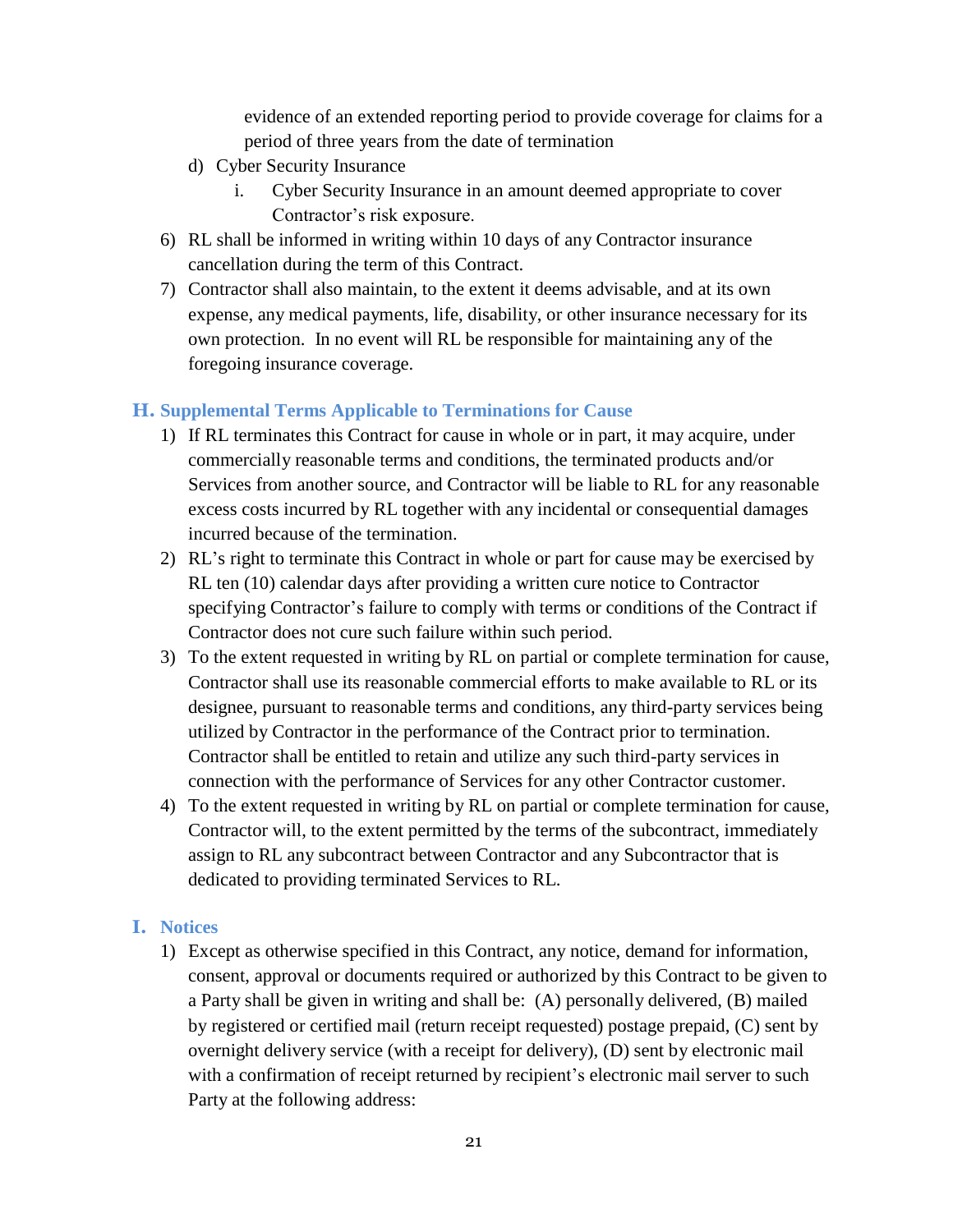evidence of an extended reporting period to provide coverage for claims for a period of three years from the date of termination

- d) Cyber Security Insurance
	- i. Cyber Security Insurance in an amount deemed appropriate to cover Contractor's risk exposure.
- 6) RL shall be informed in writing within 10 days of any Contractor insurance cancellation during the term of this Contract.
- 7) Contractor shall also maintain, to the extent it deems advisable, and at its own expense, any medical payments, life, disability, or other insurance necessary for its own protection. In no event will RL be responsible for maintaining any of the foregoing insurance coverage.

#### **H. Supplemental Terms Applicable to Terminations for Cause**

- 1) If RL terminates this Contract for cause in whole or in part, it may acquire, under commercially reasonable terms and conditions, the terminated products and/or Services from another source, and Contractor will be liable to RL for any reasonable excess costs incurred by RL together with any incidental or consequential damages incurred because of the termination.
- 2) RL's right to terminate this Contract in whole or part for cause may be exercised by RL ten (10) calendar days after providing a written cure notice to Contractor specifying Contractor's failure to comply with terms or conditions of the Contract if Contractor does not cure such failure within such period.
- 3) To the extent requested in writing by RL on partial or complete termination for cause, Contractor shall use its reasonable commercial efforts to make available to RL or its designee, pursuant to reasonable terms and conditions, any third-party services being utilized by Contractor in the performance of the Contract prior to termination. Contractor shall be entitled to retain and utilize any such third-party services in connection with the performance of Services for any other Contractor customer.
- 4) To the extent requested in writing by RL on partial or complete termination for cause, Contractor will, to the extent permitted by the terms of the subcontract, immediately assign to RL any subcontract between Contractor and any Subcontractor that is dedicated to providing terminated Services to RL.

#### **I. Notices**

1) Except as otherwise specified in this Contract, any notice, demand for information, consent, approval or documents required or authorized by this Contract to be given to a Party shall be given in writing and shall be: (A) personally delivered, (B) mailed by registered or certified mail (return receipt requested) postage prepaid, (C) sent by overnight delivery service (with a receipt for delivery), (D) sent by electronic mail with a confirmation of receipt returned by recipient's electronic mail server to such Party at the following address: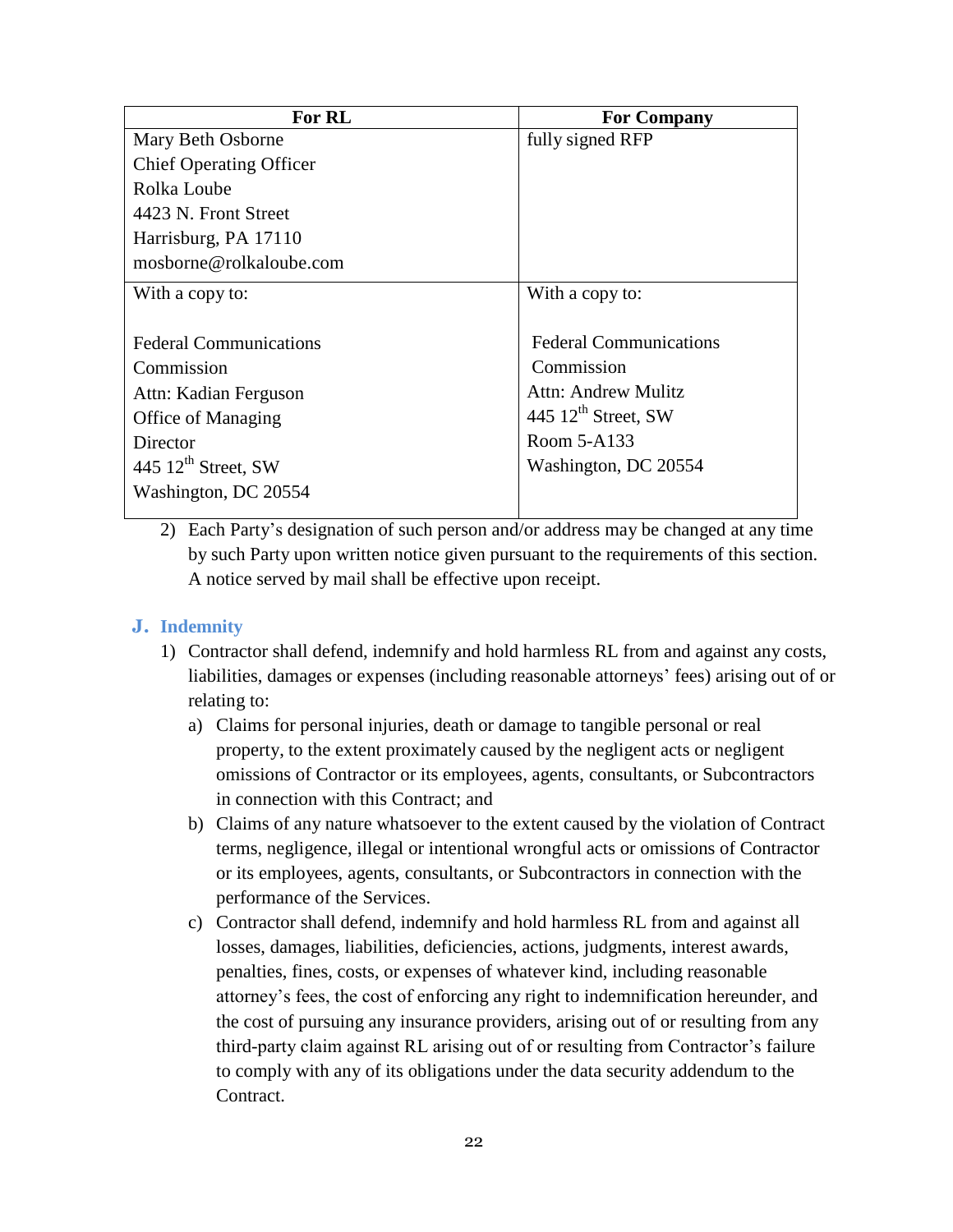| For RL                          | <b>For Company</b>              |
|---------------------------------|---------------------------------|
| Mary Beth Osborne               | fully signed RFP                |
| <b>Chief Operating Officer</b>  |                                 |
| Rolka Loube                     |                                 |
| 4423 N. Front Street            |                                 |
| Harrisburg, PA 17110            |                                 |
| mosborne@rolkaloube.com         |                                 |
| With a copy to:                 | With a copy to:                 |
|                                 |                                 |
| <b>Federal Communications</b>   | <b>Federal Communications</b>   |
| Commission                      | Commission                      |
| Attn: Kadian Ferguson           | Attn: Andrew Mulitz             |
| Office of Managing              | 445 $12^{\text{th}}$ Street, SW |
| Director                        | Room 5-A133                     |
| 445 $12^{\text{th}}$ Street, SW | Washington, DC 20554            |
| Washington, DC 20554            |                                 |
|                                 |                                 |

2) Each Party's designation of such person and/or address may be changed at any time by such Party upon written notice given pursuant to the requirements of this section. A notice served by mail shall be effective upon receipt.

#### **J. Indemnity**

- 1) Contractor shall defend, indemnify and hold harmless RL from and against any costs, liabilities, damages or expenses (including reasonable attorneys' fees) arising out of or relating to:
	- a) Claims for personal injuries, death or damage to tangible personal or real property, to the extent proximately caused by the negligent acts or negligent omissions of Contractor or its employees, agents, consultants, or Subcontractors in connection with this Contract; and
	- b) Claims of any nature whatsoever to the extent caused by the violation of Contract terms, negligence, illegal or intentional wrongful acts or omissions of Contractor or its employees, agents, consultants, or Subcontractors in connection with the performance of the Services.
	- c) Contractor shall defend, indemnify and hold harmless RL from and against all losses, damages, liabilities, deficiencies, actions, judgments, interest awards, penalties, fines, costs, or expenses of whatever kind, including reasonable attorney's fees, the cost of enforcing any right to indemnification hereunder, and the cost of pursuing any insurance providers, arising out of or resulting from any third-party claim against RL arising out of or resulting from Contractor's failure to comply with any of its obligations under the data security addendum to the Contract.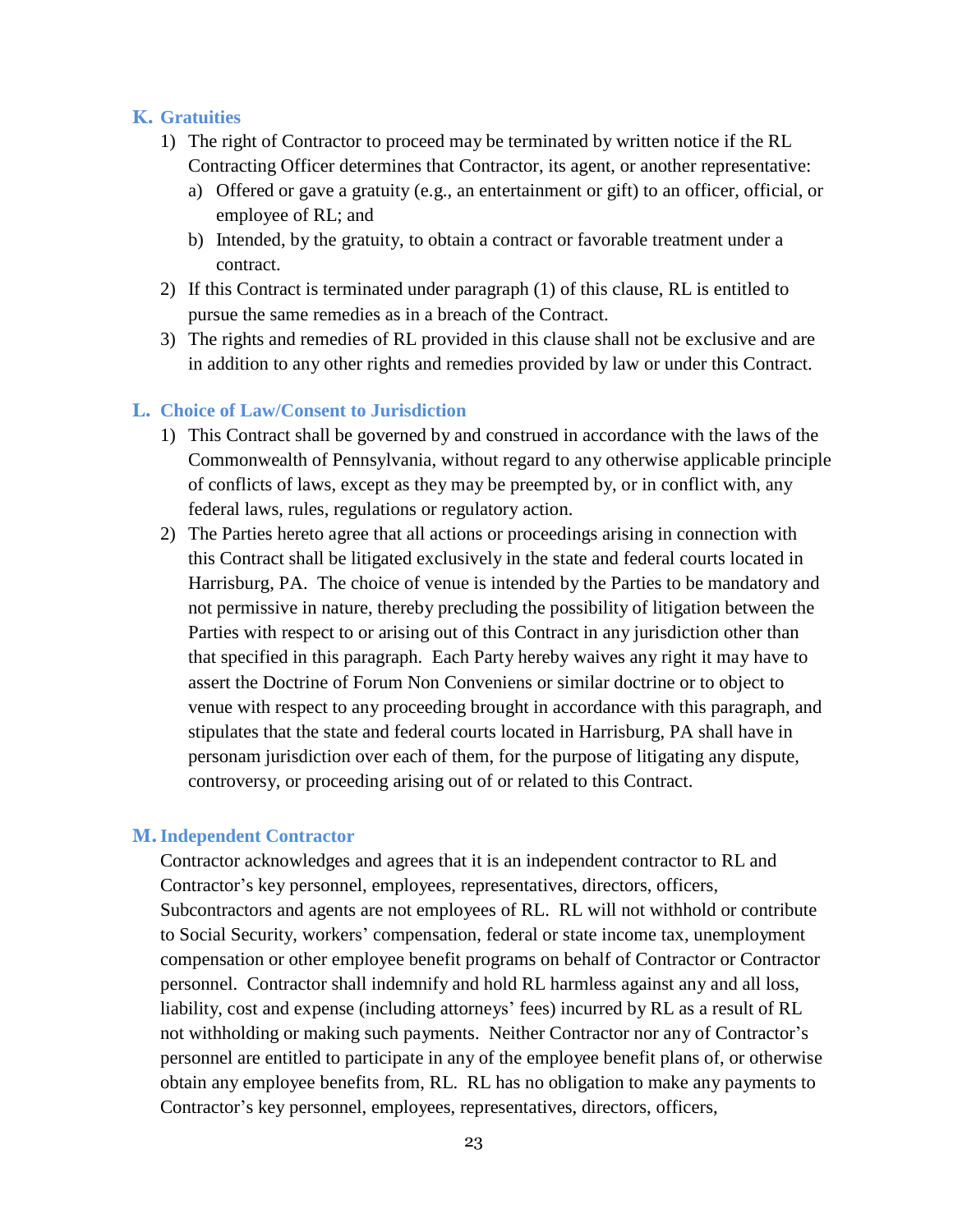#### **K. Gratuities**

- 1) The right of Contractor to proceed may be terminated by written notice if the RL Contracting Officer determines that Contractor, its agent, or another representative:
	- a) Offered or gave a gratuity (e.g., an entertainment or gift) to an officer, official, or employee of RL; and
	- b) Intended, by the gratuity, to obtain a contract or favorable treatment under a contract.
- 2) If this Contract is terminated under paragraph (1) of this clause, RL is entitled to pursue the same remedies as in a breach of the Contract.
- 3) The rights and remedies of RL provided in this clause shall not be exclusive and are in addition to any other rights and remedies provided by law or under this Contract.

#### **L. Choice of Law/Consent to Jurisdiction**

- 1) This Contract shall be governed by and construed in accordance with the laws of the Commonwealth of Pennsylvania, without regard to any otherwise applicable principle of conflicts of laws, except as they may be preempted by, or in conflict with, any federal laws, rules, regulations or regulatory action.
- 2) The Parties hereto agree that all actions or proceedings arising in connection with this Contract shall be litigated exclusively in the state and federal courts located in Harrisburg, PA. The choice of venue is intended by the Parties to be mandatory and not permissive in nature, thereby precluding the possibility of litigation between the Parties with respect to or arising out of this Contract in any jurisdiction other than that specified in this paragraph. Each Party hereby waives any right it may have to assert the Doctrine of Forum Non Conveniens or similar doctrine or to object to venue with respect to any proceeding brought in accordance with this paragraph, and stipulates that the state and federal courts located in Harrisburg, PA shall have in personam jurisdiction over each of them, for the purpose of litigating any dispute, controversy, or proceeding arising out of or related to this Contract.

#### **M.Independent Contractor**

Contractor acknowledges and agrees that it is an independent contractor to RL and Contractor's key personnel, employees, representatives, directors, officers, Subcontractors and agents are not employees of RL. RL will not withhold or contribute to Social Security, workers' compensation, federal or state income tax, unemployment compensation or other employee benefit programs on behalf of Contractor or Contractor personnel. Contractor shall indemnify and hold RL harmless against any and all loss, liability, cost and expense (including attorneys' fees) incurred by RL as a result of RL not withholding or making such payments. Neither Contractor nor any of Contractor's personnel are entitled to participate in any of the employee benefit plans of, or otherwise obtain any employee benefits from, RL. RL has no obligation to make any payments to Contractor's key personnel, employees, representatives, directors, officers,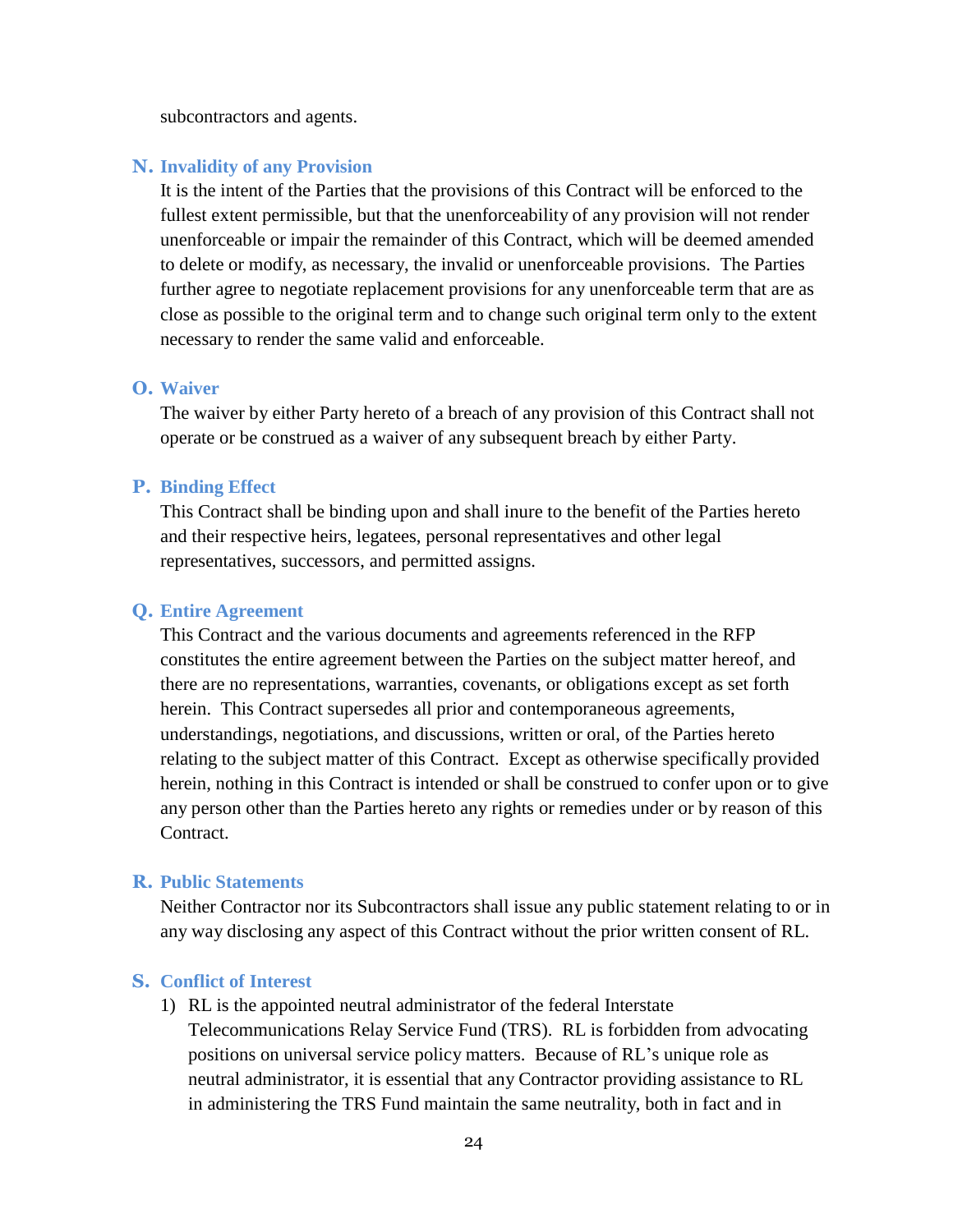subcontractors and agents.

#### **N. Invalidity of any Provision**

It is the intent of the Parties that the provisions of this Contract will be enforced to the fullest extent permissible, but that the unenforceability of any provision will not render unenforceable or impair the remainder of this Contract, which will be deemed amended to delete or modify, as necessary, the invalid or unenforceable provisions. The Parties further agree to negotiate replacement provisions for any unenforceable term that are as close as possible to the original term and to change such original term only to the extent necessary to render the same valid and enforceable.

#### **O. Waiver**

The waiver by either Party hereto of a breach of any provision of this Contract shall not operate or be construed as a waiver of any subsequent breach by either Party.

#### **P. Binding Effect**

This Contract shall be binding upon and shall inure to the benefit of the Parties hereto and their respective heirs, legatees, personal representatives and other legal representatives, successors, and permitted assigns.

#### **Q. Entire Agreement**

This Contract and the various documents and agreements referenced in the RFP constitutes the entire agreement between the Parties on the subject matter hereof, and there are no representations, warranties, covenants, or obligations except as set forth herein. This Contract supersedes all prior and contemporaneous agreements, understandings, negotiations, and discussions, written or oral, of the Parties hereto relating to the subject matter of this Contract. Except as otherwise specifically provided herein, nothing in this Contract is intended or shall be construed to confer upon or to give any person other than the Parties hereto any rights or remedies under or by reason of this Contract.

#### **R. Public Statements**

Neither Contractor nor its Subcontractors shall issue any public statement relating to or in any way disclosing any aspect of this Contract without the prior written consent of RL.

#### **S. Conflict of Interest**

1) RL is the appointed neutral administrator of the federal Interstate Telecommunications Relay Service Fund (TRS). RL is forbidden from advocating positions on universal service policy matters. Because of RL's unique role as neutral administrator, it is essential that any Contractor providing assistance to RL in administering the TRS Fund maintain the same neutrality, both in fact and in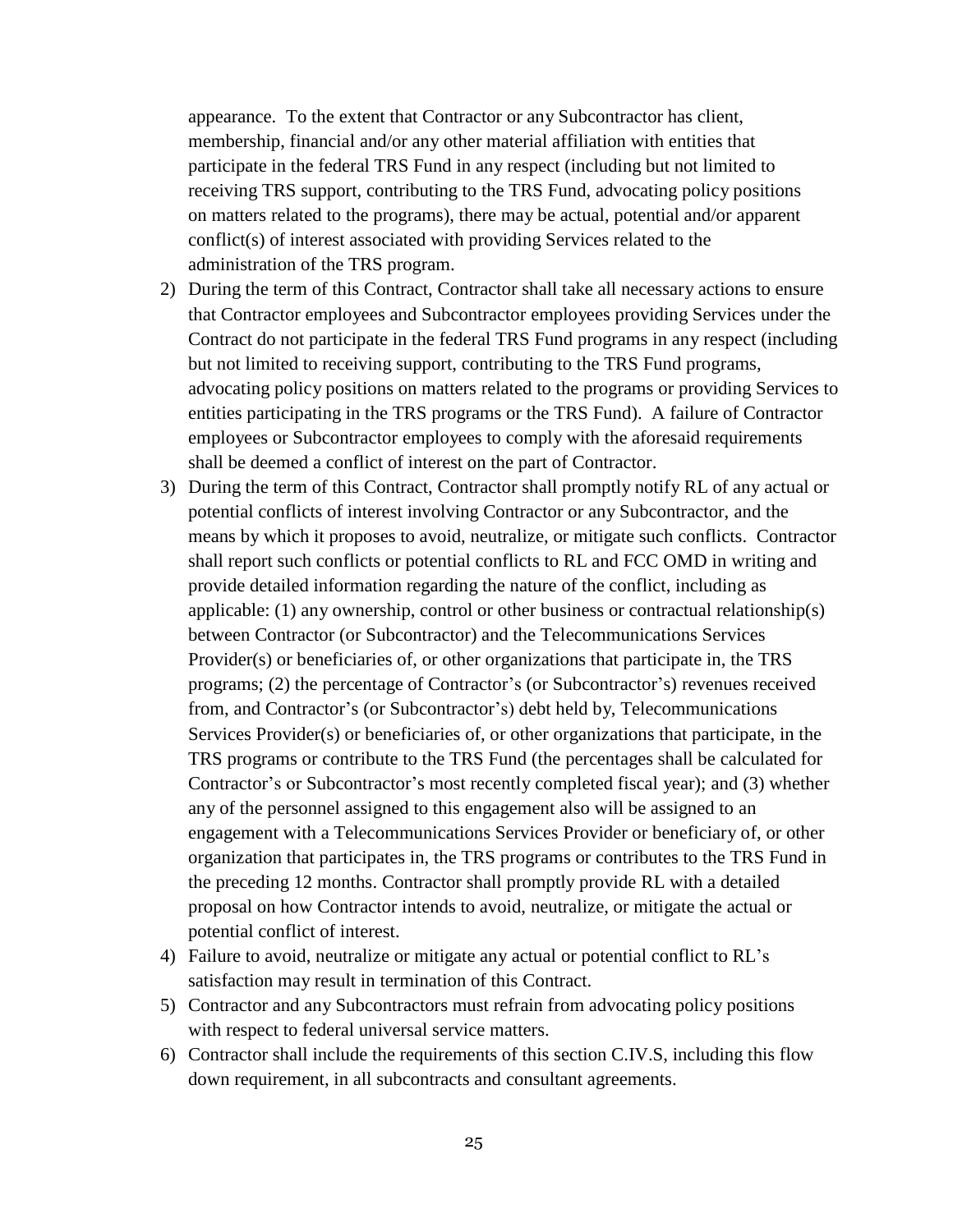appearance. To the extent that Contractor or any Subcontractor has client, membership, financial and/or any other material affiliation with entities that participate in the federal TRS Fund in any respect (including but not limited to receiving TRS support, contributing to the TRS Fund, advocating policy positions on matters related to the programs), there may be actual, potential and/or apparent conflict(s) of interest associated with providing Services related to the administration of the TRS program.

- 2) During the term of this Contract, Contractor shall take all necessary actions to ensure that Contractor employees and Subcontractor employees providing Services under the Contract do not participate in the federal TRS Fund programs in any respect (including but not limited to receiving support, contributing to the TRS Fund programs, advocating policy positions on matters related to the programs or providing Services to entities participating in the TRS programs or the TRS Fund). A failure of Contractor employees or Subcontractor employees to comply with the aforesaid requirements shall be deemed a conflict of interest on the part of Contractor.
- 3) During the term of this Contract, Contractor shall promptly notify RL of any actual or potential conflicts of interest involving Contractor or any Subcontractor, and the means by which it proposes to avoid, neutralize, or mitigate such conflicts. Contractor shall report such conflicts or potential conflicts to RL and FCC OMD in writing and provide detailed information regarding the nature of the conflict, including as applicable: (1) any ownership, control or other business or contractual relationship(s) between Contractor (or Subcontractor) and the Telecommunications Services Provider(s) or beneficiaries of, or other organizations that participate in, the TRS programs; (2) the percentage of Contractor's (or Subcontractor's) revenues received from, and Contractor's (or Subcontractor's) debt held by, Telecommunications Services Provider(s) or beneficiaries of, or other organizations that participate, in the TRS programs or contribute to the TRS Fund (the percentages shall be calculated for Contractor's or Subcontractor's most recently completed fiscal year); and (3) whether any of the personnel assigned to this engagement also will be assigned to an engagement with a Telecommunications Services Provider or beneficiary of, or other organization that participates in, the TRS programs or contributes to the TRS Fund in the preceding 12 months. Contractor shall promptly provide RL with a detailed proposal on how Contractor intends to avoid, neutralize, or mitigate the actual or potential conflict of interest.
- 4) Failure to avoid, neutralize or mitigate any actual or potential conflict to RL's satisfaction may result in termination of this Contract.
- 5) Contractor and any Subcontractors must refrain from advocating policy positions with respect to federal universal service matters.
- 6) Contractor shall include the requirements of this section C.IV.S, including this flow down requirement, in all subcontracts and consultant agreements.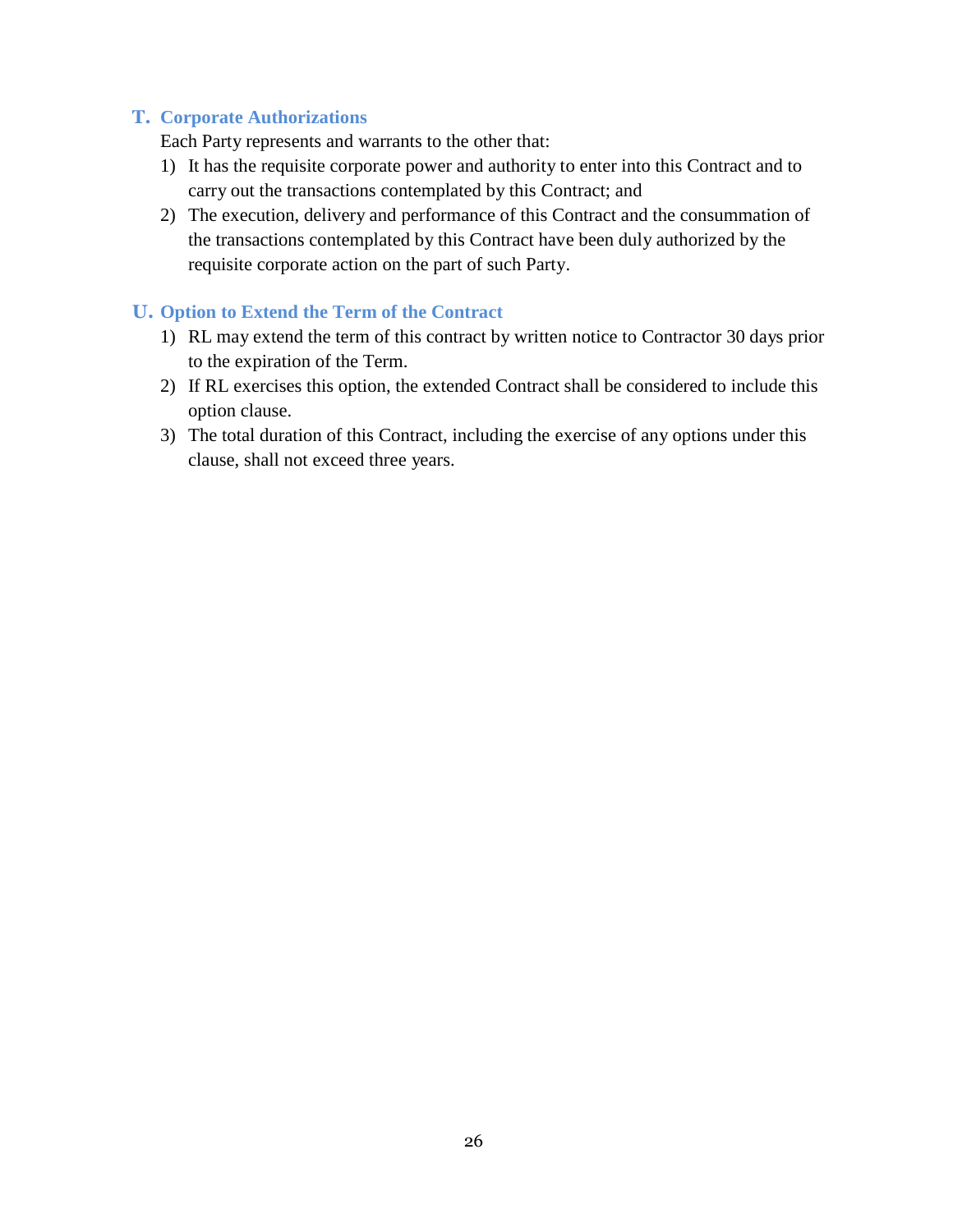#### **T. Corporate Authorizations**

Each Party represents and warrants to the other that:

- 1) It has the requisite corporate power and authority to enter into this Contract and to carry out the transactions contemplated by this Contract; and
- 2) The execution, delivery and performance of this Contract and the consummation of the transactions contemplated by this Contract have been duly authorized by the requisite corporate action on the part of such Party.

#### **U. Option to Extend the Term of the Contract**

- 1) RL may extend the term of this contract by written notice to Contractor 30 days prior to the expiration of the Term.
- 2) If RL exercises this option, the extended Contract shall be considered to include this option clause.
- 3) The total duration of this Contract, including the exercise of any options under this clause, shall not exceed three years.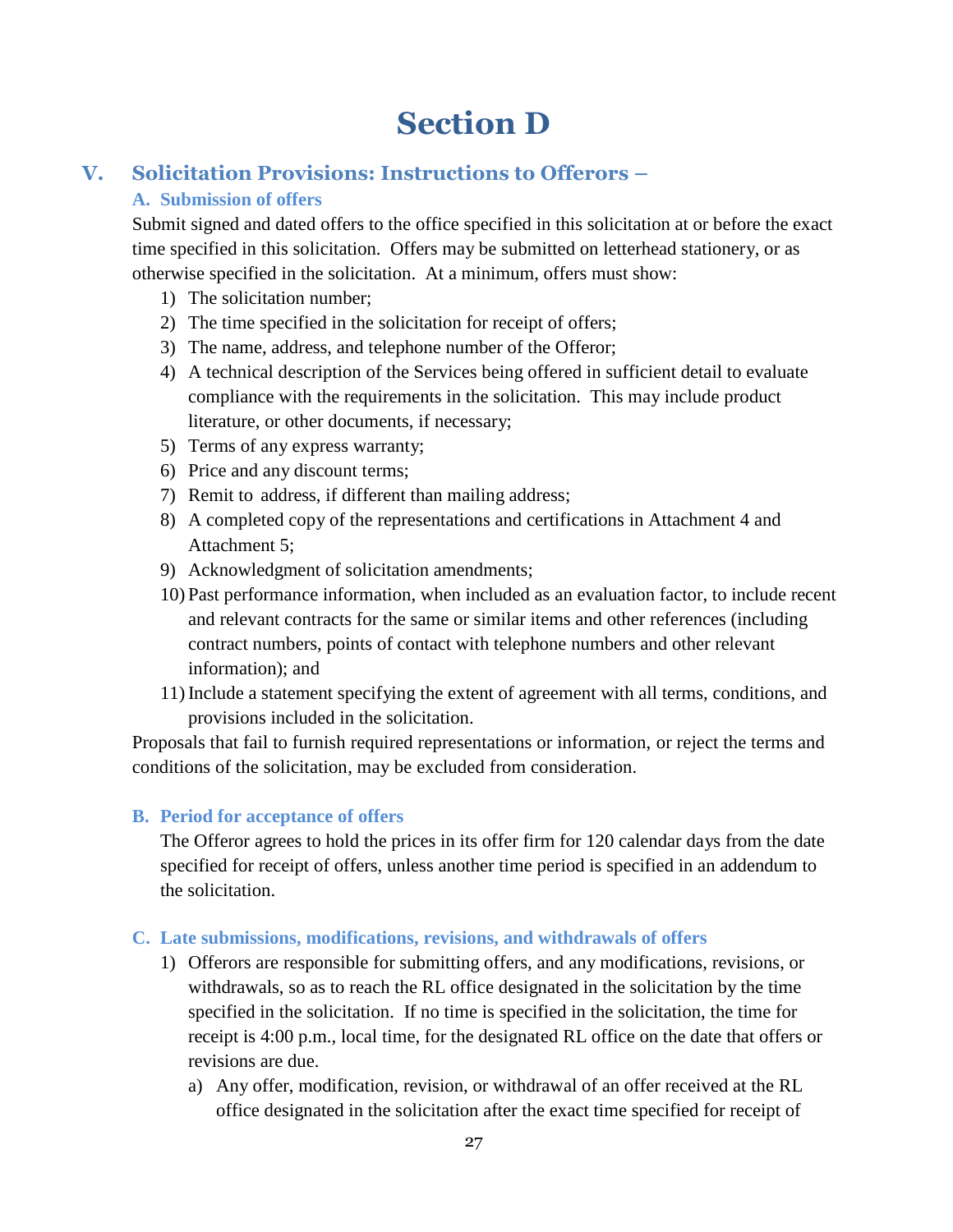## **Section D**

## **V. Solicitation Provisions: Instructions to Offerors –**

### **A. Submission of offers**

Submit signed and dated offers to the office specified in this solicitation at or before the exact time specified in this solicitation. Offers may be submitted on letterhead stationery, or as otherwise specified in the solicitation. At a minimum, offers must show:

- 1) The solicitation number;
- 2) The time specified in the solicitation for receipt of offers;
- 3) The name, address, and telephone number of the Offeror;
- 4) A technical description of the Services being offered in sufficient detail to evaluate compliance with the requirements in the solicitation. This may include product literature, or other documents, if necessary;
- 5) Terms of any express warranty;
- 6) Price and any discount terms;
- 7) Remit to address, if different than mailing address;
- 8) A completed copy of the representations and certifications in Attachment 4 and Attachment 5;
- 9) Acknowledgment of solicitation amendments;
- 10) Past performance information, when included as an evaluation factor, to include recent and relevant contracts for the same or similar items and other references (including contract numbers, points of contact with telephone numbers and other relevant information); and
- 11) Include a statement specifying the extent of agreement with all terms, conditions, and provisions included in the solicitation.

Proposals that fail to furnish required representations or information, or reject the terms and conditions of the solicitation, may be excluded from consideration.

#### **B. Period for acceptance of offers**

The Offeror agrees to hold the prices in its offer firm for 120 calendar days from the date specified for receipt of offers, unless another time period is specified in an addendum to the solicitation.

#### **C. Late submissions, modifications, revisions, and withdrawals of offers**

- 1) Offerors are responsible for submitting offers, and any modifications, revisions, or withdrawals, so as to reach the RL office designated in the solicitation by the time specified in the solicitation. If no time is specified in the solicitation, the time for receipt is 4:00 p.m., local time, for the designated RL office on the date that offers or revisions are due.
	- a) Any offer, modification, revision, or withdrawal of an offer received at the RL office designated in the solicitation after the exact time specified for receipt of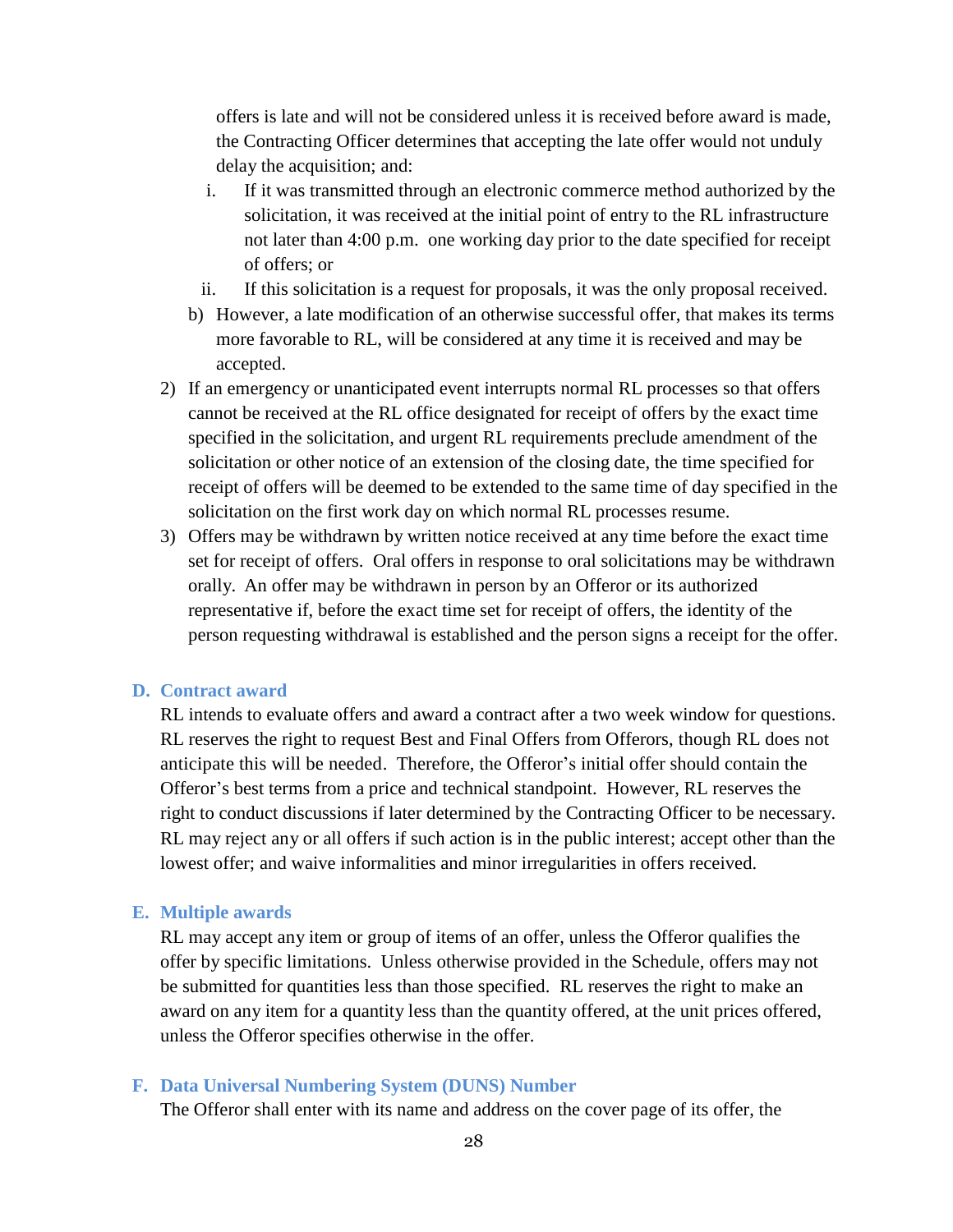offers is late and will not be considered unless it is received before award is made, the Contracting Officer determines that accepting the late offer would not unduly delay the acquisition; and:

- i. If it was transmitted through an electronic commerce method authorized by the solicitation, it was received at the initial point of entry to the RL infrastructure not later than 4:00 p.m. one working day prior to the date specified for receipt of offers; or
- ii. If this solicitation is a request for proposals, it was the only proposal received.
- b) However, a late modification of an otherwise successful offer, that makes its terms more favorable to RL, will be considered at any time it is received and may be accepted.
- 2) If an emergency or unanticipated event interrupts normal RL processes so that offers cannot be received at the RL office designated for receipt of offers by the exact time specified in the solicitation, and urgent RL requirements preclude amendment of the solicitation or other notice of an extension of the closing date, the time specified for receipt of offers will be deemed to be extended to the same time of day specified in the solicitation on the first work day on which normal RL processes resume.
- 3) Offers may be withdrawn by written notice received at any time before the exact time set for receipt of offers. Oral offers in response to oral solicitations may be withdrawn orally. An offer may be withdrawn in person by an Offeror or its authorized representative if, before the exact time set for receipt of offers, the identity of the person requesting withdrawal is established and the person signs a receipt for the offer.

#### **D. Contract award**

RL intends to evaluate offers and award a contract after a two week window for questions. RL reserves the right to request Best and Final Offers from Offerors, though RL does not anticipate this will be needed. Therefore, the Offeror's initial offer should contain the Offeror's best terms from a price and technical standpoint. However, RL reserves the right to conduct discussions if later determined by the Contracting Officer to be necessary. RL may reject any or all offers if such action is in the public interest; accept other than the lowest offer; and waive informalities and minor irregularities in offers received.

#### **E. Multiple awards**

RL may accept any item or group of items of an offer, unless the Offeror qualifies the offer by specific limitations. Unless otherwise provided in the Schedule, offers may not be submitted for quantities less than those specified. RL reserves the right to make an award on any item for a quantity less than the quantity offered, at the unit prices offered, unless the Offeror specifies otherwise in the offer.

#### **F. Data Universal Numbering System (DUNS) Number**

The Offeror shall enter with its name and address on the cover page of its offer, the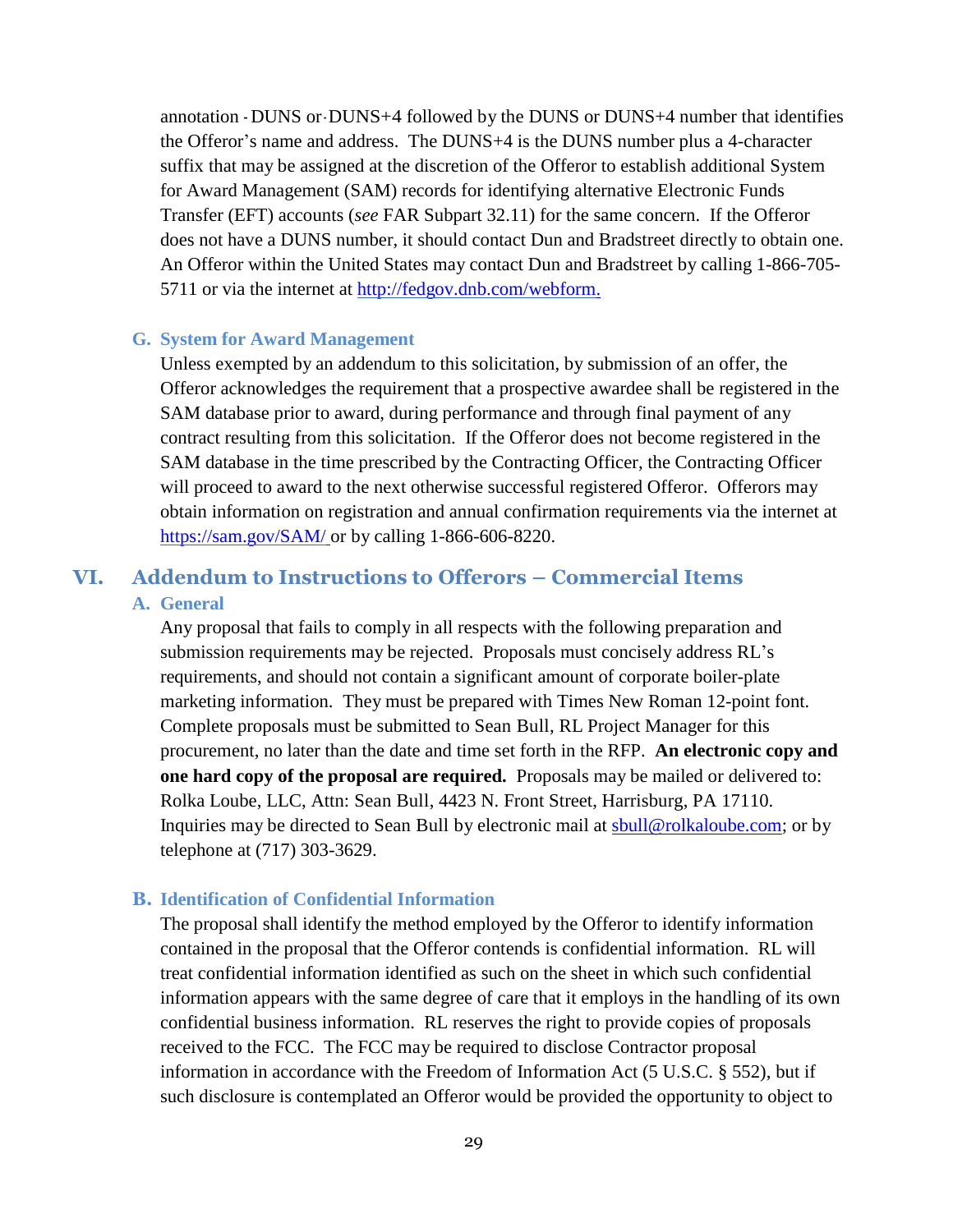annotation - DUNS or- DUNS+4 followed by the DUNS or DUNS+4 number that identifies the Offeror's name and address. The DUNS+4 is the DUNS number plus a 4-character suffix that may be assigned at the discretion of the Offeror to establish additional System for Award Management (SAM) records for identifying alternative Electronic Funds Transfer (EFT) accounts (*see* [FAR Subpart 32.11\)](https://www.acquisition.gov/far/current/html/Subpart%2032_11.html#wp1043964) for the same concern. If the Offeror does not have a DUNS number, it should contact Dun and Bradstreet directly to obtain one. An Offeror within the United States may contact Dun and Bradstreet by calling 1-866-705- 5711 or via the internet at<http://fedgov.dnb.com/webform.>

#### **G. System for Award Management**

Unless exempted by an addendum to this solicitation, by submission of an offer, the Offeror acknowledges the requirement that a prospective awardee shall be registered in the SAM database prior to award, during performance and through final payment of any contract resulting from this solicitation. If the Offeror does not become registered in the SAM database in the time prescribed by the Contracting Officer, the Contracting Officer will proceed to award to the next otherwise successful registered Offeror. Offerors may obtain information on registration and annual confirmation requirements via the internet at <https://sam.gov/SAM/> or by calling 1-866-606-8220.

### **VI. Addendum to Instructions to Offerors – Commercial Items A. General**

Any proposal that fails to comply in all respects with the following preparation and submission requirements may be rejected. Proposals must concisely address RL's requirements, and should not contain a significant amount of corporate boiler-plate marketing information. They must be prepared with Times New Roman 12-point font. Complete proposals must be submitted to Sean Bull, RL Project Manager for this procurement, no later than the date and time set forth in the RFP. **An electronic copy and one hard copy of the proposal are required.** Proposals may be mailed or delivered to: Rolka Loube, LLC, Attn: Sean Bull, 4423 N. Front Street, Harrisburg, PA 17110. Inquiries may be directed to Sean Bull by electronic mail at [sbull@rolkaloube.com;](mailto:sbull@rolkaloube.com) or by telephone at (717) 303-3629.

#### **B. Identification of Confidential Information**

The proposal shall identify the method employed by the Offeror to identify information contained in the proposal that the Offeror contends is confidential information. RL will treat confidential information identified as such on the sheet in which such confidential information appears with the same degree of care that it employs in the handling of its own confidential business information. RL reserves the right to provide copies of proposals received to the FCC. The FCC may be required to disclose Contractor proposal information in accordance with the Freedom of Information Act (5 U.S.C. § 552), but if such disclosure is contemplated an Offeror would be provided the opportunity to object to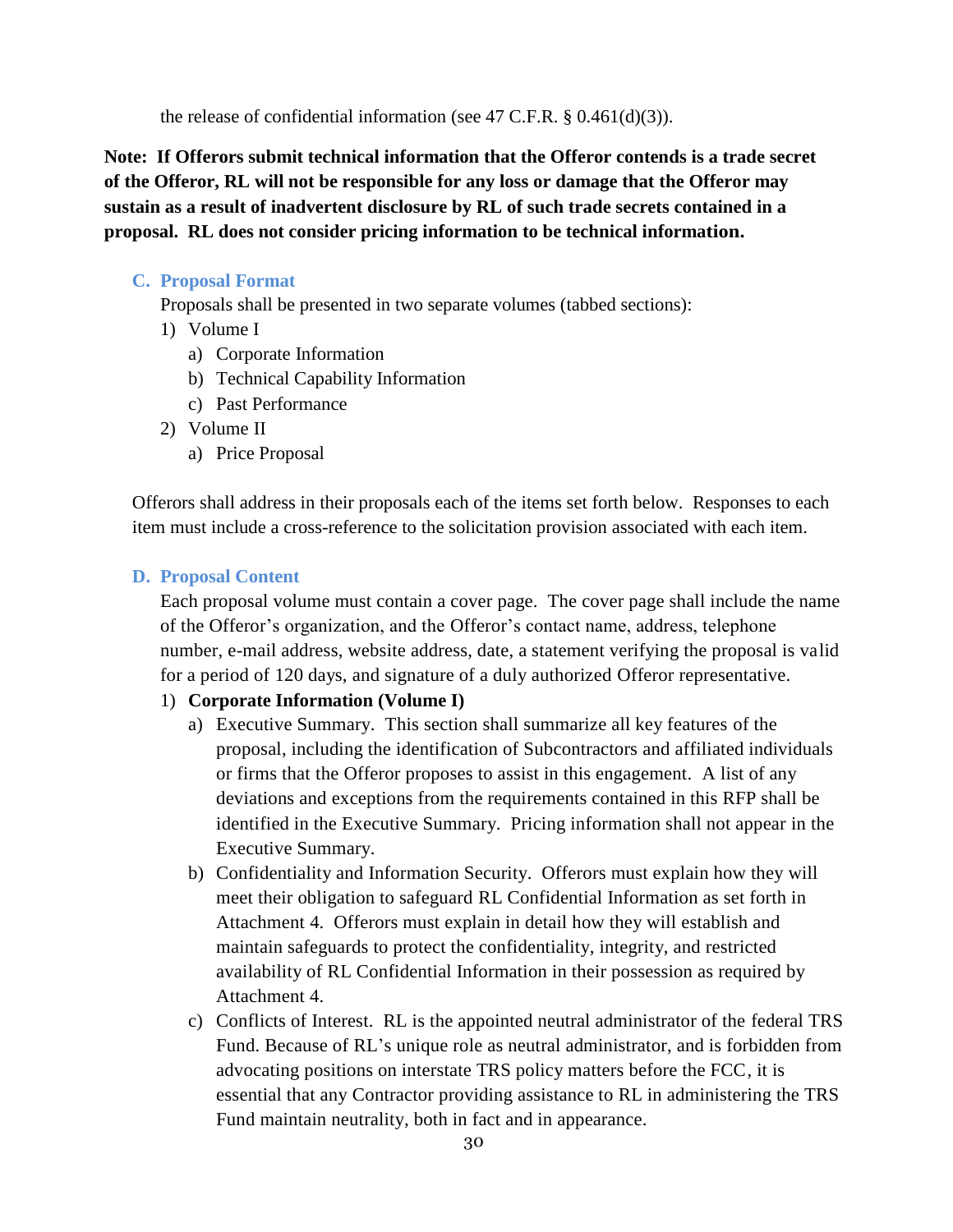the release of confidential information (see 47 C.F.R. § 0.461(d)(3)).

**Note: If Offerors submit technical information that the Offeror contends is a trade secret of the Offeror, RL will not be responsible for any loss or damage that the Offeror may sustain as a result of inadvertent disclosure by RL of such trade secrets contained in a proposal. RL does not consider pricing information to be technical information.**

#### **C. Proposal Format**

Proposals shall be presented in two separate volumes (tabbed sections):

- 1) Volume I
	- a) Corporate Information
	- b) Technical Capability Information
	- c) Past Performance
- 2) Volume II
	- a) Price Proposal

Offerors shall address in their proposals each of the items set forth below. Responses to each item must include a cross-reference to the solicitation provision associated with each item.

#### **D. Proposal Content**

Each proposal volume must contain a cover page. The cover page shall include the name of the Offeror's organization, and the Offeror's contact name, address, telephone number, e-mail address, website address, date, a statement verifying the proposal is valid for a period of 120 days, and signature of a duly authorized Offeror representative.

#### 1) **Corporate Information (Volume I)**

- a) Executive Summary. This section shall summarize all key features of the proposal, including the identification of Subcontractors and affiliated individuals or firms that the Offeror proposes to assist in this engagement. A list of any deviations and exceptions from the requirements contained in this RFP shall be identified in the Executive Summary. Pricing information shall not appear in the Executive Summary.
- b) Confidentiality and Information Security. Offerors must explain how they will meet their obligation to safeguard RL Confidential Information as set forth in Attachment 4. Offerors must explain in detail how they will establish and maintain safeguards to protect the confidentiality, integrity, and restricted availability of RL Confidential Information in their possession as required by Attachment 4.
- c) Conflicts of Interest. RL is the appointed neutral administrator of the federal TRS Fund. Because of RL's unique role as neutral administrator, and is forbidden from advocating positions on interstate TRS policy matters before the FCC, it is essential that any Contractor providing assistance to RL in administering the TRS Fund maintain neutrality, both in fact and in appearance.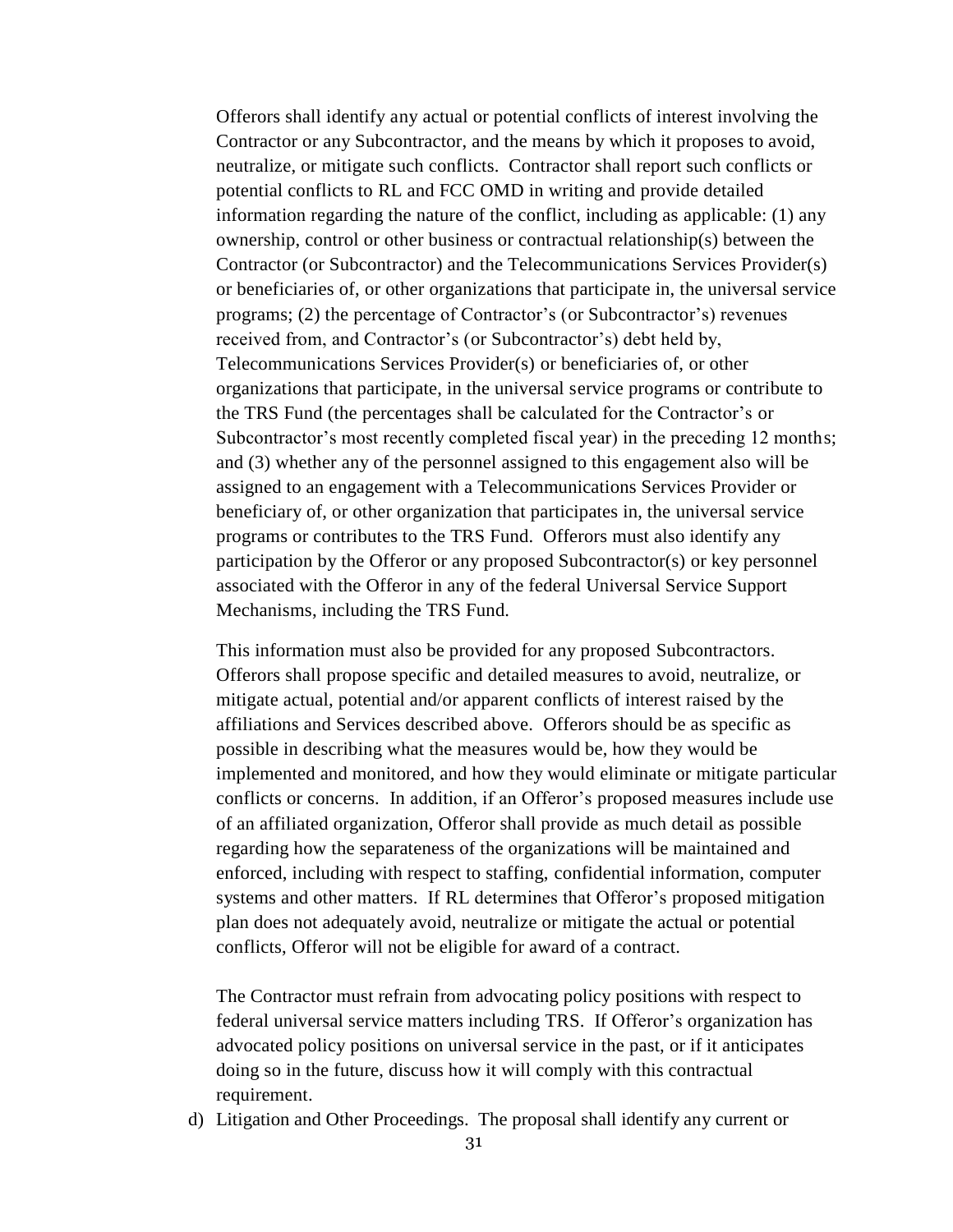Offerors shall identify any actual or potential conflicts of interest involving the Contractor or any Subcontractor, and the means by which it proposes to avoid, neutralize, or mitigate such conflicts. Contractor shall report such conflicts or potential conflicts to RL and FCC OMD in writing and provide detailed information regarding the nature of the conflict, including as applicable: (1) any ownership, control or other business or contractual relationship(s) between the Contractor (or Subcontractor) and the Telecommunications Services Provider(s) or beneficiaries of, or other organizations that participate in, the universal service programs; (2) the percentage of Contractor's (or Subcontractor's) revenues received from, and Contractor's (or Subcontractor's) debt held by, Telecommunications Services Provider(s) or beneficiaries of, or other organizations that participate, in the universal service programs or contribute to the TRS Fund (the percentages shall be calculated for the Contractor's or Subcontractor's most recently completed fiscal year) in the preceding 12 months; and (3) whether any of the personnel assigned to this engagement also will be assigned to an engagement with a Telecommunications Services Provider or beneficiary of, or other organization that participates in, the universal service programs or contributes to the TRS Fund. Offerors must also identify any participation by the Offeror or any proposed Subcontractor(s) or key personnel associated with the Offeror in any of the federal Universal Service Support Mechanisms, including the TRS Fund.

This information must also be provided for any proposed Subcontractors. Offerors shall propose specific and detailed measures to avoid, neutralize, or mitigate actual, potential and/or apparent conflicts of interest raised by the affiliations and Services described above. Offerors should be as specific as possible in describing what the measures would be, how they would be implemented and monitored, and how they would eliminate or mitigate particular conflicts or concerns. In addition, if an Offeror's proposed measures include use of an affiliated organization, Offeror shall provide as much detail as possible regarding how the separateness of the organizations will be maintained and enforced, including with respect to staffing, confidential information, computer systems and other matters. If RL determines that Offeror's proposed mitigation plan does not adequately avoid, neutralize or mitigate the actual or potential conflicts, Offeror will not be eligible for award of a contract.

The Contractor must refrain from advocating policy positions with respect to federal universal service matters including TRS. If Offeror's organization has advocated policy positions on universal service in the past, or if it anticipates doing so in the future, discuss how it will comply with this contractual requirement.

d) Litigation and Other Proceedings. The proposal shall identify any current or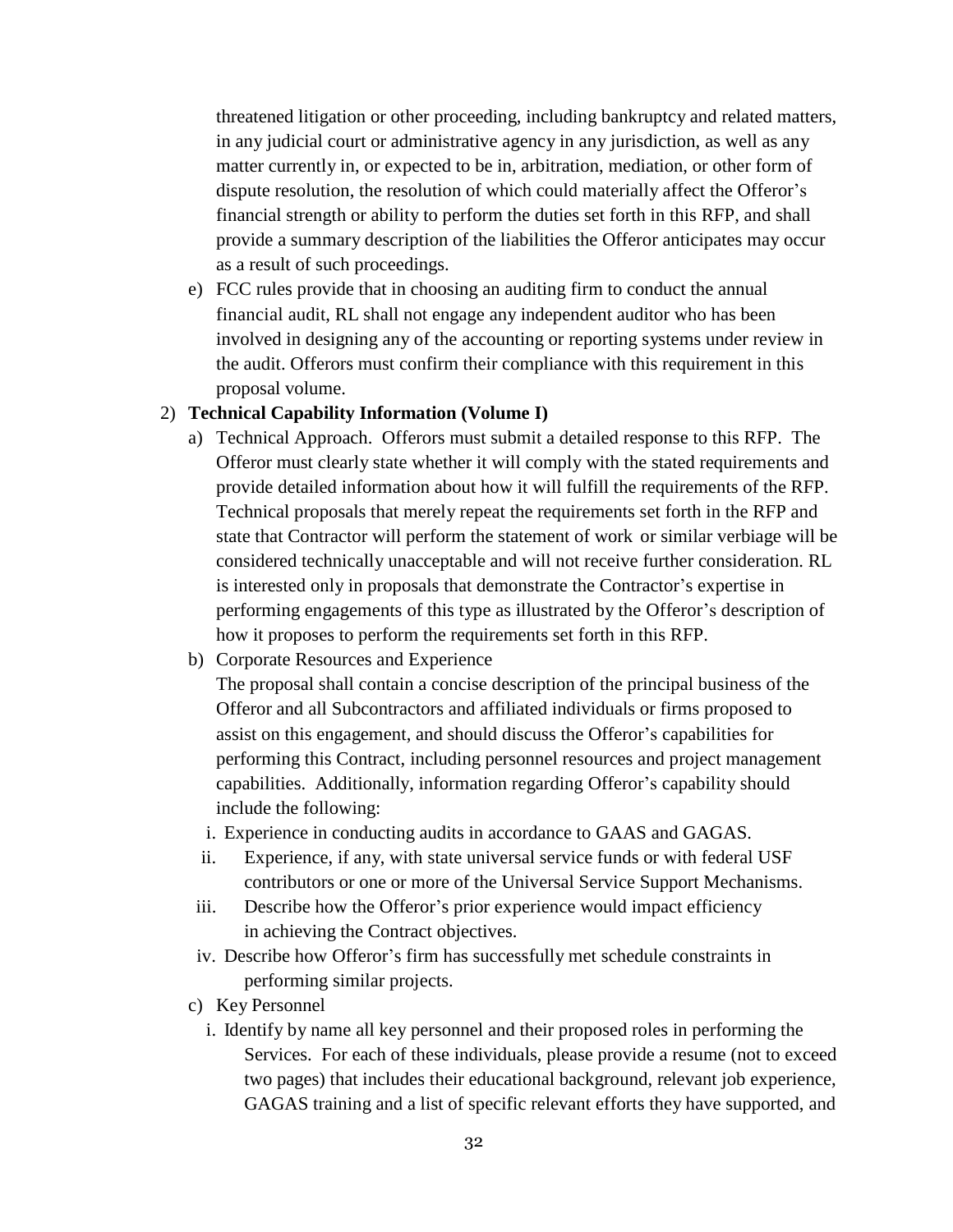threatened litigation or other proceeding, including bankruptcy and related matters, in any judicial court or administrative agency in any jurisdiction, as well as any matter currently in, or expected to be in, arbitration, mediation, or other form of dispute resolution, the resolution of which could materially affect the Offeror's financial strength or ability to perform the duties set forth in this RFP, and shall provide a summary description of the liabilities the Offeror anticipates may occur as a result of such proceedings.

e) FCC rules provide that in choosing an auditing firm to conduct the annual financial audit, RL shall not engage any independent auditor who has been involved in designing any of the accounting or reporting systems under review in the audit. Offerors must confirm their compliance with this requirement in this proposal volume.

#### 2) **Technical Capability Information (Volume I)**

- a) Technical Approach. Offerors must submit a detailed response to this RFP. The Offeror must clearly state whether it will comply with the stated requirements and provide detailed information about how it will fulfill the requirements of the RFP. Technical proposals that merely repeat the requirements set forth in the RFP and state that Contractor will perform the statement of work or similar verbiage will be considered technically unacceptable and will not receive further consideration. RL is interested only in proposals that demonstrate the Contractor's expertise in performing engagements of this type as illustrated by the Offeror's description of how it proposes to perform the requirements set forth in this RFP.
- b) Corporate Resources and Experience

The proposal shall contain a concise description of the principal business of the Offeror and all Subcontractors and affiliated individuals or firms proposed to assist on this engagement, and should discuss the Offeror's capabilities for performing this Contract, including personnel resources and project management capabilities. Additionally, information regarding Offeror's capability should include the following:

- i. Experience in conducting audits in accordance to GAAS and GAGAS.
- ii. Experience, if any, with state universal service funds or with federal USF contributors or one or more of the Universal Service Support Mechanisms.
- iii. Describe how the Offeror's prior experience would impact efficiency in achieving the Contract objectives.
- iv. Describe how Offeror's firm has successfully met schedule constraints in performing similar projects.
- c) Key Personnel
	- i. Identify by name all key personnel and their proposed roles in performing the Services. For each of these individuals, please provide a resume (not to exceed two pages) that includes their educational background, relevant job experience, GAGAS training and a list of specific relevant efforts they have supported, and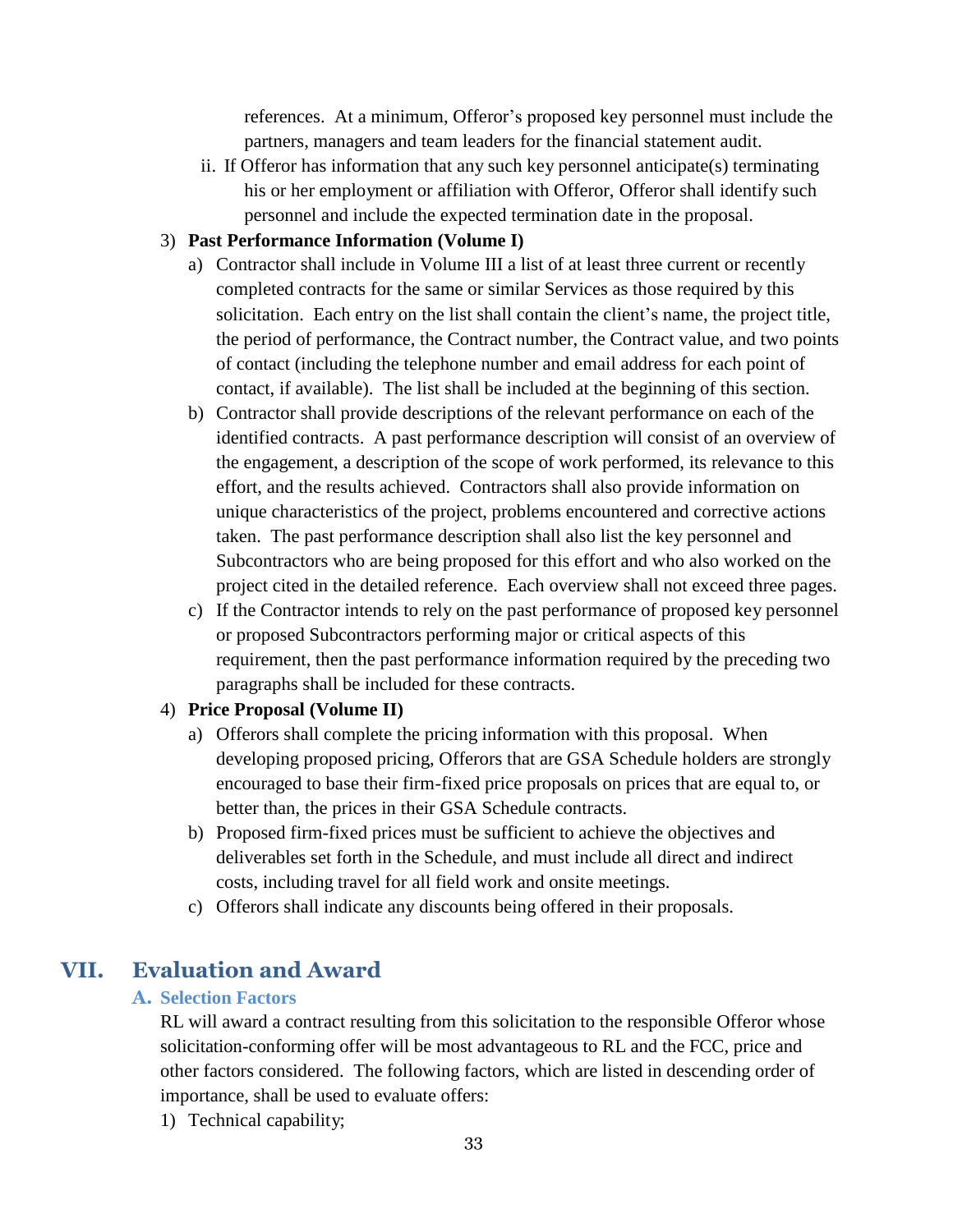references. At a minimum, Offeror's proposed key personnel must include the partners, managers and team leaders for the financial statement audit.

ii. If Offeror has information that any such key personnel anticipate(s) terminating his or her employment or affiliation with Offeror, Offeror shall identify such personnel and include the expected termination date in the proposal.

#### 3) **Past Performance Information (Volume I)**

- a) Contractor shall include in Volume III a list of at least three current or recently completed contracts for the same or similar Services as those required by this solicitation. Each entry on the list shall contain the client's name, the project title, the period of performance, the Contract number, the Contract value, and two points of contact (including the telephone number and email address for each point of contact, if available). The list shall be included at the beginning of this section.
- b) Contractor shall provide descriptions of the relevant performance on each of the identified contracts. A past performance description will consist of an overview of the engagement, a description of the scope of work performed, its relevance to this effort, and the results achieved. Contractors shall also provide information on unique characteristics of the project, problems encountered and corrective actions taken. The past performance description shall also list the key personnel and Subcontractors who are being proposed for this effort and who also worked on the project cited in the detailed reference. Each overview shall not exceed three pages.
- c) If the Contractor intends to rely on the past performance of proposed key personnel or proposed Subcontractors performing major or critical aspects of this requirement, then the past performance information required by the preceding two paragraphs shall be included for these contracts.

#### 4) **Price Proposal (Volume II)**

- a) Offerors shall complete the pricing information with this proposal. When developing proposed pricing, Offerors that are GSA Schedule holders are strongly encouraged to base their firm-fixed price proposals on prices that are equal to, or better than, the prices in their GSA Schedule contracts.
- b) Proposed firm-fixed prices must be sufficient to achieve the objectives and deliverables set forth in the Schedule, and must include all direct and indirect costs, including travel for all field work and onsite meetings.
- c) Offerors shall indicate any discounts being offered in their proposals.

## **VII. Evaluation and Award**

#### **A. Selection Factors**

RL will award a contract resulting from this solicitation to the responsible Offeror whose solicitation-conforming offer will be most advantageous to RL and the FCC, price and other factors considered. The following factors, which are listed in descending order of importance, shall be used to evaluate offers:

1) Technical capability;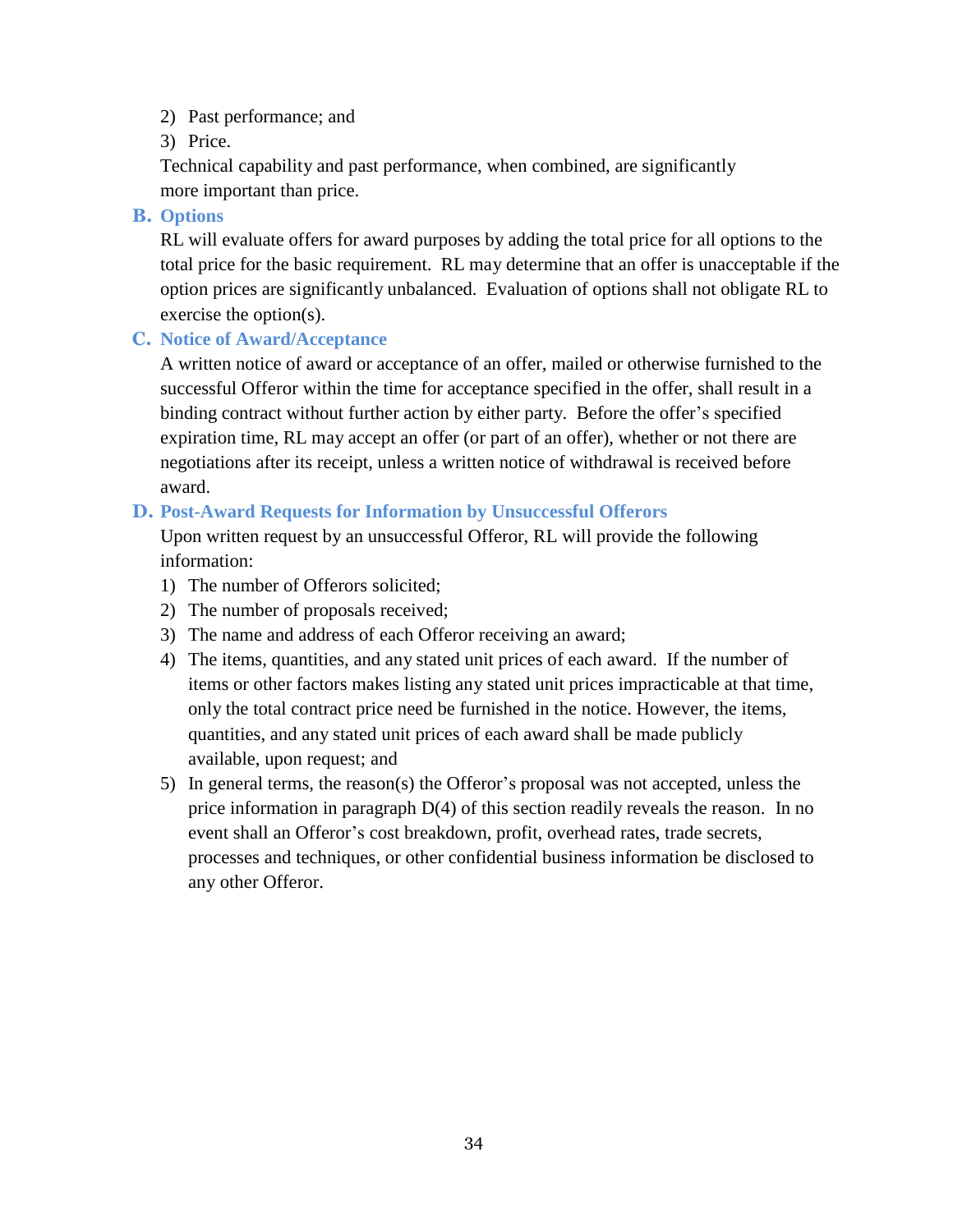- 2) Past performance; and
- 3) Price.

Technical capability and past performance, when combined, are significantly more important than price.

**B. Options**

RL will evaluate offers for award purposes by adding the total price for all options to the total price for the basic requirement. RL may determine that an offer is unacceptable if the option prices are significantly unbalanced. Evaluation of options shall not obligate RL to exercise the option(s).

**C. Notice of Award/Acceptance**

A written notice of award or acceptance of an offer, mailed or otherwise furnished to the successful Offeror within the time for acceptance specified in the offer, shall result in a binding contract without further action by either party. Before the offer's specified expiration time, RL may accept an offer (or part of an offer), whether or not there are negotiations after its receipt, unless a written notice of withdrawal is received before award.

### **D. Post-Award Requests for Information by Unsuccessful Offerors**

Upon written request by an unsuccessful Offeror, RL will provide the following information:

- 1) The number of Offerors solicited;
- 2) The number of proposals received;
- 3) The name and address of each Offeror receiving an award;
- 4) The items, quantities, and any stated unit prices of each award. If the number of items or other factors makes listing any stated unit prices impracticable at that time, only the total contract price need be furnished in the notice. However, the items, quantities, and any stated unit prices of each award shall be made publicly available, upon request; and
- 5) In general terms, the reason(s) the Offeror's proposal was not accepted, unless the price information in paragraph D(4) of this section readily reveals the reason. In no event shall an Offeror's cost breakdown, profit, overhead rates, trade secrets, processes and techniques, or other confidential business information be disclosed to any other Offeror.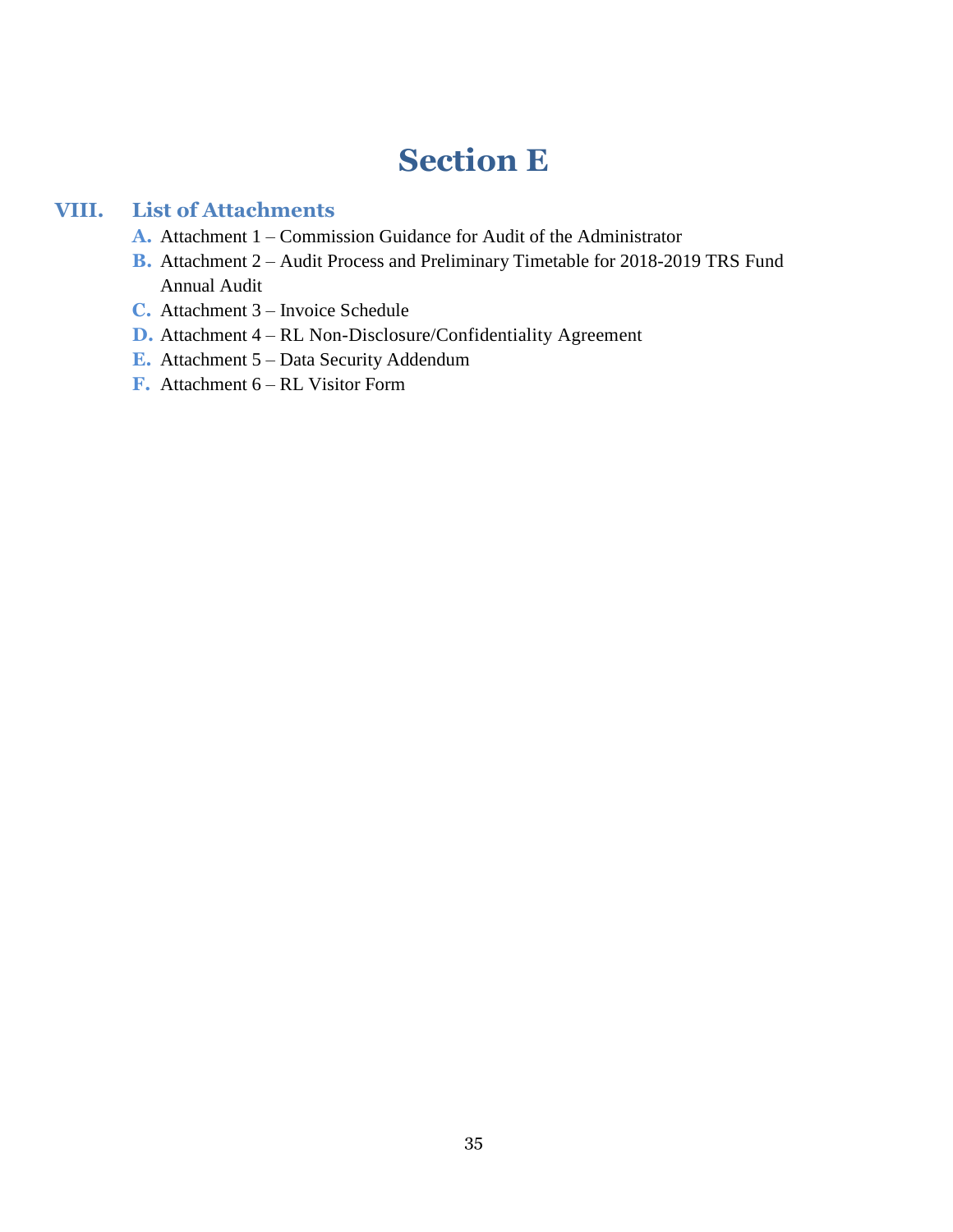## **Section E**

## **VIII. List of Attachments**

- **A.** Attachment 1 Commission Guidance for Audit of the Administrator
- **B.** Attachment 2 Audit Process and Preliminary Timetable for 2018-2019 TRS Fund Annual Audit
- **C.** Attachment 3 Invoice Schedule
- **D.** Attachment 4 RL Non-Disclosure/Confidentiality Agreement
- **E.** Attachment 5 Data Security Addendum
- **F.** Attachment 6 RL Visitor Form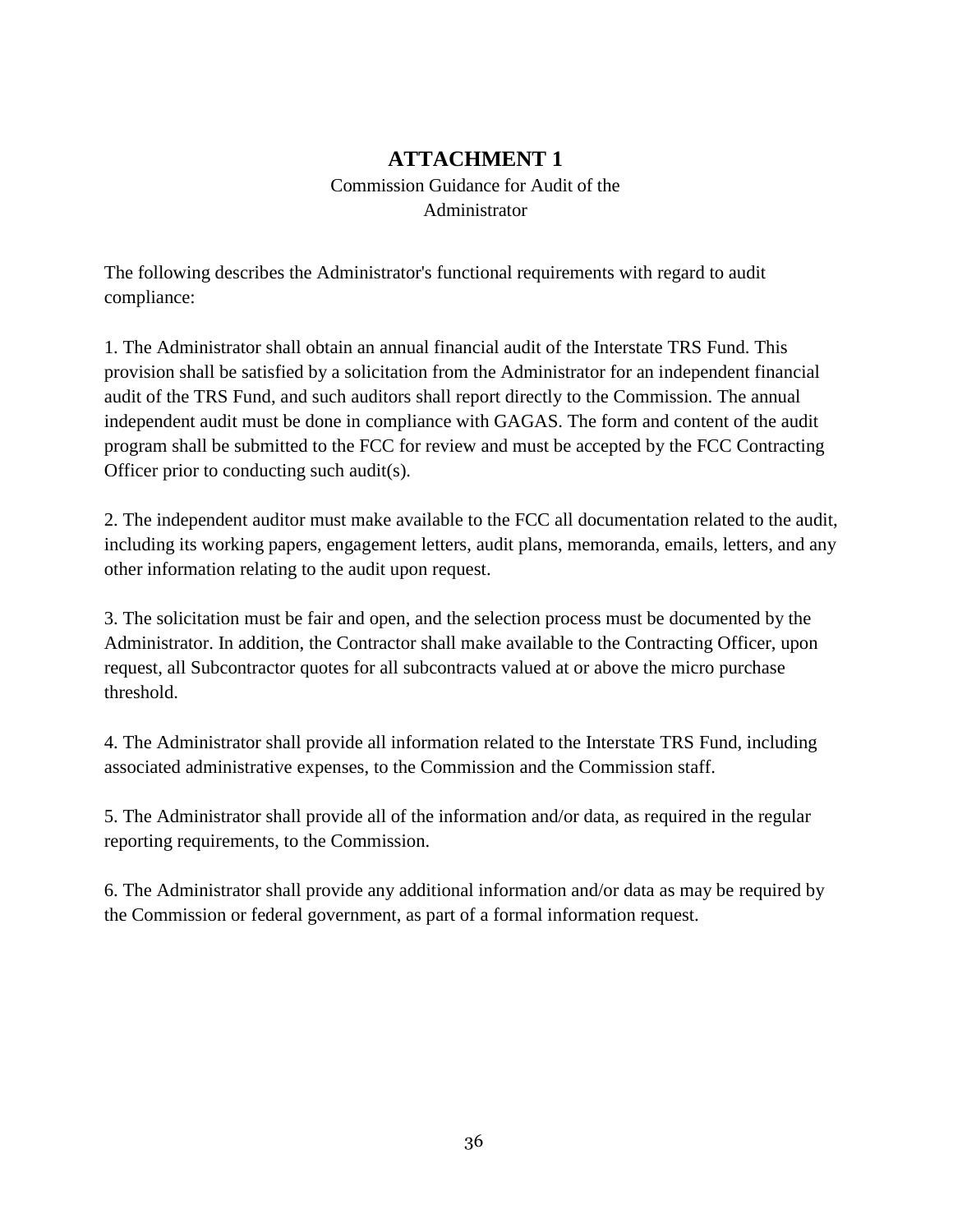## **ATTACHMENT 1**

## Commission Guidance for Audit of the Administrator

The following describes the Administrator's functional requirements with regard to audit compliance:

1. The Administrator shall obtain an annual financial audit of the Interstate TRS Fund. This provision shall be satisfied by a solicitation from the Administrator for an independent financial audit of the TRS Fund, and such auditors shall report directly to the Commission. The annual independent audit must be done in compliance with GAGAS. The form and content of the audit program shall be submitted to the FCC for review and must be accepted by the FCC Contracting Officer prior to conducting such audit(s).

2. The independent auditor must make available to the FCC all documentation related to the audit, including its working papers, engagement letters, audit plans, memoranda, emails, letters, and any other information relating to the audit upon request.

3. The solicitation must be fair and open, and the selection process must be documented by the Administrator. In addition, the Contractor shall make available to the Contracting Officer, upon request, all Subcontractor quotes for all subcontracts valued at or above the micro purchase threshold.

4. The Administrator shall provide all information related to the Interstate TRS Fund, including associated administrative expenses, to the Commission and the Commission staff.

5. The Administrator shall provide all of the information and/or data, as required in the regular reporting requirements, to the Commission.

6. The Administrator shall provide any additional information and/or data as may be required by the Commission or federal government, as part of a formal information request.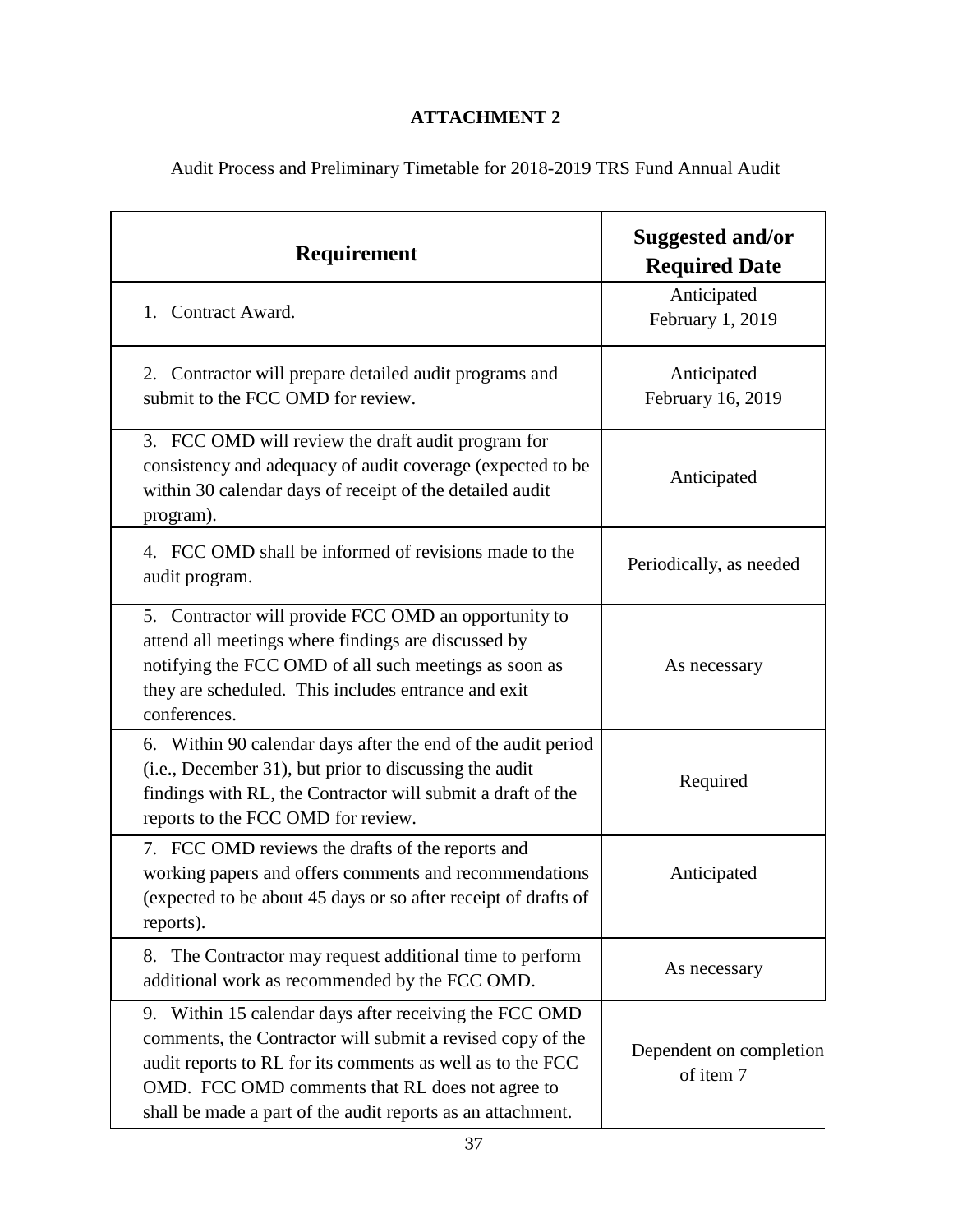## **ATTACHMENT 2**

Audit Process and Preliminary Timetable for 2018-2019 TRS Fund Annual Audit

| Requirement                                                                                                                                                                                                                                                                                          | Suggested and/or<br><b>Required Date</b> |  |
|------------------------------------------------------------------------------------------------------------------------------------------------------------------------------------------------------------------------------------------------------------------------------------------------------|------------------------------------------|--|
| 1. Contract Award.                                                                                                                                                                                                                                                                                   | Anticipated<br>February 1, 2019          |  |
| 2. Contractor will prepare detailed audit programs and<br>submit to the FCC OMD for review.                                                                                                                                                                                                          | Anticipated<br>February 16, 2019         |  |
| 3. FCC OMD will review the draft audit program for<br>consistency and adequacy of audit coverage (expected to be<br>within 30 calendar days of receipt of the detailed audit<br>program).                                                                                                            | Anticipated                              |  |
| 4. FCC OMD shall be informed of revisions made to the<br>audit program.                                                                                                                                                                                                                              | Periodically, as needed                  |  |
| 5. Contractor will provide FCC OMD an opportunity to<br>attend all meetings where findings are discussed by<br>notifying the FCC OMD of all such meetings as soon as<br>they are scheduled. This includes entrance and exit<br>conferences.                                                          | As necessary                             |  |
| 6. Within 90 calendar days after the end of the audit period<br>(i.e., December 31), but prior to discussing the audit<br>findings with RL, the Contractor will submit a draft of the<br>reports to the FCC OMD for review.                                                                          | Required                                 |  |
| 7. FCC OMD reviews the drafts of the reports and<br>working papers and offers comments and recommendations<br>(expected to be about 45 days or so after receipt of drafts of<br>reports).                                                                                                            | Anticipated                              |  |
| 8. The Contractor may request additional time to perform<br>additional work as recommended by the FCC OMD.                                                                                                                                                                                           | As necessary                             |  |
| 9. Within 15 calendar days after receiving the FCC OMD<br>comments, the Contractor will submit a revised copy of the<br>audit reports to RL for its comments as well as to the FCC<br>OMD. FCC OMD comments that RL does not agree to<br>shall be made a part of the audit reports as an attachment. | Dependent on completion<br>of item 7     |  |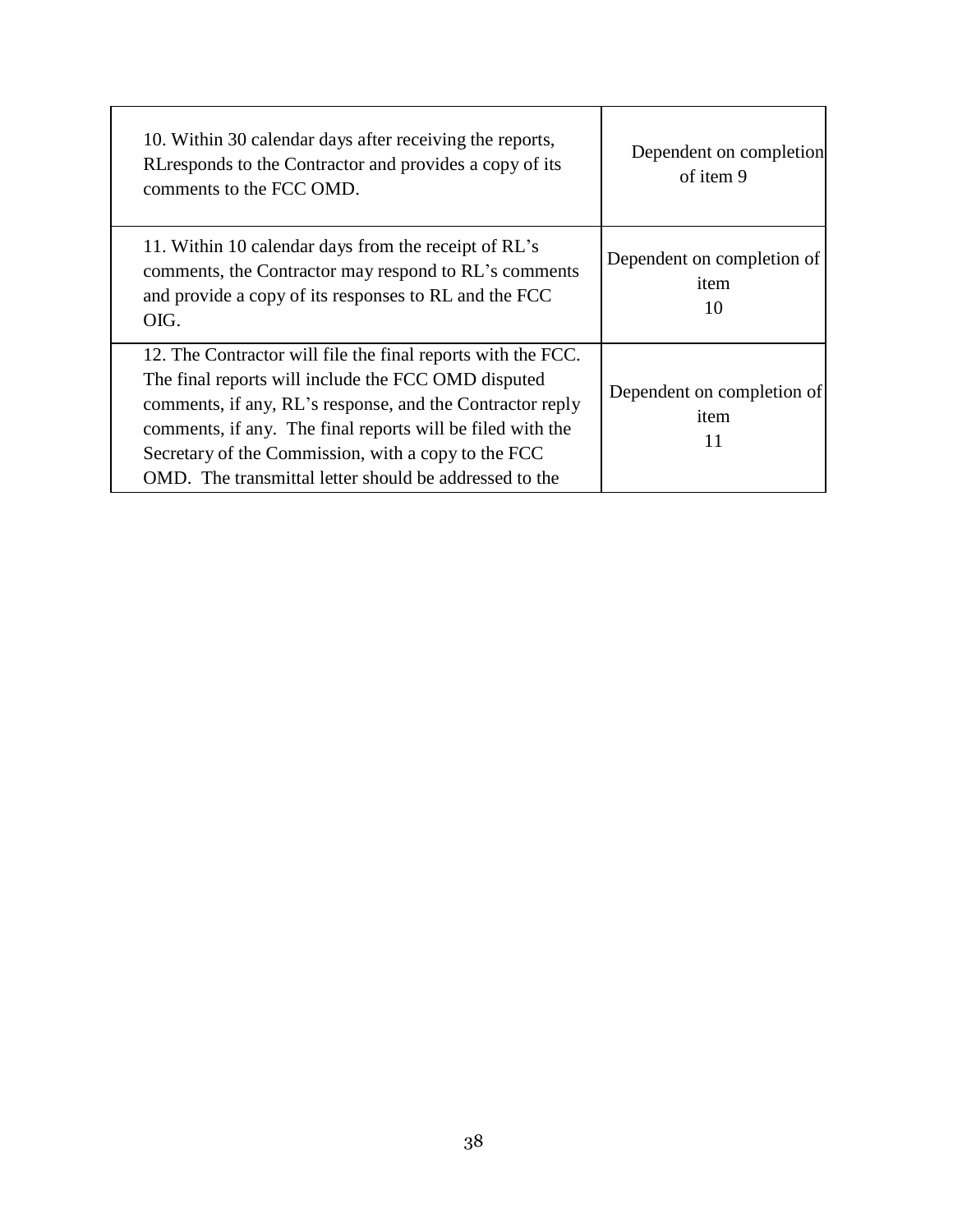| 10. Within 30 calendar days after receiving the reports,<br>RL responds to the Contractor and provides a copy of its<br>comments to the FCC OMD.                                                                                                                                                                                                                | Dependent on completion<br>of item 9     |
|-----------------------------------------------------------------------------------------------------------------------------------------------------------------------------------------------------------------------------------------------------------------------------------------------------------------------------------------------------------------|------------------------------------------|
| 11. Within 10 calendar days from the receipt of RL's<br>comments, the Contractor may respond to RL's comments<br>and provide a copy of its responses to RL and the FCC<br>OIG.                                                                                                                                                                                  | Dependent on completion of<br>item<br>10 |
| 12. The Contractor will file the final reports with the FCC.<br>The final reports will include the FCC OMD disputed<br>comments, if any, RL's response, and the Contractor reply<br>comments, if any. The final reports will be filed with the<br>Secretary of the Commission, with a copy to the FCC<br>OMD. The transmittal letter should be addressed to the | Dependent on completion of<br>item<br>11 |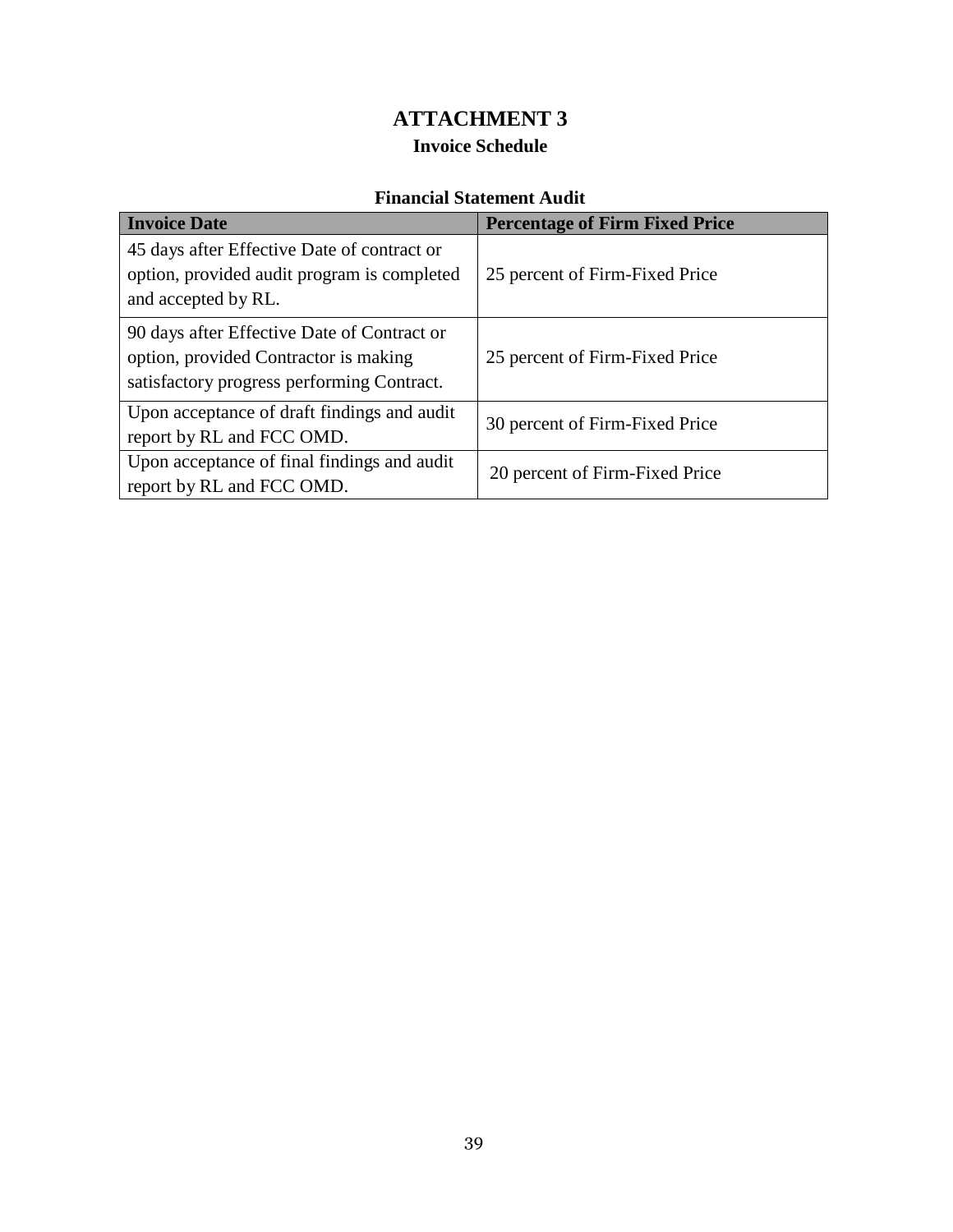## **ATTACHMENT 3 Invoice Schedule**

## **Financial Statement Audit**

| <b>Invoice Date</b>                                                                                                                | <b>Percentage of Firm Fixed Price</b> |
|------------------------------------------------------------------------------------------------------------------------------------|---------------------------------------|
| 45 days after Effective Date of contract or<br>option, provided audit program is completed<br>and accepted by RL.                  | 25 percent of Firm-Fixed Price        |
| 90 days after Effective Date of Contract or<br>option, provided Contractor is making<br>satisfactory progress performing Contract. | 25 percent of Firm-Fixed Price        |
| Upon acceptance of draft findings and audit<br>report by RL and FCC OMD.                                                           | 30 percent of Firm-Fixed Price        |
| Upon acceptance of final findings and audit<br>report by RL and FCC OMD.                                                           | 20 percent of Firm-Fixed Price        |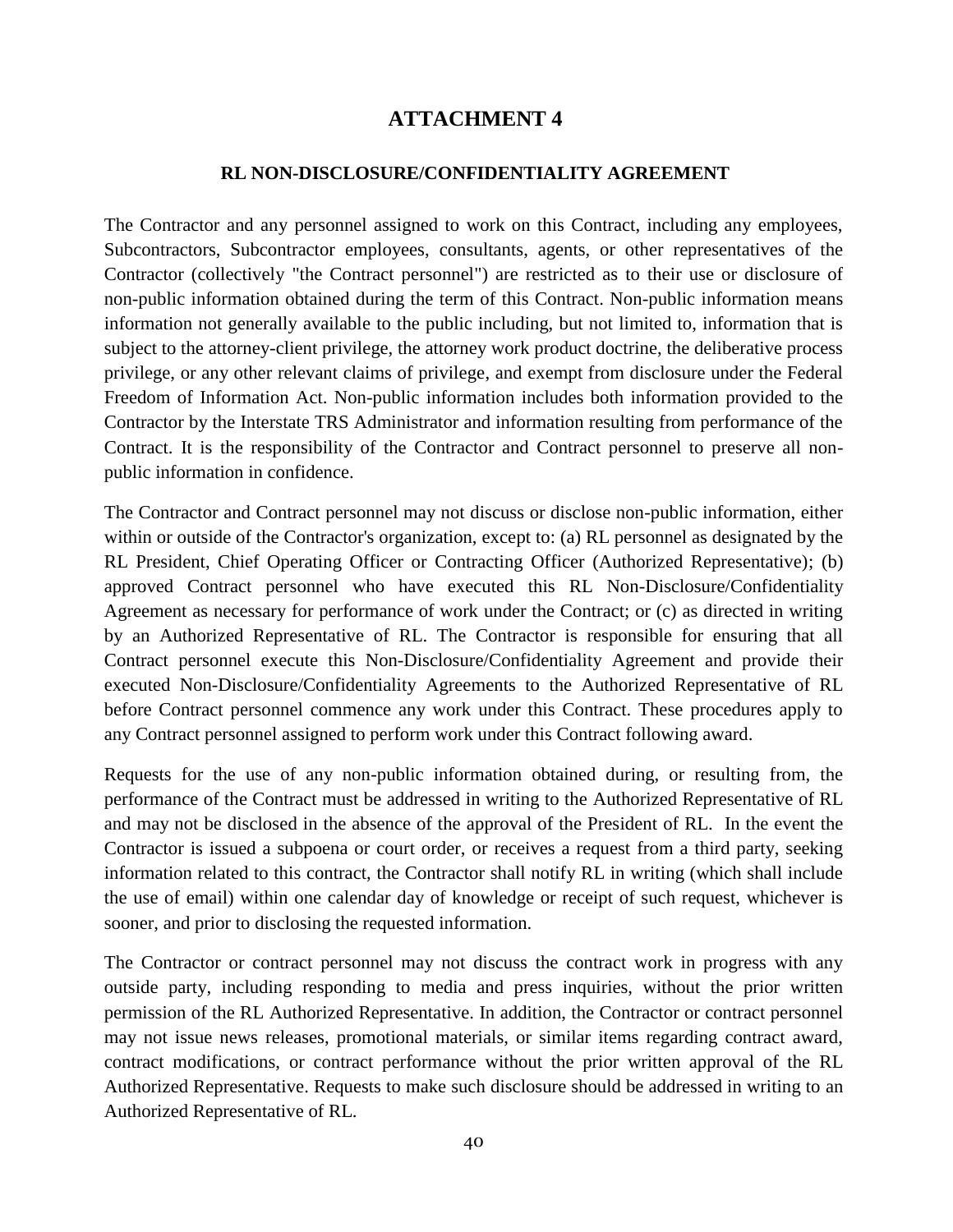## **ATTACHMENT 4**

#### **RL NON-DISCLOSURE/CONFIDENTIALITY AGREEMENT**

The Contractor and any personnel assigned to work on this Contract, including any employees, Subcontractors, Subcontractor employees, consultants, agents, or other representatives of the Contractor (collectively "the Contract personnel") are restricted as to their use or disclosure of non-public information obtained during the term of this Contract. Non-public information means information not generally available to the public including, but not limited to, information that is subject to the attorney-client privilege, the attorney work product doctrine, the deliberative process privilege, or any other relevant claims of privilege, and exempt from disclosure under the Federal Freedom of Information Act. Non-public information includes both information provided to the Contractor by the Interstate TRS Administrator and information resulting from performance of the Contract. It is the responsibility of the Contractor and Contract personnel to preserve all nonpublic information in confidence.

The Contractor and Contract personnel may not discuss or disclose non-public information, either within or outside of the Contractor's organization, except to: (a) RL personnel as designated by the RL President, Chief Operating Officer or Contracting Officer (Authorized Representative); (b) approved Contract personnel who have executed this RL Non-Disclosure/Confidentiality Agreement as necessary for performance of work under the Contract; or (c) as directed in writing by an Authorized Representative of RL. The Contractor is responsible for ensuring that all Contract personnel execute this Non-Disclosure/Confidentiality Agreement and provide their executed Non-Disclosure/Confidentiality Agreements to the Authorized Representative of RL before Contract personnel commence any work under this Contract. These procedures apply to any Contract personnel assigned to perform work under this Contract following award.

Requests for the use of any non-public information obtained during, or resulting from, the performance of the Contract must be addressed in writing to the Authorized Representative of RL and may not be disclosed in the absence of the approval of the President of RL. In the event the Contractor is issued a subpoena or court order, or receives a request from a third party, seeking information related to this contract, the Contractor shall notify RL in writing (which shall include the use of email) within one calendar day of knowledge or receipt of such request, whichever is sooner, and prior to disclosing the requested information.

The Contractor or contract personnel may not discuss the contract work in progress with any outside party, including responding to media and press inquiries, without the prior written permission of the RL Authorized Representative. In addition, the Contractor or contract personnel may not issue news releases, promotional materials, or similar items regarding contract award, contract modifications, or contract performance without the prior written approval of the RL Authorized Representative. Requests to make such disclosure should be addressed in writing to an Authorized Representative of RL.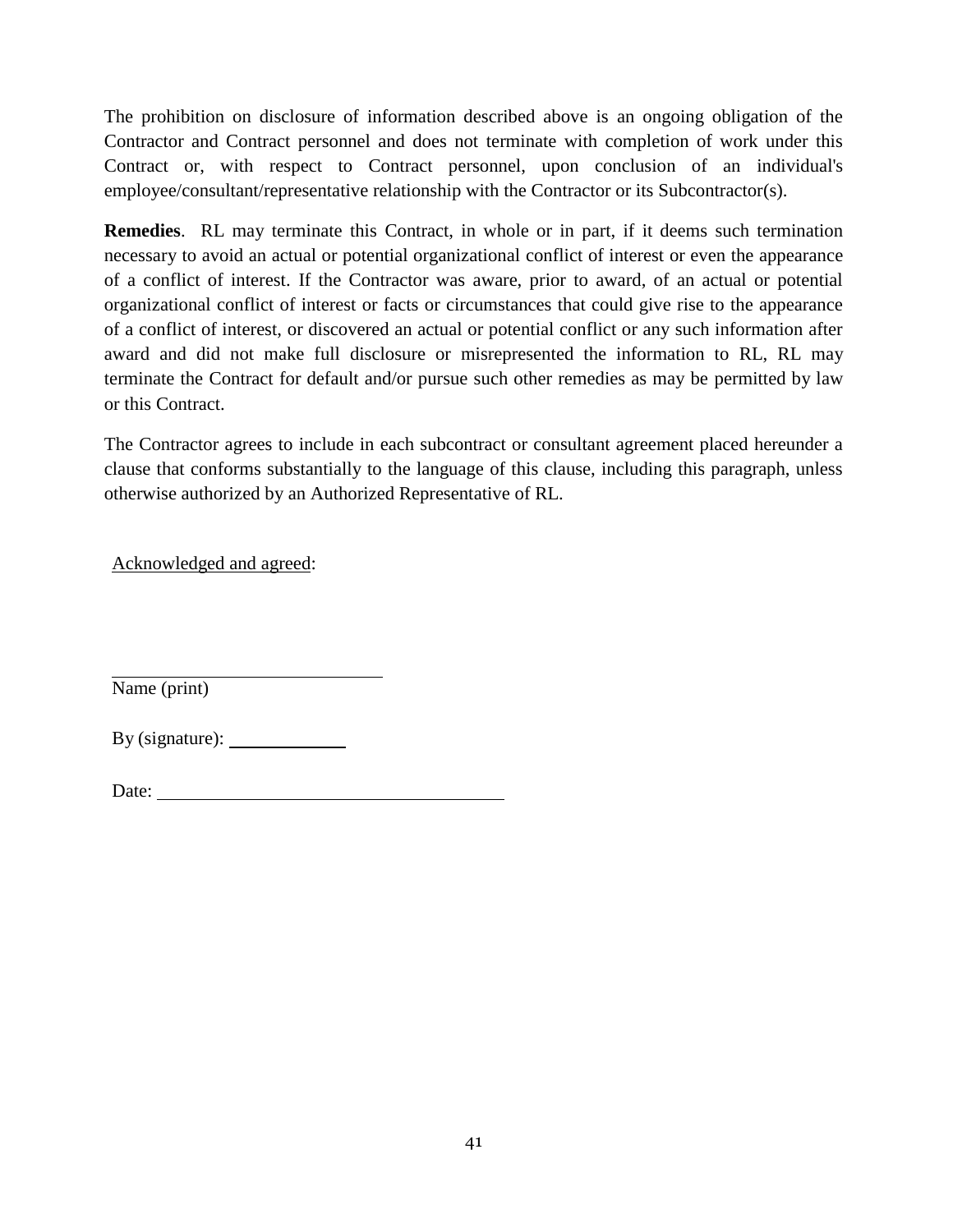The prohibition on disclosure of information described above is an ongoing obligation of the Contractor and Contract personnel and does not terminate with completion of work under this Contract or, with respect to Contract personnel, upon conclusion of an individual's employee/consultant/representative relationship with the Contractor or its Subcontractor(s).

**Remedies**. RL may terminate this Contract, in whole or in part, if it deems such termination necessary to avoid an actual or potential organizational conflict of interest or even the appearance of a conflict of interest. If the Contractor was aware, prior to award, of an actual or potential organizational conflict of interest or facts or circumstances that could give rise to the appearance of a conflict of interest, or discovered an actual or potential conflict or any such information after award and did not make full disclosure or misrepresented the information to RL, RL may terminate the Contract for default and/or pursue such other remedies as may be permitted by law or this Contract.

The Contractor agrees to include in each subcontract or consultant agreement placed hereunder a clause that conforms substantially to the language of this clause, including this paragraph, unless otherwise authorized by an Authorized Representative of RL.

Acknowledged and agreed:

Name (print)

| By (signature): |  |
|-----------------|--|
|                 |  |

| Date: |
|-------|
|-------|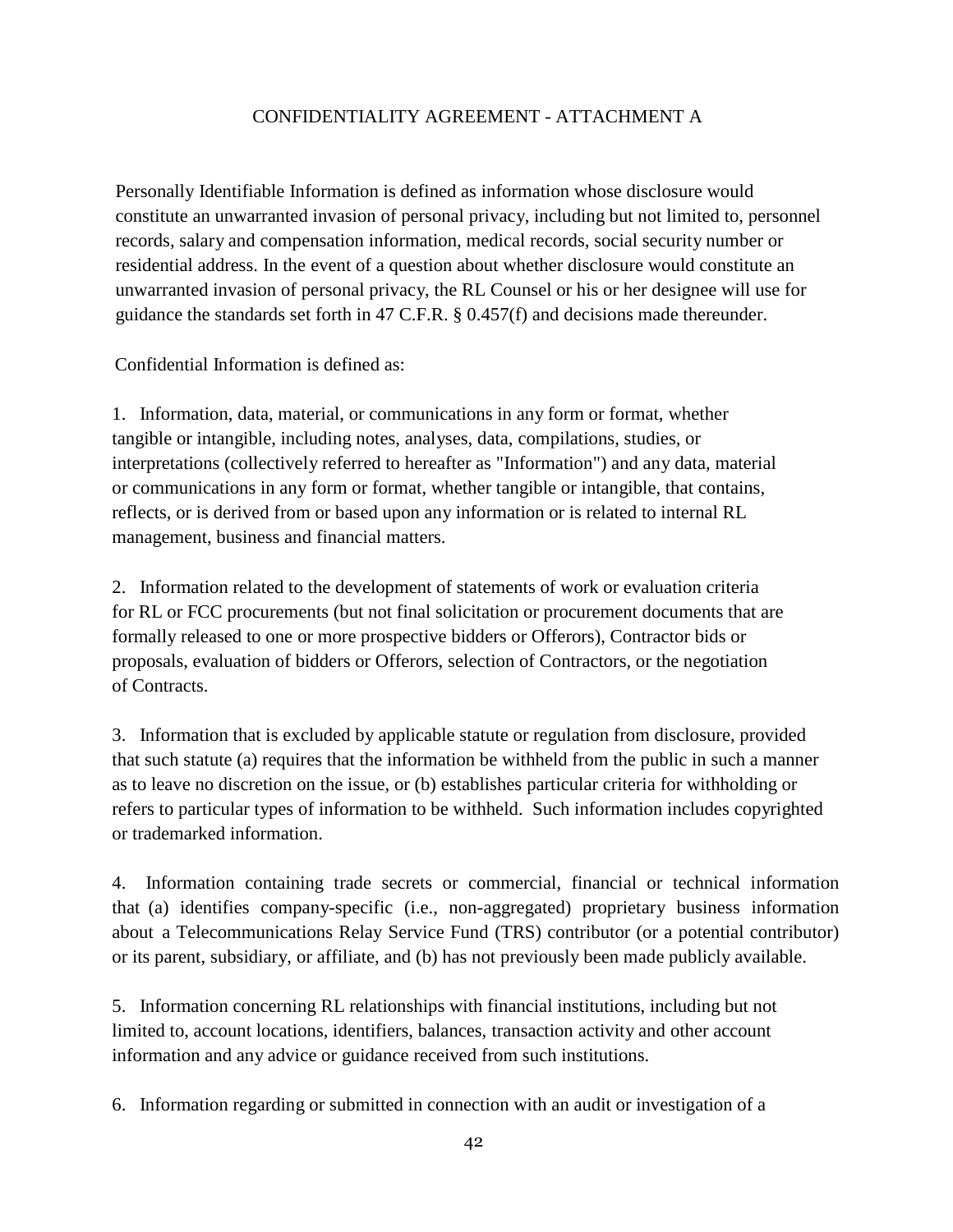#### CONFIDENTIALITY AGREEMENT - ATTACHMENT A

Personally Identifiable Information is defined as information whose disclosure would constitute an unwarranted invasion of personal privacy, including but not limited to, personnel records, salary and compensation information, medical records, social security number or residential address. In the event of a question about whether disclosure would constitute an unwarranted invasion of personal privacy, the RL Counsel or his or her designee will use for guidance the standards set forth in 47 C.F.R. § 0.457(f) and decisions made thereunder.

Confidential Information is defined as:

1. Information, data, material, or communications in any form or format, whether tangible or intangible, including notes, analyses, data, compilations, studies, or interpretations (collectively referred to hereafter as "Information") and any data, material or communications in any form or format, whether tangible or intangible, that contains, reflects, or is derived from or based upon any information or is related to internal RL management, business and financial matters.

2. Information related to the development of statements of work or evaluation criteria for RL or FCC procurements (but not final solicitation or procurement documents that are formally released to one or more prospective bidders or Offerors), Contractor bids or proposals, evaluation of bidders or Offerors, selection of Contractors, or the negotiation of Contracts.

3. Information that is excluded by applicable statute or regulation from disclosure, provided that such statute (a) requires that the information be withheld from the public in such a manner as to leave no discretion on the issue, or (b) establishes particular criteria for withholding or refers to particular types of information to be withheld. Such information includes copyrighted or trademarked information.

4. Information containing trade secrets or commercial, financial or technical information that (a) identifies company-specific (i.e., non-aggregated) proprietary business information about a Telecommunications Relay Service Fund (TRS) contributor (or a potential contributor) or its parent, subsidiary, or affiliate, and (b) has not previously been made publicly available.

5. Information concerning RL relationships with financial institutions, including but not limited to, account locations, identifiers, balances, transaction activity and other account information and any advice or guidance received from such institutions.

6. Information regarding or submitted in connection with an audit or investigation of a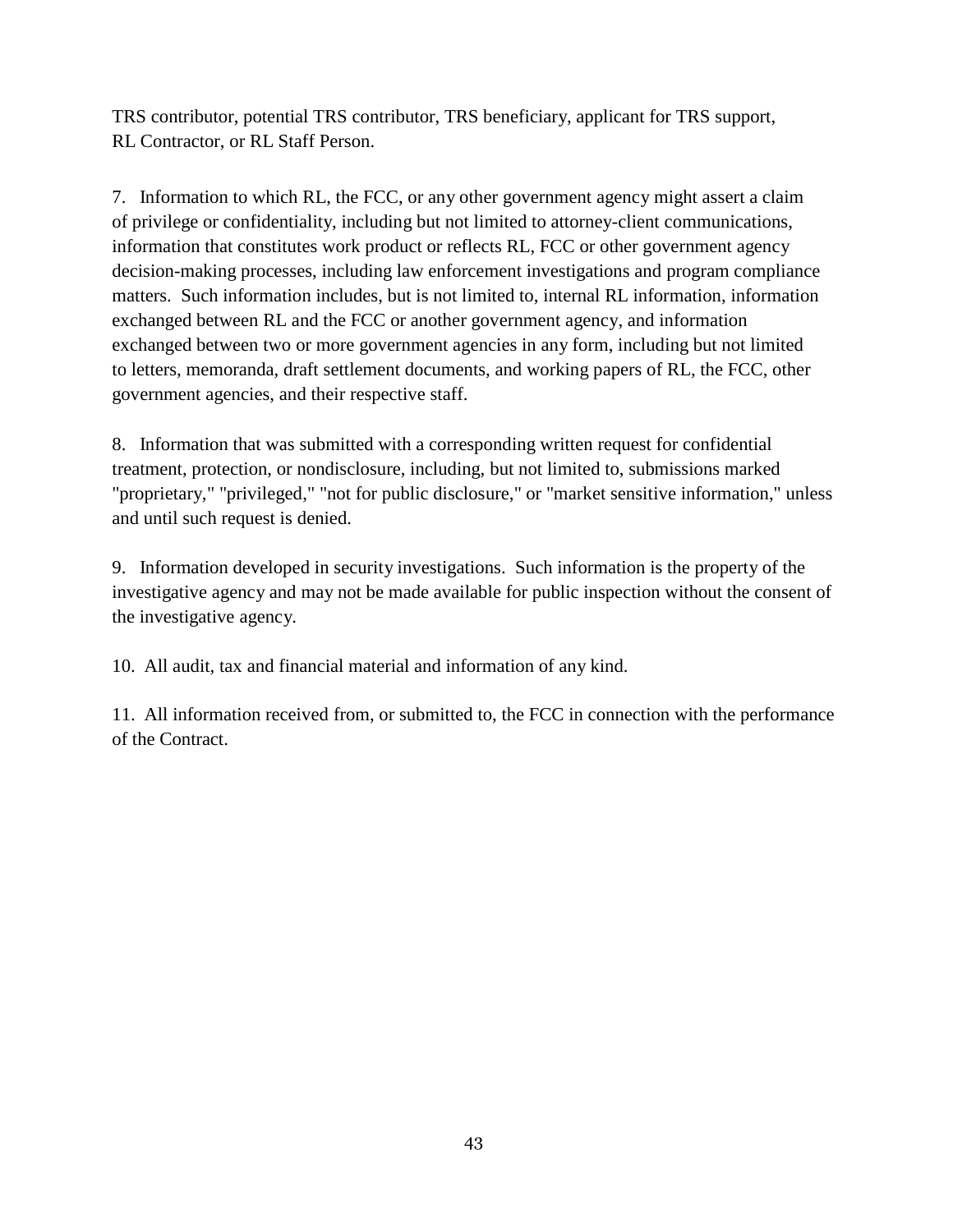TRS contributor, potential TRS contributor, TRS beneficiary, applicant for TRS support, RL Contractor, or RL Staff Person.

7. Information to which RL, the FCC, or any other government agency might assert a claim of privilege or confidentiality, including but not limited to attorney-client communications, information that constitutes work product or reflects RL, FCC or other government agency decision-making processes, including law enforcement investigations and program compliance matters. Such information includes, but is not limited to, internal RL information, information exchanged between RL and the FCC or another government agency, and information exchanged between two or more government agencies in any form, including but not limited to letters, memoranda, draft settlement documents, and working papers of RL, the FCC, other government agencies, and their respective staff.

8. Information that was submitted with a corresponding written request for confidential treatment, protection, or nondisclosure, including, but not limited to, submissions marked "proprietary," "privileged," "not for public disclosure," or "market sensitive information," unless and until such request is denied.

9. Information developed in security investigations. Such information is the property of the investigative agency and may not be made available for public inspection without the consent of the investigative agency.

10. All audit, tax and financial material and information of any kind.

11. All information received from, or submitted to, the FCC in connection with the performance of the Contract.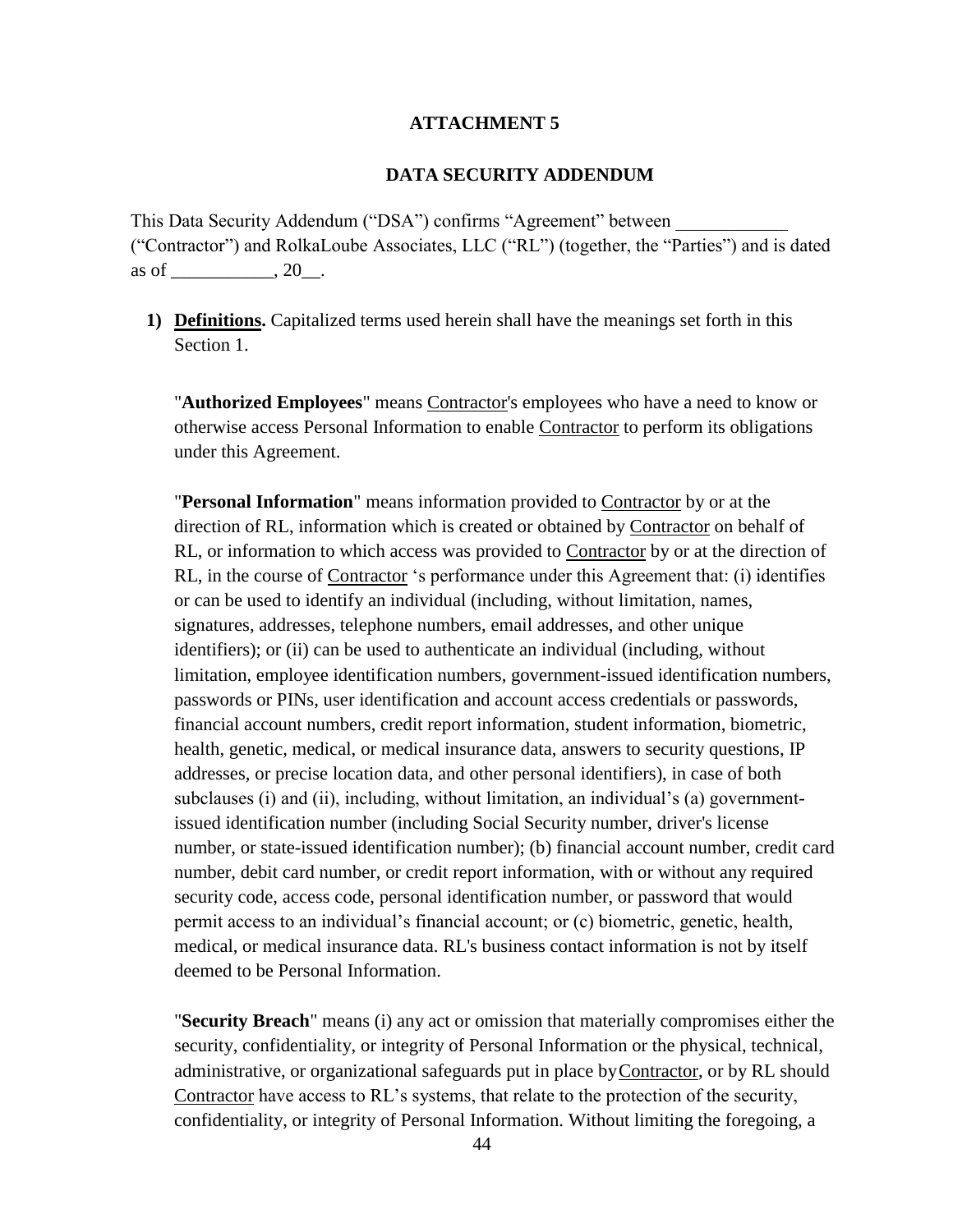#### **ATTACHMENT 5**

#### **DATA SECURITY ADDENDUM**

This Data Security Addendum ("DSA") confirms "Agreement" between ("Contractor") and RolkaLoube Associates, LLC ("RL") (together, the "Parties") and is dated as of \_\_\_\_\_\_\_\_\_\_\_, 20\_\_.

**1) Definitions.** Capitalized terms used herein shall have the meanings set forth in this Section 1.

"**Authorized Employees**" means Contractor's employees who have a need to know or otherwise access Personal Information to enable Contractor to perform its obligations under this Agreement.

"**Personal Information**" means information provided to Contractor by or at the direction of RL, information which is created or obtained by Contractor on behalf of RL, or information to which access was provided to Contractor by or at the direction of RL, in the course of Contractor 's performance under this Agreement that: (i) identifies or can be used to identify an individual (including, without limitation, names, signatures, addresses, telephone numbers, email addresses, and other unique identifiers); or (ii) can be used to authenticate an individual (including, without limitation, employee identification numbers, government-issued identification numbers, passwords or PINs, user identification and account access credentials or passwords, financial account numbers, credit report information, student information, biometric, health, genetic, medical, or medical insurance data, answers to security questions, IP addresses, or precise location data, and other personal identifiers), in case of both subclauses (i) and (ii), including, without limitation, an individual's (a) governmentissued identification number (including Social Security number, driver's license number, or state-issued identification number); (b) financial account number, credit card number, debit card number, or credit report information, with or without any required security code, access code, personal identification number, or password that would permit access to an individual's financial account; or (c) biometric, genetic, health, medical, or medical insurance data. RL's business contact information is not by itself deemed to be Personal Information.

"**Security Breach**" means (i) any act or omission that materially compromises either the security, confidentiality, or integrity of Personal Information or the physical, technical, administrative, or organizational safeguards put in place byContractor, or by RL should Contractor have access to RL's systems, that relate to the protection of the security, confidentiality, or integrity of Personal Information. Without limiting the foregoing, a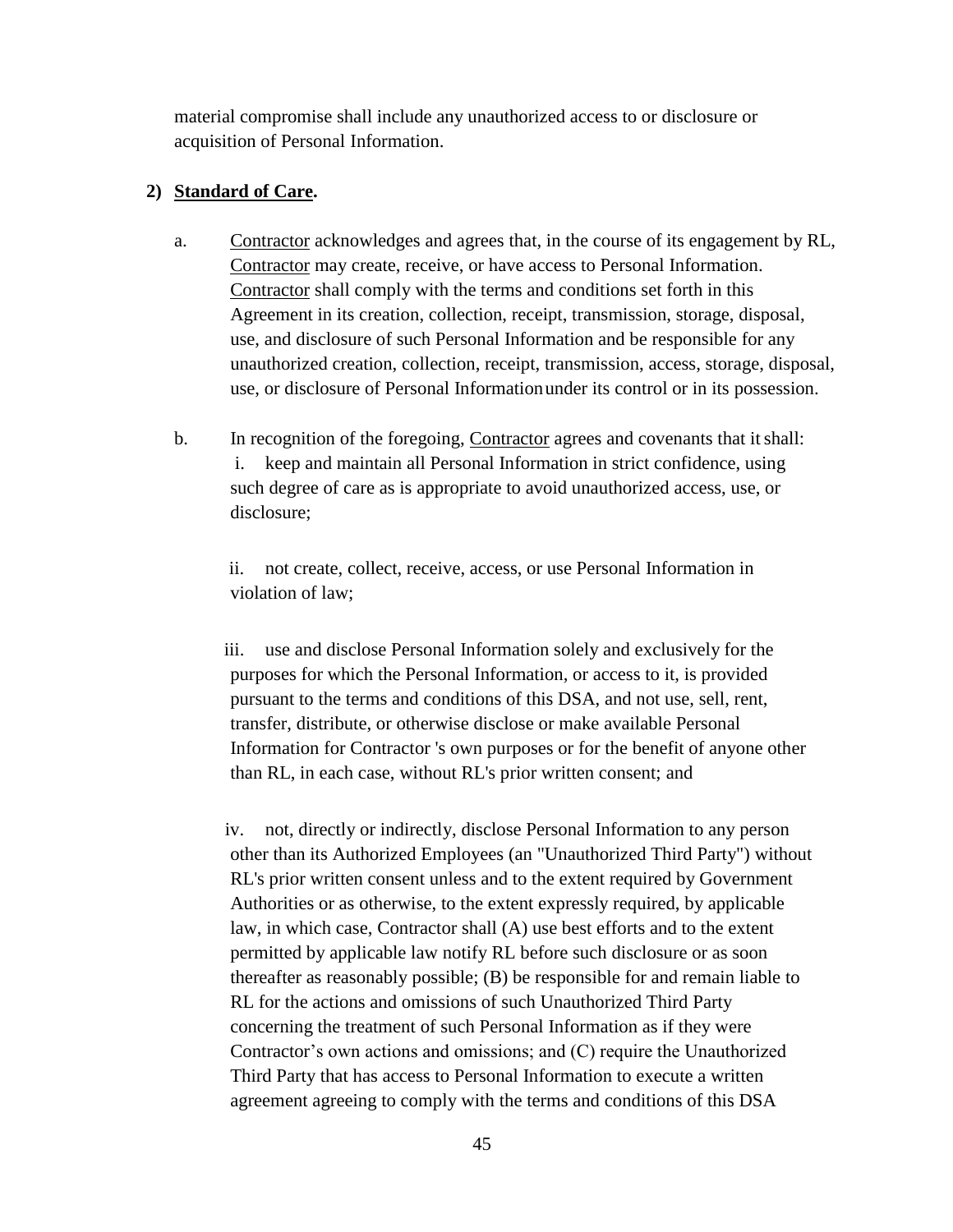material compromise shall include any unauthorized access to or disclosure or acquisition of Personal Information.

#### **2) Standard of Care.**

- a. Contractor acknowledges and agrees that, in the course of its engagement by RL, Contractor may create, receive, or have access to Personal Information. Contractor shall comply with the terms and conditions set forth in this Agreement in its creation, collection, receipt, transmission, storage, disposal, use, and disclosure of such Personal Information and be responsible for any unauthorized creation, collection, receipt, transmission, access, storage, disposal, use, or disclosure of Personal Informationunder its control or in its possession.
- b. In recognition of the foregoing, Contractor agrees and covenants that itshall: i. keep and maintain all Personal Information in strict confidence, using such degree of care as is appropriate to avoid unauthorized access, use, or disclosure;

ii. not create, collect, receive, access, or use Personal Information in violation of law;

iii. use and disclose Personal Information solely and exclusively for the purposes for which the Personal Information, or access to it, is provided pursuant to the terms and conditions of this DSA, and not use, sell, rent, transfer, distribute, or otherwise disclose or make available Personal Information for Contractor 's own purposes or for the benefit of anyone other than RL, in each case, without RL's prior written consent; and

iv. not, directly or indirectly, disclose Personal Information to any person other than its Authorized Employees (an "Unauthorized Third Party") without RL's prior written consent unless and to the extent required by Government Authorities or as otherwise, to the extent expressly required, by applicable law, in which case, Contractor shall (A) use best efforts and to the extent permitted by applicable law notify RL before such disclosure or as soon thereafter as reasonably possible; (B) be responsible for and remain liable to RL for the actions and omissions of such Unauthorized Third Party concerning the treatment of such Personal Information as if they were Contractor's own actions and omissions; and (C) require the Unauthorized Third Party that has access to Personal Information to execute a written agreement agreeing to comply with the terms and conditions of this DSA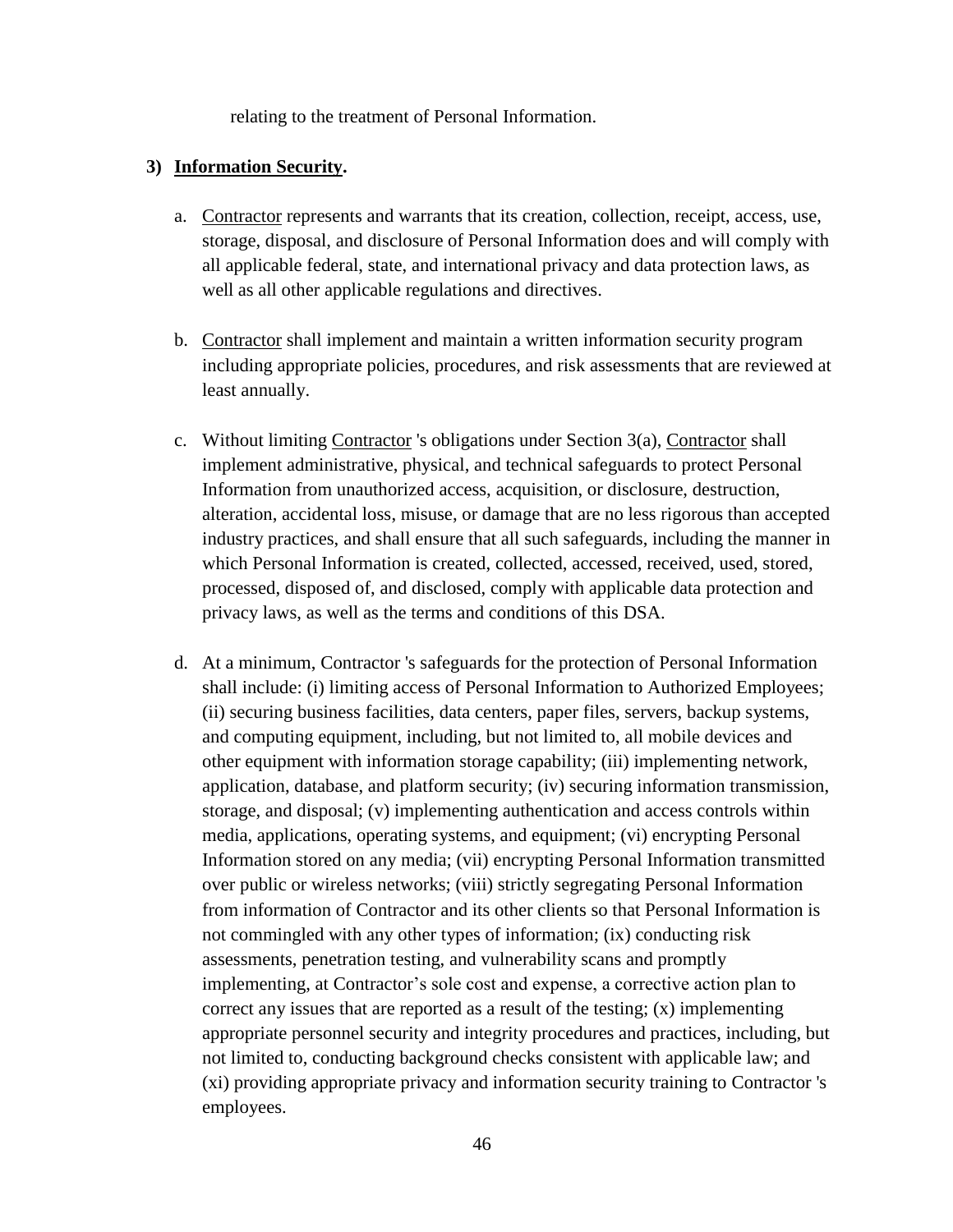relating to the treatment of Personal Information.

#### **3) Information Security.**

- a. Contractor represents and warrants that its creation, collection, receipt, access, use, storage, disposal, and disclosure of Personal Information does and will comply with all applicable federal, state, and international privacy and data protection laws, as well as all other applicable regulations and directives.
- b. Contractor shall implement and maintain a written information security program including appropriate policies, procedures, and risk assessments that are reviewed at least annually.
- c. Without limiting Contractor 's obligations under Section 3(a), Contractor shall implement administrative, physical, and technical safeguards to protect Personal Information from unauthorized access, acquisition, or disclosure, destruction, alteration, accidental loss, misuse, or damage that are no less rigorous than accepted industry practices, and shall ensure that all such safeguards, including the manner in which Personal Information is created, collected, accessed, received, used, stored, processed, disposed of, and disclosed, comply with applicable data protection and privacy laws, as well as the terms and conditions of this DSA.
- d. At a minimum, Contractor 's safeguards for the protection of Personal Information shall include: (i) limiting access of Personal Information to Authorized Employees; (ii) securing business facilities, data centers, paper files, servers, backup systems, and computing equipment, including, but not limited to, all mobile devices and other equipment with information storage capability; (iii) implementing network, application, database, and platform security; (iv) securing information transmission, storage, and disposal; (v) implementing authentication and access controls within media, applications, operating systems, and equipment; (vi) encrypting Personal Information stored on any media; (vii) encrypting Personal Information transmitted over public or wireless networks; (viii) strictly segregating Personal Information from information of Contractor and its other clients so that Personal Information is not commingled with any other types of information; (ix) conducting risk assessments, penetration testing, and vulnerability scans and promptly implementing, at Contractor's sole cost and expense, a corrective action plan to correct any issues that are reported as a result of the testing; (x) implementing appropriate personnel security and integrity procedures and practices, including, but not limited to, conducting background checks consistent with applicable law; and (xi) providing appropriate privacy and information security training to Contractor 's employees.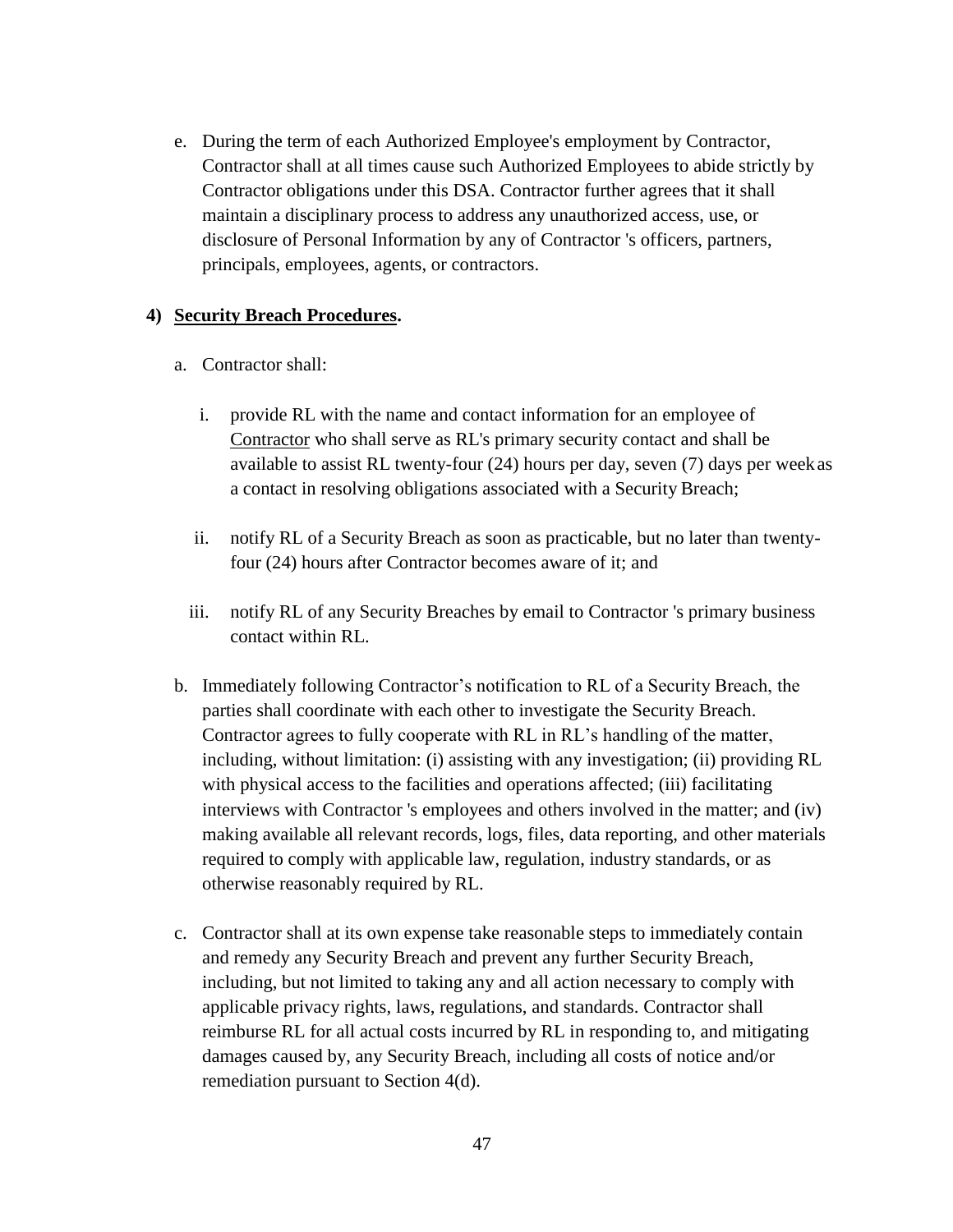e. During the term of each Authorized Employee's employment by Contractor, Contractor shall at all times cause such Authorized Employees to abide strictly by Contractor obligations under this DSA. Contractor further agrees that it shall maintain a disciplinary process to address any unauthorized access, use, or disclosure of Personal Information by any of Contractor 's officers, partners, principals, employees, agents, or contractors.

#### **4) Security Breach Procedures.**

- a. Contractor shall:
	- i. provide RL with the name and contact information for an employee of Contractor who shall serve as RL's primary security contact and shall be available to assist RL twenty-four (24) hours per day, seven (7) days per weekas a contact in resolving obligations associated with a Security Breach;
	- ii. notify RL of a Security Breach as soon as practicable, but no later than twentyfour (24) hours after Contractor becomes aware of it; and
	- iii. notify RL of any Security Breaches by email to Contractor 's primary business contact within RL.
- b. Immediately following Contractor's notification to RL of a Security Breach, the parties shall coordinate with each other to investigate the Security Breach. Contractor agrees to fully cooperate with RL in RL's handling of the matter, including, without limitation: (i) assisting with any investigation; (ii) providing RL with physical access to the facilities and operations affected; (iii) facilitating interviews with Contractor 's employees and others involved in the matter; and (iv) making available all relevant records, logs, files, data reporting, and other materials required to comply with applicable law, regulation, industry standards, or as otherwise reasonably required by RL.
- c. Contractor shall at its own expense take reasonable steps to immediately contain and remedy any Security Breach and prevent any further Security Breach, including, but not limited to taking any and all action necessary to comply with applicable privacy rights, laws, regulations, and standards. Contractor shall reimburse RL for all actual costs incurred by RL in responding to, and mitigating damages caused by, any Security Breach, including all costs of notice and/or remediation pursuant to Section 4(d).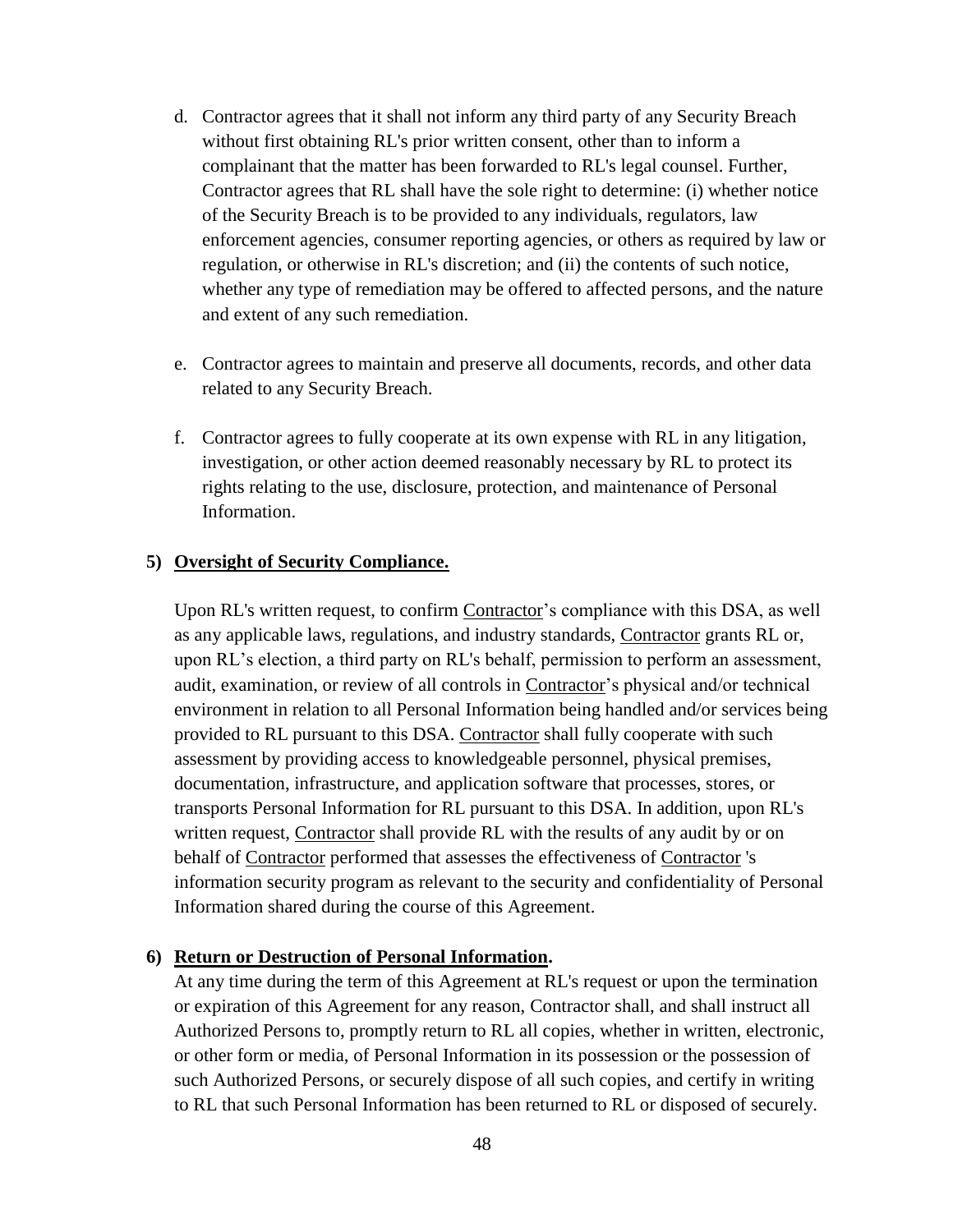- d. Contractor agrees that it shall not inform any third party of any Security Breach without first obtaining RL's prior written consent, other than to inform a complainant that the matter has been forwarded to RL's legal counsel. Further, Contractor agrees that RL shall have the sole right to determine: (i) whether notice of the Security Breach is to be provided to any individuals, regulators, law enforcement agencies, consumer reporting agencies, or others as required by law or regulation, or otherwise in RL's discretion; and (ii) the contents of such notice, whether any type of remediation may be offered to affected persons, and the nature and extent of any such remediation.
- e. Contractor agrees to maintain and preserve all documents, records, and other data related to any Security Breach.
- f. Contractor agrees to fully cooperate at its own expense with RL in any litigation, investigation, or other action deemed reasonably necessary by RL to protect its rights relating to the use, disclosure, protection, and maintenance of Personal Information.

#### **5) Oversight of Security Compliance.**

Upon RL's written request, to confirm Contractor's compliance with this DSA, as well as any applicable laws, regulations, and industry standards, Contractor grants RL or, upon RL's election, a third party on RL's behalf, permission to perform an assessment, audit, examination, or review of all controls in Contractor's physical and/or technical environment in relation to all Personal Information being handled and/or services being provided to RL pursuant to this DSA. Contractor shall fully cooperate with such assessment by providing access to knowledgeable personnel, physical premises, documentation, infrastructure, and application software that processes, stores, or transports Personal Information for RL pursuant to this DSA. In addition, upon RL's written request, Contractor shall provide RL with the results of any audit by or on behalf of Contractor performed that assesses the effectiveness of Contractor 's information security program as relevant to the security and confidentiality of Personal Information shared during the course of this Agreement.

#### **6) Return or Destruction of Personal Information.**

At any time during the term of this Agreement at RL's request or upon the termination or expiration of this Agreement for any reason, Contractor shall, and shall instruct all Authorized Persons to, promptly return to RL all copies, whether in written, electronic, or other form or media, of Personal Information in its possession or the possession of such Authorized Persons, or securely dispose of all such copies, and certify in writing to RL that such Personal Information has been returned to RL or disposed of securely.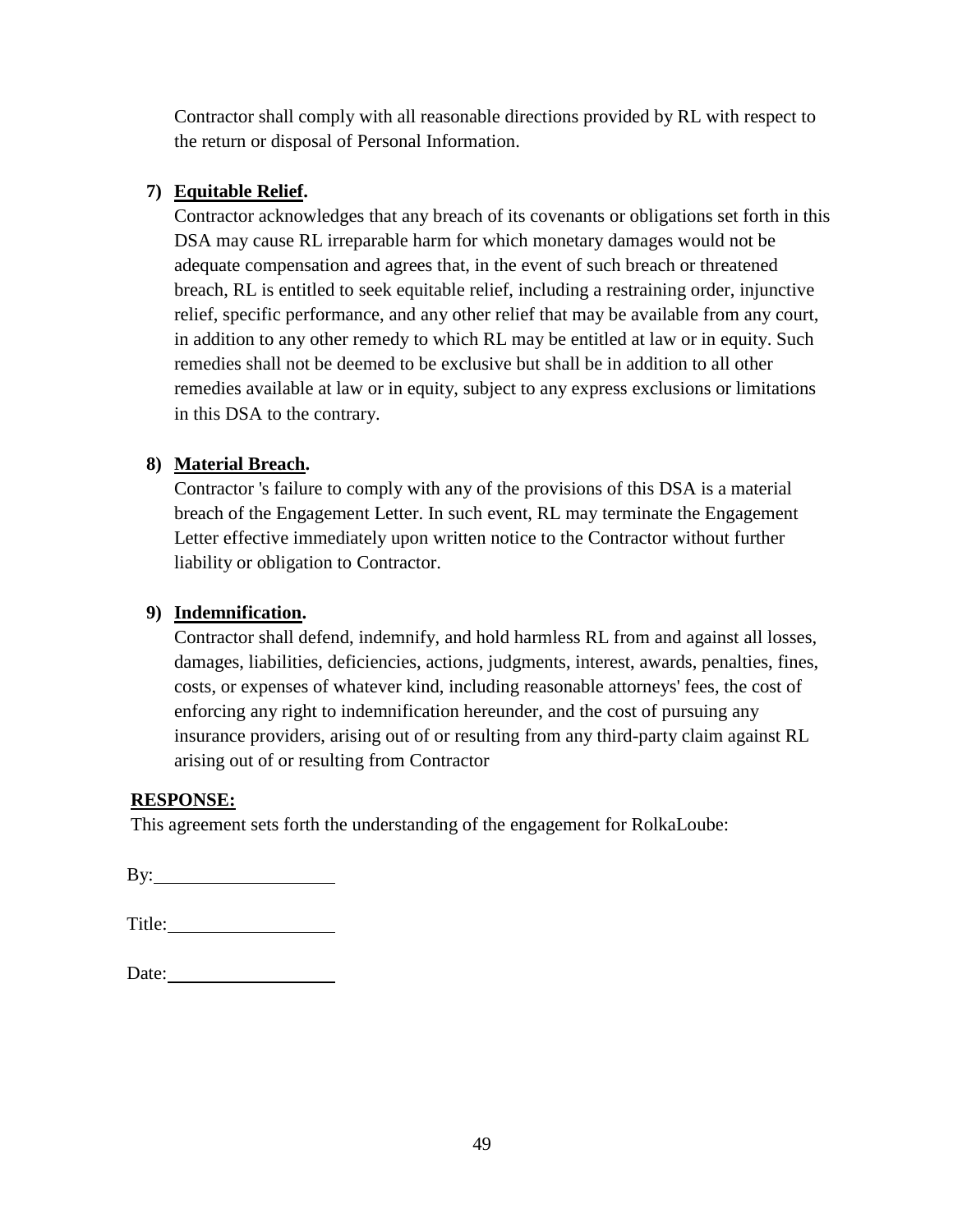Contractor shall comply with all reasonable directions provided by RL with respect to the return or disposal of Personal Information.

### **7) Equitable Relief.**

Contractor acknowledges that any breach of its covenants or obligations set forth in this DSA may cause RL irreparable harm for which monetary damages would not be adequate compensation and agrees that, in the event of such breach or threatened breach, RL is entitled to seek equitable relief, including a restraining order, injunctive relief, specific performance, and any other relief that may be available from any court, in addition to any other remedy to which RL may be entitled at law or in equity. Such remedies shall not be deemed to be exclusive but shall be in addition to all other remedies available at law or in equity, subject to any express exclusions or limitations in this DSA to the contrary.

### **8) Material Breach.**

Contractor 's failure to comply with any of the provisions of this DSA is a material breach of the Engagement Letter. In such event, RL may terminate the Engagement Letter effective immediately upon written notice to the Contractor without further liability or obligation to Contractor.

### **9) Indemnification.**

Contractor shall defend, indemnify, and hold harmless RL from and against all losses, damages, liabilities, deficiencies, actions, judgments, interest, awards, penalties, fines, costs, or expenses of whatever kind, including reasonable attorneys' fees, the cost of enforcing any right to indemnification hereunder, and the cost of pursuing any insurance providers, arising out of or resulting from any third-party claim against RL arising out of or resulting from Contractor

#### **RESPONSE:**

This agreement sets forth the understanding of the engagement for RolkaLoube:

By: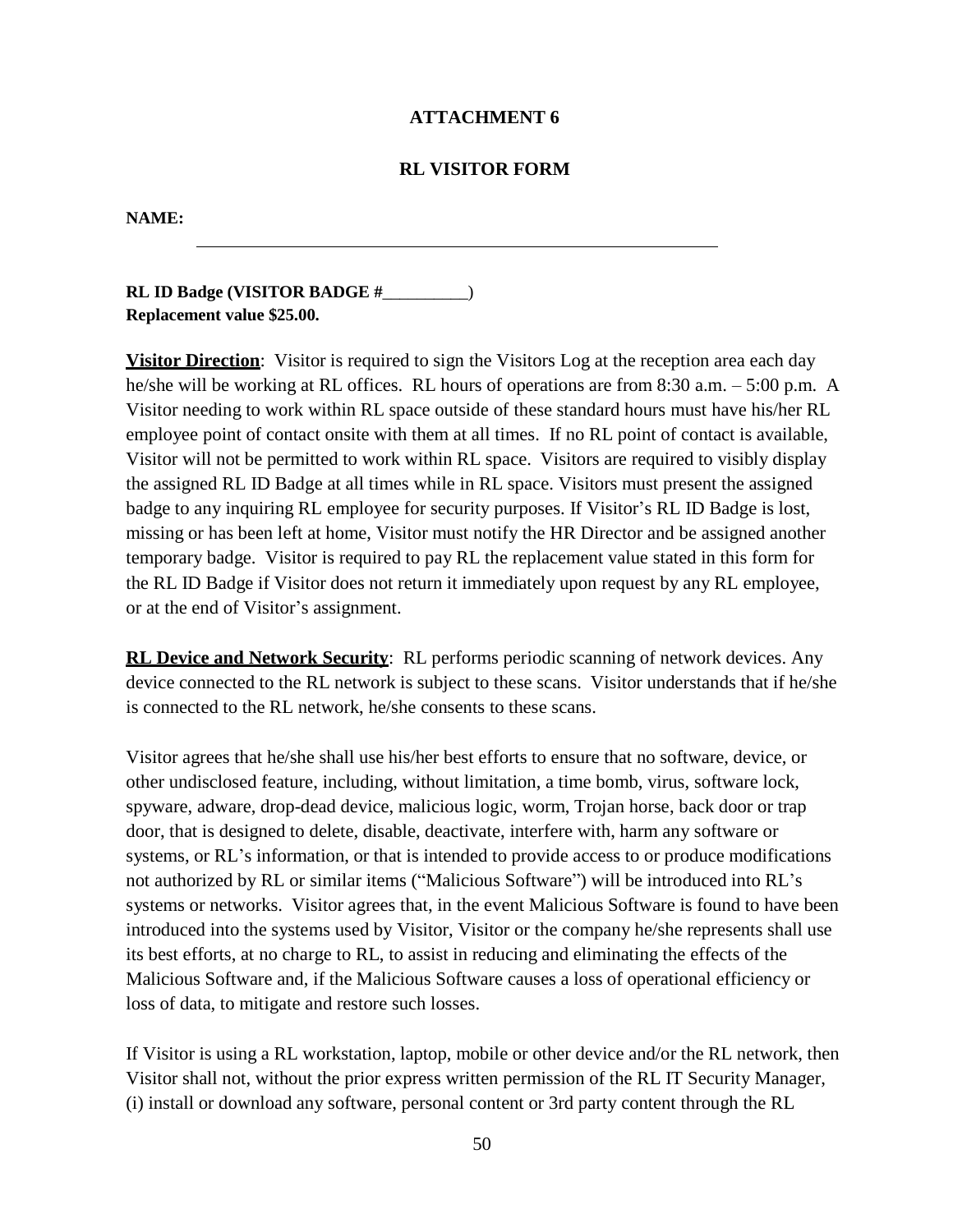#### **ATTACHMENT 6**

#### **RL VISITOR FORM**

#### **NAME:**

**RL ID Badge (VISITOR BADGE #**\_\_\_\_\_\_\_\_\_\_) **Replacement value \$25.00.**

**Visitor Direction**: Visitor is required to sign the Visitors Log at the reception area each day he/she will be working at RL offices. RL hours of operations are from 8:30 a.m. – 5:00 p.m. A Visitor needing to work within RL space outside of these standard hours must have his/her RL employee point of contact onsite with them at all times. If no RL point of contact is available, Visitor will not be permitted to work within RL space. Visitors are required to visibly display the assigned RL ID Badge at all times while in RL space. Visitors must present the assigned badge to any inquiring RL employee for security purposes. If Visitor's RL ID Badge is lost, missing or has been left at home, Visitor must notify the HR Director and be assigned another temporary badge. Visitor is required to pay RL the replacement value stated in this form for the RL ID Badge if Visitor does not return it immediately upon request by any RL employee, or at the end of Visitor's assignment.

**RL Device and Network Security**: RL performs periodic scanning of network devices. Any device connected to the RL network is subject to these scans. Visitor understands that if he/she is connected to the RL network, he/she consents to these scans.

Visitor agrees that he/she shall use his/her best efforts to ensure that no software, device, or other undisclosed feature, including, without limitation, a time bomb, virus, software lock, spyware, adware, drop-dead device, malicious logic, worm, Trojan horse, back door or trap door, that is designed to delete, disable, deactivate, interfere with, harm any software or systems, or RL's information, or that is intended to provide access to or produce modifications not authorized by RL or similar items ("Malicious Software") will be introduced into RL's systems or networks. Visitor agrees that, in the event Malicious Software is found to have been introduced into the systems used by Visitor, Visitor or the company he/she represents shall use its best efforts, at no charge to RL, to assist in reducing and eliminating the effects of the Malicious Software and, if the Malicious Software causes a loss of operational efficiency or loss of data, to mitigate and restore such losses.

If Visitor is using a RL workstation, laptop, mobile or other device and/or the RL network, then Visitor shall not, without the prior express written permission of the RL IT Security Manager, (i) install or download any software, personal content or 3rd party content through the RL